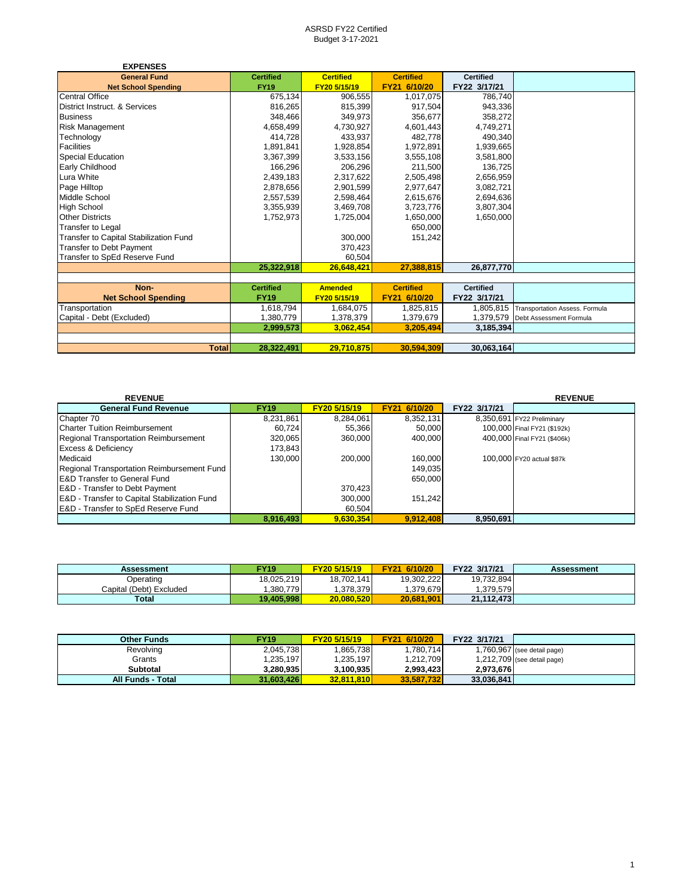| <b>EXPENSES</b>                        |                  |                  |                  |                  |                                   |
|----------------------------------------|------------------|------------------|------------------|------------------|-----------------------------------|
| <b>General Fund</b>                    | <b>Certified</b> | <b>Certified</b> | <b>Certified</b> | <b>Certified</b> |                                   |
| <b>Net School Spending</b>             | <b>FY19</b>      | FY20 5/15/19     | FY21 6/10/20     | FY22 3/17/21     |                                   |
| <b>Central Office</b>                  | 675,134          | 906.555          | 1,017,075        | 786.740          |                                   |
| District Instruct. & Services          | 816,265          | 815,399          | 917.504          | 943.336          |                                   |
| <b>Business</b>                        | 348,466          | 349,973          | 356,677          | 358,272          |                                   |
| <b>Risk Management</b>                 | 4,658,499        | 4,730,927        | 4,601,443        | 4,749,271        |                                   |
| Technology                             | 414,728          | 433,937          | 482,778          | 490,340          |                                   |
| Facilities                             | 1,891,841        | 1,928,854        | 1,972,891        | 1,939,665        |                                   |
| <b>Special Education</b>               | 3,367,399        | 3,533,156        | 3,555,108        | 3,581,800        |                                   |
| Early Childhood                        | 166,296          | 206,296          | 211,500          | 136,725          |                                   |
| Lura White                             | 2,439,183        | 2,317,622        | 2,505,498        | 2,656,959        |                                   |
| Page Hilltop                           | 2,878,656        | 2,901,599        | 2,977,647        | 3,082,721        |                                   |
| Middle School                          | 2,557,539        | 2,598,464        | 2,615,676        | 2,694,636        |                                   |
| <b>High School</b>                     | 3,355,939        | 3,469,708        | 3,723,776        | 3,807,304        |                                   |
| <b>Other Districts</b>                 | 1,752,973        | 1,725,004        | 1,650,000        | 1.650.000        |                                   |
| Transfer to Legal                      |                  |                  | 650.000          |                  |                                   |
| Transfer to Capital Stabilization Fund |                  | 300,000          | 151,242          |                  |                                   |
| <b>Transfer to Debt Payment</b>        |                  | 370,423          |                  |                  |                                   |
| Transfer to SpEd Reserve Fund          |                  | 60,504           |                  |                  |                                   |
|                                        | 25,322,918       | 26.648.421       | 27.388.815       | 26,877,770       |                                   |
|                                        |                  |                  |                  |                  |                                   |
| Non-                                   | <b>Certified</b> | <b>Amended</b>   | <b>Certified</b> | <b>Certified</b> |                                   |
| <b>Net School Spending</b>             | <b>FY19</b>      | FY20 5/15/19     | FY21 6/10/20     | FY22 3/17/21     |                                   |
| Transportation                         | 1,618,794        | 1,684,075        | 1,825,815        | 1,805,815        | Transportation Assess. Formula    |
| Capital - Debt (Excluded)              | 1,380,779        | 1,378,379        | 1,379,679        |                  | 1,379,579 Debt Assessment Formula |
|                                        | 2,999,573        | 3,062,454        | 3.205.494        | 3,185,394        |                                   |
|                                        |                  |                  |                  |                  |                                   |
| <b>Total</b>                           | 28,322,491       | 29,710,875       | 30,594,309       | 30,063,164       |                                   |

| <b>REVENUE</b>                                 |             |              |              |              | <b>REVENUE</b>              |
|------------------------------------------------|-------------|--------------|--------------|--------------|-----------------------------|
| <b>General Fund Revenue</b>                    | <b>FY19</b> | FY20 5/15/19 | FY21 6/10/20 | FY22 3/17/21 |                             |
| Chapter 70                                     | 8,231,861   | 8,284,061    | 8,352,131    |              | 8,350,691 FY22 Preliminary  |
| <b>Charter Tuition Reimbursement</b>           | 60.724      | 55,366       | 50,000       |              | 100,000 Final FY21 (\$192k) |
| <b>Regional Transportation Reimbursement</b>   | 320,065     | 360,000      | 400.000      |              | 400,000 Final FY21 (\$406k) |
| <b>Excess &amp; Deficiency</b>                 | 173,843     |              |              |              |                             |
| Medicaid                                       | 130.000     | 200.000      | 160,000      |              | 100,000 FY20 actual \$87k   |
| Regional Transportation Reimbursement Fund     |             |              | 149.035      |              |                             |
| <b>E&amp;D Transfer to General Fund</b>        |             |              | 650,000      |              |                             |
| <b>E&amp;D</b> - Transfer to Debt Payment      |             | 370.423      |              |              |                             |
| E&D - Transfer to Capital Stabilization Fund   |             | 300.000      | 151.242      |              |                             |
| <b>E&amp;D</b> - Transfer to SpEd Reserve Fund |             | 60,504       |              |              |                             |
|                                                | 8.916.493   | 9,630,354    | 9.912.408    | 8.950.691    |                             |

| Assessment              | <b>FY19</b> | FY20 5/15/19 | FY21 6/10/20 | FY22 3/17/21 | Assessment |
|-------------------------|-------------|--------------|--------------|--------------|------------|
| Operating               | 18.025.219  | 18,702,141   | 19.302.222   | 19.732.894   |            |
| Capital (Debt) Excluded | .380.779    | .378.379     | .379.679     | 1.379.579    |            |
| Total                   | 19.405.998  | 20,080,520   | 20.681.901   | 21,112,473   |            |

| <b>Other Funds</b>       | <b>FY19</b> | FY20 5/15/19 | FY21 6/10/20 | FY22 3/17/21 |                               |
|--------------------------|-------------|--------------|--------------|--------------|-------------------------------|
| Revolving                | 2,045,738   | .865,738     | ,780,714     |              | 1,760,967 (see detail page)   |
| Grants                   | 1.235.197   | 1,235,197    | 1,212,709    |              | $1,212,709$ (see detail page) |
| Subtotal                 | 3.280.935   | 3.100.935    | 2.993.423    | 2.973.676    |                               |
| <b>All Funds - Total</b> | 31.603.426  | 32.811.810   | 33.587.732   | 33.036.841   |                               |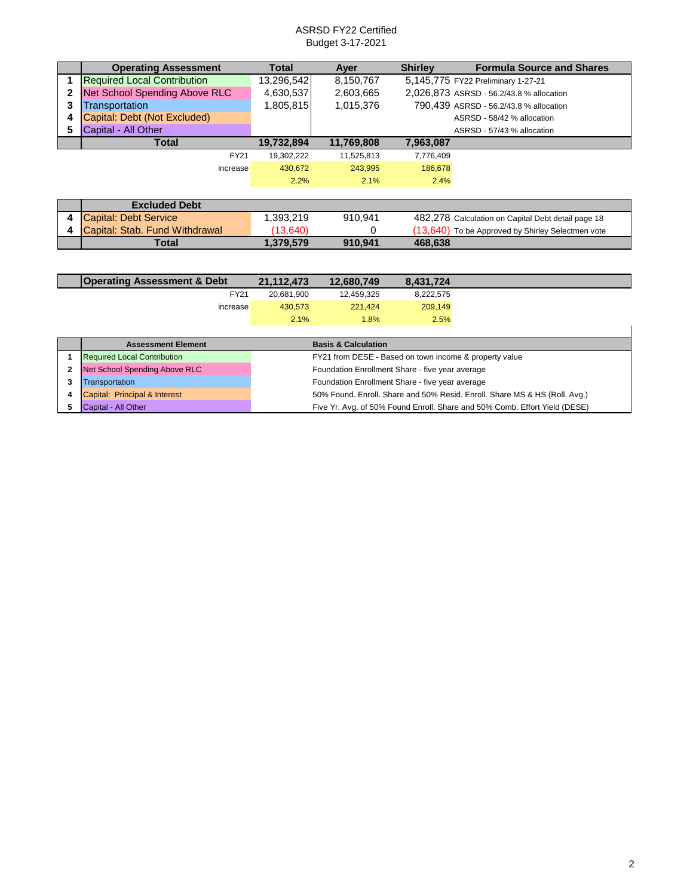|   | <b>Operating Assessment</b>        | Total      | Ayer       | <b>Shirley</b>             | <b>Formula Source and Shares</b>                   |  |
|---|------------------------------------|------------|------------|----------------------------|----------------------------------------------------|--|
|   | <b>Required Local Contribution</b> | 13,296,542 | 8,150,767  |                            | 5,145,775 FY22 Preliminary 1-27-21                 |  |
| 2 | Net School Spending Above RLC      | 4,630,537  | 2,603,665  |                            | 2,026,873 ASRSD - 56.2/43.8 % allocation           |  |
| 3 | <b>Transportation</b>              | 1,805,815  | 1,015,376  |                            | 790,439 ASRSD - 56.2/43.8 % allocation             |  |
|   | Capital: Debt (Not Excluded)       |            |            | ASRSD - 58/42 % allocation |                                                    |  |
| 5 | Capital - All Other                |            |            |                            | ASRSD - 57/43 % allocation                         |  |
|   | <b>Total</b>                       | 19,732,894 | 11,769,808 | 7,963,087                  |                                                    |  |
|   | <b>FY21</b>                        | 19,302,222 | 11,525,813 | 7,776,409                  |                                                    |  |
|   | increase                           | 430.672    | 243,995    | 186,678                    |                                                    |  |
|   |                                    | 2.2%       | 2.1%       | 2.4%                       |                                                    |  |
|   |                                    |            |            |                            |                                                    |  |
|   | <b>Excluded Debt</b>               |            |            |                            |                                                    |  |
| 4 | <b>Capital: Debt Service</b>       | 1,393,219  | 910.941    |                            | 482,278 Calculation on Capital Debt detail page 18 |  |
|   | Capital: Stab. Fund Withdrawal     | (13,640)   | 0          |                            | (13,640) To be Approved by Shirley Selectmen vote  |  |
|   | <b>Total</b>                       | 1,379,579  | 910.941    | 468,638                    |                                                    |  |

| <b>Operating Assessment &amp; Debt</b> | 21,112,473 | 12,680,749 | 8,431,724 |
|----------------------------------------|------------|------------|-----------|
| FY21                                   | 20,681,900 | 12,459,325 | 8,222,575 |
| increase                               | 430,573    | 221.424    | 209,149   |
|                                        | 2.1%       | 1.8%       | 2.5%      |
|                                        |            |            |           |

|   | <b>Assessment Element</b>          | <b>Basis &amp; Calculation</b>                                             |
|---|------------------------------------|----------------------------------------------------------------------------|
|   | <b>Required Local Contribution</b> | FY21 from DESE - Based on town income & property value                     |
| 2 | Net School Spending Above RLC      | Foundation Enrollment Share - five year average                            |
|   | Transportation                     | Foundation Enrollment Share - five year average                            |
|   | Capital: Principal & Interest      | 50% Found. Enroll. Share and 50% Resid. Enroll. Share MS & HS (Roll. Avg.) |
|   | Capital - All Other                | Five Yr. Avg. of 50% Found Enroll. Share and 50% Comb. Effort Yield (DESE) |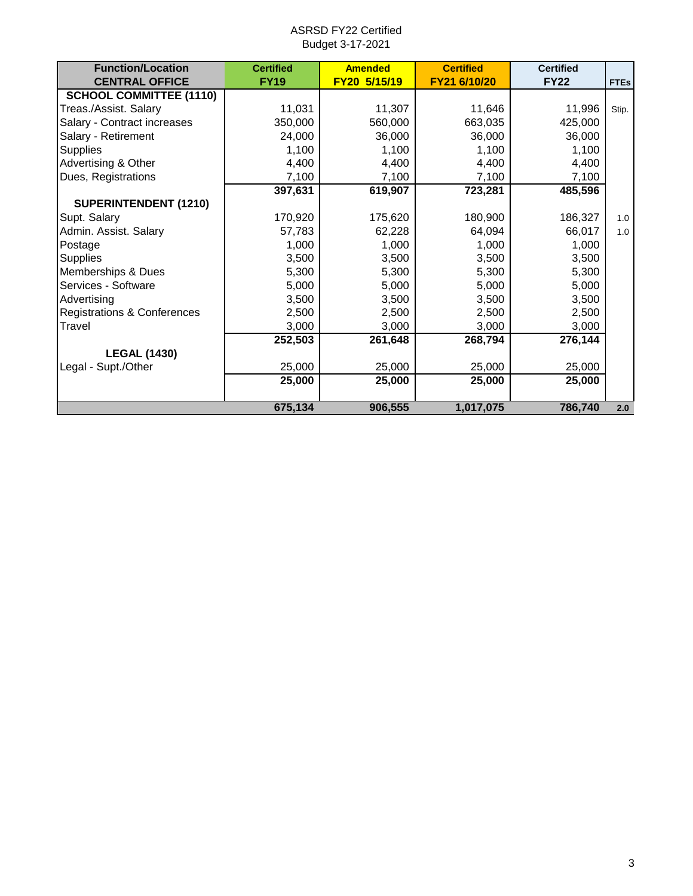| <b>Function/Location</b>               | <b>Certified</b> | <b>Amended</b> | <b>Certified</b> | <b>Certified</b> |             |
|----------------------------------------|------------------|----------------|------------------|------------------|-------------|
| <b>CENTRAL OFFICE</b>                  | <b>FY19</b>      | FY20 5/15/19   | FY21 6/10/20     | <b>FY22</b>      | <b>FTEs</b> |
| <b>SCHOOL COMMITTEE (1110)</b>         |                  |                |                  |                  |             |
| Treas./Assist. Salary                  | 11,031           | 11,307         | 11,646           | 11,996           | Stip.       |
| Salary - Contract increases            | 350,000          | 560,000        | 663,035          | 425,000          |             |
| Salary - Retirement                    | 24,000           | 36,000         | 36,000           | 36,000           |             |
| <b>Supplies</b>                        | 1,100            | 1,100          | 1,100            | 1,100            |             |
| Advertising & Other                    | 4,400            | 4,400          | 4,400            | 4,400            |             |
| Dues, Registrations                    | 7,100            | 7,100          | 7,100            | 7,100            |             |
|                                        | 397,631          | 619,907        | 723,281          | 485,596          |             |
| SUPERINTENDENT (1210)                  |                  |                |                  |                  |             |
| Supt. Salary                           | 170,920          | 175,620        | 180,900          | 186,327          | 1.0         |
| Admin. Assist. Salary                  | 57,783           | 62,228         | 64,094           | 66,017           | 1.0         |
| Postage                                | 1,000            | 1,000          | 1,000            | 1,000            |             |
| <b>Supplies</b>                        | 3,500            | 3,500          | 3,500            | 3,500            |             |
| Memberships & Dues                     | 5,300            | 5,300          | 5,300            | 5,300            |             |
| Services - Software                    | 5,000            | 5,000          | 5,000            | 5,000            |             |
| Advertising                            | 3,500            | 3,500          | 3,500            | 3,500            |             |
| <b>Registrations &amp; Conferences</b> | 2,500            | 2,500          | 2,500            | 2,500            |             |
| Travel                                 | 3,000            | 3,000          | 3,000            | 3,000            |             |
|                                        | 252,503          | 261,648        | 268,794          | 276,144          |             |
| <b>LEGAL (1430)</b>                    |                  |                |                  |                  |             |
| Legal - Supt./Other                    | 25,000           | 25,000         | 25,000           | 25,000           |             |
|                                        | 25,000           | 25,000         | 25,000           | 25,000           |             |
|                                        |                  |                |                  |                  |             |
|                                        | 675,134          | 906,555        | 1,017,075        | 786,740          | 2.0         |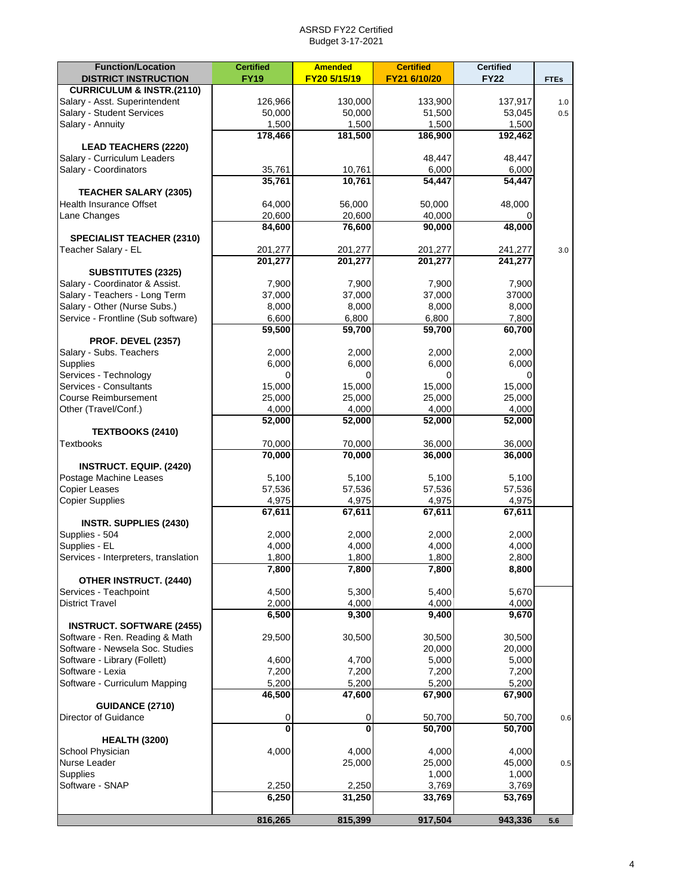| <b>Function/Location</b>             | <b>Certified</b>   | <b>Amended</b>          | <b>Certified</b>   | <b>Certified</b>   |             |
|--------------------------------------|--------------------|-------------------------|--------------------|--------------------|-------------|
| <b>DISTRICT INSTRUCTION</b>          | <b>FY19</b>        | FY20 5/15/19            | FY21 6/10/20       | <b>FY22</b>        | <b>FTEs</b> |
| <b>CURRICULUM &amp; INSTR.(2110)</b> |                    |                         |                    |                    |             |
| Salary - Asst. Superintendent        | 126,966            | 130,000                 | 133,900            | 137,917            | 1.0         |
| Salary - Student Services            | 50,000             | 50,000                  | 51,500             | 53,045             | 0.5         |
| Salary - Annuity                     | 1,500              | 1,500                   | 1,500              | 1,500              |             |
|                                      | 178,466            | 181,500                 | 186,900            | 192,462            |             |
| <b>LEAD TEACHERS (2220)</b>          |                    |                         |                    |                    |             |
| Salary - Curriculum Leaders          |                    |                         | 48,447             | 48,447             |             |
| Salary - Coordinators                | 35,761             | 10,761                  | 6,000              | 6,000              |             |
|                                      | 35,761             | 10,761                  | 54,447             | 54,447             |             |
| <b>TEACHER SALARY (2305)</b>         |                    |                         |                    |                    |             |
| <b>Health Insurance Offset</b>       | 64,000             | 56,000                  | 50,000             | 48,000             |             |
| Lane Changes                         | 20,600             | 20,600                  | 40,000             |                    |             |
|                                      | 84,600             | 76,600                  | 90,000             | 48,000             |             |
| <b>SPECIALIST TEACHER (2310)</b>     |                    |                         |                    |                    |             |
| Teacher Salary - EL                  |                    |                         |                    |                    | 3.0         |
|                                      | 201,277<br>201,277 | 201,277<br>201,277      | 201,277<br>201,277 | 241,277<br>241,277 |             |
|                                      |                    |                         |                    |                    |             |
| <b>SUBSTITUTES (2325)</b>            |                    |                         |                    |                    |             |
| Salary - Coordinator & Assist.       | 7,900              | 7,900                   | 7,900              | 7,900              |             |
| Salary - Teachers - Long Term        | 37,000             | 37,000                  | 37,000             | 37000              |             |
| Salary - Other (Nurse Subs.)         | 8,000              | 8,000                   | 8,000              | 8,000              |             |
| Service - Frontline (Sub software)   | 6,600              | 6,800                   | 6,800              | 7,800              |             |
|                                      | 59,500             | 59,700                  | 59,700             | 60,700             |             |
| <b>PROF. DEVEL (2357)</b>            |                    |                         |                    |                    |             |
| Salary - Subs. Teachers              | 2,000              | 2,000                   | 2,000              | 2,000              |             |
| <b>Supplies</b>                      | 6,000              | 6,000                   | 6,000              | 6,000              |             |
| Services - Technology                | 0                  | 0                       | 0                  | $\Omega$           |             |
| Services - Consultants               | 15,000             | 15,000                  | 15,000             | 15,000             |             |
| <b>Course Reimbursement</b>          | 25,000             | 25,000                  | 25,000             | 25,000             |             |
| Other (Travel/Conf.)                 | 4,000              | 4,000                   | 4,000              | 4,000              |             |
|                                      | 52,000             | 52,000                  | 52,000             | 52,000             |             |
| TEXTBOOKS (2410)                     |                    |                         |                    |                    |             |
| Textbooks                            | 70,000             | 70,000                  | 36,000             | 36,000             |             |
|                                      | 70,000             | 70,000                  | 36,000             | 36,000             |             |
| <b>INSTRUCT. EQUIP. (2420)</b>       |                    |                         |                    |                    |             |
| Postage Machine Leases               | 5,100              | 5,100                   | 5,100              | 5,100              |             |
| <b>Copier Leases</b>                 | 57,536             | 57,536                  | 57,536             | 57,536             |             |
| <b>Copier Supplies</b>               | 4,975              | 4,975                   | 4,975              | 4,975              |             |
|                                      | 67,611             | 67,611                  | 67,611             | 67,611             |             |
| <b>INSTR. SUPPLIES (2430)</b>        |                    |                         |                    |                    |             |
| Supplies - 504                       | 2,000              | 2,000                   | 2,000              | 2,000              |             |
| Supplies - EL                        | 4,000              | 4,000                   | 4,000              | 4,000              |             |
| Services - Interpreters, translation | 1,800              | 1,800                   |                    | 2,800              |             |
|                                      |                    |                         | 1,800              |                    |             |
|                                      | 7,800              | 7,800                   | 7,800              | 8,800              |             |
| <b>OTHER INSTRUCT. (2440)</b>        |                    |                         | 5.400              |                    |             |
| Services - Teachpoint                | 4,500              | 5,300                   |                    | 5,670              |             |
| <b>District Travel</b>               | 2,000              | 4,000                   | 4,000              | 4,000              |             |
|                                      | 6,500              | 9,300                   | 9,400              | 9,670              |             |
| <b>INSTRUCT. SOFTWARE (2455)</b>     |                    |                         |                    |                    |             |
| Software - Ren. Reading & Math       | 29,500             | 30,500                  | 30,500             | 30,500             |             |
| Software - Newsela Soc. Studies      |                    |                         | 20,000             | 20,000             |             |
| Software - Library (Follett)         | 4,600              | 4,700                   | 5,000              | 5,000              |             |
| Software - Lexia                     | 7,200              | 7,200                   | 7,200              | 7,200              |             |
| Software - Curriculum Mapping        | 5,200              | 5,200                   | 5,200              | 5,200              |             |
|                                      | 46,500             | 47,600                  | 67,900             | 67,900             |             |
| <b>GUIDANCE (2710)</b>               |                    |                         |                    |                    |             |
| Director of Guidance                 | 0                  | 0                       | 50,700             | 50,700             | 0.6         |
|                                      | $\overline{0}$     | $\overline{\mathbf{0}}$ | 50,700             | 50,700             |             |
| <b>HEALTH (3200)</b>                 |                    |                         |                    |                    |             |
| School Physician                     | 4,000              | 4,000                   | 4,000              | 4,000              |             |
| Nurse Leader                         |                    | 25,000                  | 25,000             | 45,000             | 0.5         |
| Supplies                             |                    |                         | 1,000              | 1,000              |             |
| Software - SNAP                      | 2,250              | 2,250                   | 3,769              | 3,769              |             |
|                                      | 6,250              | 31,250                  | 33,769             | 53,769             |             |
|                                      |                    |                         |                    |                    |             |
|                                      | 816,265            | 815,399                 | 917,504            | 943,336            | 5.6         |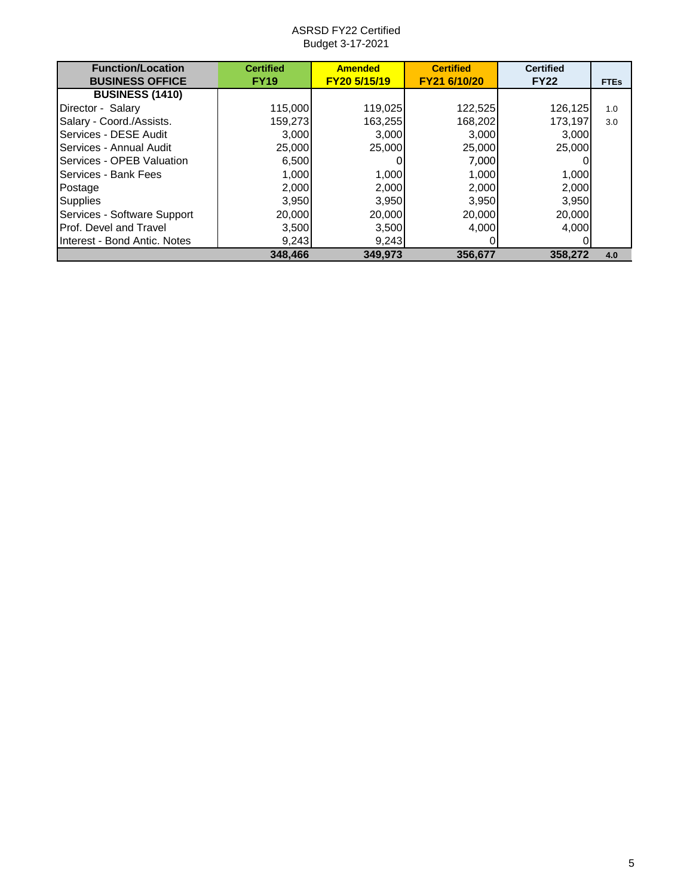ASRSD FY22 Certified Budget 3-17-2021

| <b>Function/Location</b>      | <b>Certified</b> | <b>Amended</b> | <b>Certified</b> | <b>Certified</b> |             |
|-------------------------------|------------------|----------------|------------------|------------------|-------------|
| <b>BUSINESS OFFICE</b>        | <b>FY19</b>      | FY20 5/15/19   | FY21 6/10/20     | <b>FY22</b>      | <b>FTEs</b> |
| <b>BUSINESS (1410)</b>        |                  |                |                  |                  |             |
| Director - Salary             | 115,000          | 119,025        | 122,525          | 126,125          | 1.0         |
| Salary - Coord./Assists.      | 159,273          | 163,255        | 168,202          | 173,197          | 3.0         |
| Services - DESE Audit         | 3.000            | 3.000          | 3.000            | 3,000            |             |
| Services - Annual Audit       | 25,000           | 25,000         | 25,000           | 25,000           |             |
| Services - OPEB Valuation     | 6,500            |                | 7,000            |                  |             |
| Services - Bank Fees          | 1,000            | 1,000          | 1.000            | 1,000            |             |
| Postage                       | 2,000            | 2,000          | 2.000            | 2,000            |             |
| <b>Supplies</b>               | 3,950            | 3,950          | 3,950            | 3,950            |             |
| Services - Software Support   | 20,000           | 20,000         | 20,000           | 20,000           |             |
| <b>Prof. Devel and Travel</b> | 3,500            | 3,500          | 4.000            | 4.000            |             |
| Interest - Bond Antic. Notes  | 9,243            | 9,243          |                  |                  |             |
|                               | 348,466          | 349.973        | 356,677          | 358,272          | 4.0         |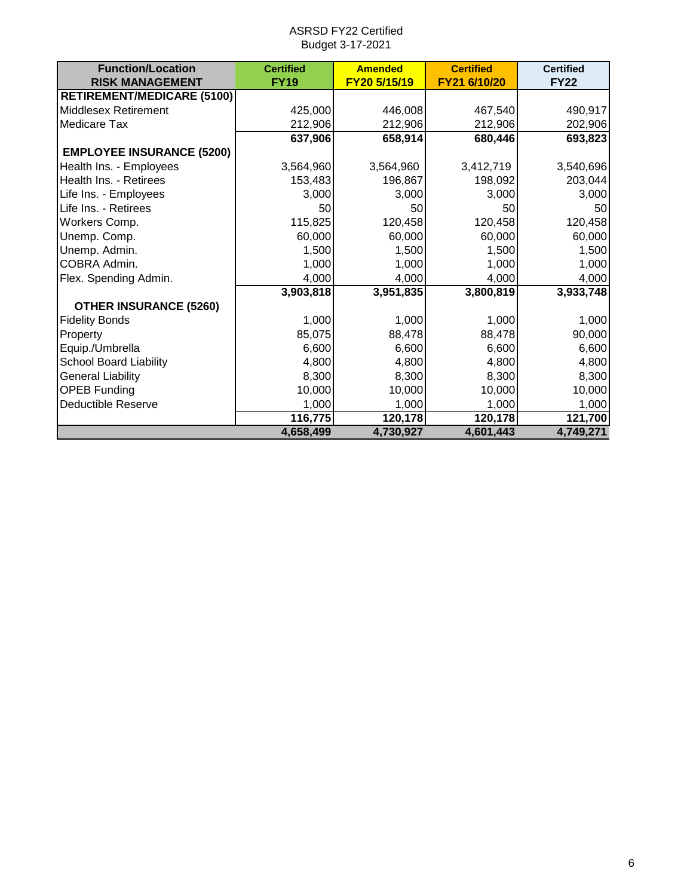| <b>Function/Location</b>          | <b>Certified</b> | <b>Amended</b> | <b>Certified</b> | <b>Certified</b> |
|-----------------------------------|------------------|----------------|------------------|------------------|
| <b>RISK MANAGEMENT</b>            | <b>FY19</b>      | FY20 5/15/19   | FY21 6/10/20     | <b>FY22</b>      |
| <b>RETIREMENT/MEDICARE (5100)</b> |                  |                |                  |                  |
| <b>Middlesex Retirement</b>       | 425,000          | 446,008        | 467,540          | 490,917          |
| <b>Medicare Tax</b>               | 212,906          | 212,906        | 212,906          | 202,906          |
|                                   | 637,906          | 658,914        | 680,446          | 693,823          |
| <b>EMPLOYEE INSURANCE (5200)</b>  |                  |                |                  |                  |
| Health Ins. - Employees           | 3,564,960        | 3,564,960      | 3,412,719        | 3,540,696        |
| Health Ins. - Retirees            | 153,483          | 196,867        | 198,092          | 203,044          |
| Life Ins. - Employees             | 3,000            | 3,000          | 3,000            | 3,000            |
| Life Ins. - Retirees              | 50               | 50             | 50               | 50               |
| Workers Comp.                     | 115,825          | 120,458        | 120,458          | 120,458          |
| Unemp. Comp.                      | 60,000           | 60,000         | 60,000           | 60,000           |
| Unemp. Admin.                     | 1,500            | 1,500          | 1,500            | 1,500            |
| COBRA Admin.                      | 1,000            | 1,000          | 1,000            | 1,000            |
| Flex. Spending Admin.             | 4,000            | 4,000          | 4,000            | 4,000            |
|                                   | 3,903,818        | 3,951,835      | 3,800,819        | 3,933,748        |
| <b>OTHER INSURANCE (5260)</b>     |                  |                |                  |                  |
| <b>Fidelity Bonds</b>             | 1,000            | 1,000          | 1,000            | 1,000            |
| Property                          | 85,075           | 88,478         | 88,478           | 90,000           |
| Equip./Umbrella                   | 6,600            | 6,600          | 6,600            | 6,600            |
| <b>School Board Liability</b>     | 4,800            | 4,800          | 4,800            | 4,800            |
| <b>General Liability</b>          | 8,300            | 8,300          | 8,300            | 8,300            |
| <b>OPEB Funding</b>               | 10,000           | 10,000         | 10,000           | 10,000           |
| <b>Deductible Reserve</b>         | 1,000            | 1,000          | 1,000            | 1,000            |
|                                   | 116,775          | 120,178        | 120,178          | 121,700          |
|                                   | 4,658,499        | 4,730,927      | 4,601,443        | 4,749,271        |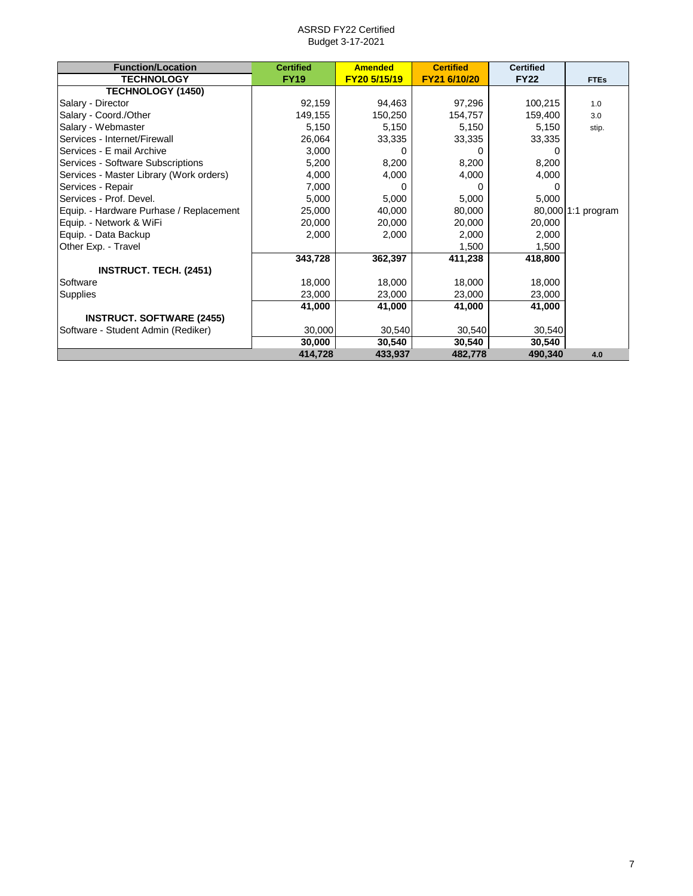| <b>Function/Location</b>                | <b>Certified</b> | <b>Amended</b> | <b>Certified</b> | <b>Certified</b> |                    |
|-----------------------------------------|------------------|----------------|------------------|------------------|--------------------|
| <b>TECHNOLOGY</b>                       | <b>FY19</b>      | FY20 5/15/19   | FY21 6/10/20     | <b>FY22</b>      | <b>FTEs</b>        |
| <b>TECHNOLOGY (1450)</b>                |                  |                |                  |                  |                    |
| Salary - Director                       | 92,159           | 94,463         | 97,296           | 100,215          | 1.0                |
| Salary - Coord./Other                   | 149,155          | 150,250        | 154,757          | 159,400          | 3.0                |
| Salary - Webmaster                      | 5,150            | 5,150          | 5,150            | 5,150            | stip.              |
| Services - Internet/Firewall            | 26,064           | 33,335         | 33,335           | 33,335           |                    |
| Services - E mail Archive               | 3,000            |                |                  |                  |                    |
| Services - Software Subscriptions       | 5,200            | 8,200          | 8,200            | 8,200            |                    |
| Services - Master Library (Work orders) | 4,000            | 4,000          | 4,000            | 4,000            |                    |
| Services - Repair                       | 7,000            |                |                  |                  |                    |
| Services - Prof. Devel.                 | 5,000            | 5,000          | 5,000            | 5,000            |                    |
| Equip. - Hardware Purhase / Replacement | 25,000           | 40,000         | 80,000           |                  | 80,000 1:1 program |
| Equip. - Network & WiFi                 | 20,000           | 20,000         | 20,000           | 20,000           |                    |
| Equip. - Data Backup                    | 2,000            | 2,000          | 2,000            | 2,000            |                    |
| Other Exp. - Travel                     |                  |                | 1,500            | 1,500            |                    |
|                                         | 343,728          | 362,397        | 411,238          | 418,800          |                    |
| <b>INSTRUCT. TECH. (2451)</b>           |                  |                |                  |                  |                    |
| Software                                | 18,000           | 18,000         | 18,000           | 18,000           |                    |
| Supplies                                | 23,000           | 23,000         | 23,000           | 23,000           |                    |
|                                         | 41,000           | 41,000         | 41,000           | 41,000           |                    |
| <b>INSTRUCT. SOFTWARE (2455)</b>        |                  |                |                  |                  |                    |
| Software - Student Admin (Rediker)      | 30,000           | 30,540         | 30,540           | 30,540           |                    |
|                                         | 30,000           | 30,540         | 30,540           | 30,540           |                    |
|                                         | 414,728          | 433,937        | 482,778          | 490,340          | 4.0                |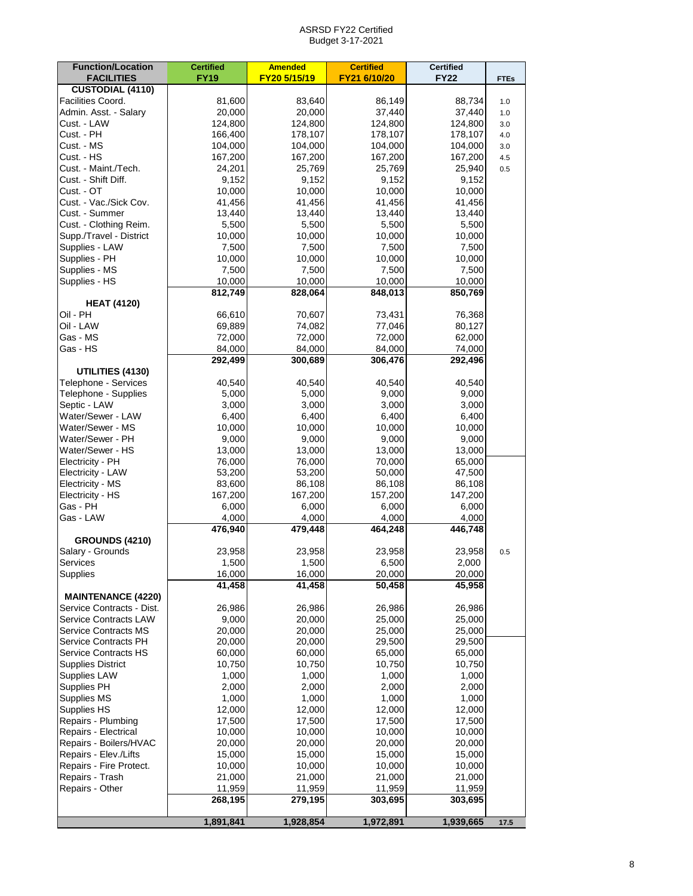| <b>Function/Location</b><br><b>FACILITIES</b> | <b>Certified</b><br><b>FY19</b> | <b>Amended</b><br>FY20 5/15/19 | <b>Certified</b><br>FY21 6/10/20 | <b>Certified</b><br><b>FY22</b> | <b>FTEs</b> |
|-----------------------------------------------|---------------------------------|--------------------------------|----------------------------------|---------------------------------|-------------|
| <b>CUSTODIAL (4110)</b>                       |                                 |                                |                                  |                                 |             |
| Facilities Coord.                             | 81,600                          | 83,640                         | 86,149                           | 88,734                          | 1.0         |
| Admin. Asst. - Salary                         | 20,000                          | 20,000                         | 37,440                           | 37,440                          | 1.0         |
| Cust. - LAW                                   | 124,800                         | 124,800                        | 124,800                          | 124,800                         | 3.0         |
| Cust. - PH                                    | 166,400                         | 178,107                        | 178,107                          | 178,107                         | 4.0         |
| Cust. - MS                                    | 104,000                         | 104,000                        | 104,000                          | 104,000                         | 3.0         |
| Cust. - HS<br>Cust. - Maint./Tech.            | 167,200                         | 167,200                        | 167,200<br>25,769                | 167,200                         | 4.5         |
| Cust. - Shift Diff.                           | 24,201<br>9,152                 | 25,769<br>9,152                | 9,152                            | 25,940<br>9,152                 | 0.5         |
| Cust. - OT                                    | 10,000                          | 10,000                         | 10,000                           | 10,000                          |             |
| Cust. - Vac./Sick Cov.                        | 41,456                          | 41,456                         | 41,456                           | 41,456                          |             |
| Cust. - Summer                                | 13,440                          | 13,440                         | 13,440                           | 13,440                          |             |
| Cust. - Clothing Reim.                        | 5,500                           | 5,500                          | 5,500                            | 5,500                           |             |
| Supp./Travel - District                       | 10,000                          | 10,000                         | 10,000                           | 10,000                          |             |
| Supplies - LAW                                | 7,500                           | 7,500                          | 7,500                            | 7,500                           |             |
| Supplies - PH                                 | 10,000                          | 10,000                         | 10,000                           | 10,000                          |             |
| Supplies - MS                                 | 7,500                           | 7,500                          | 7,500                            | 7,500                           |             |
| Supplies - HS                                 | 10,000                          | 10,000                         | 10,000                           | 10,000                          |             |
|                                               | 812,749                         | 828,064                        | 848,013                          | 850,769                         |             |
| <b>HEAT (4120)</b>                            |                                 |                                |                                  |                                 |             |
| Oil - PH                                      | 66,610                          | 70,607                         | 73,431                           | 76,368                          |             |
| Oil - LAW                                     | 69,889                          | 74,082                         | 77,046                           | 80,127                          |             |
| Gas - MS                                      | 72,000                          | 72,000                         | 72,000                           | 62,000                          |             |
| Gas - HS                                      | 84,000                          | 84,000                         | 84,000                           | 74,000                          |             |
| UTILITIES (4130)                              | 292,499                         | 300,689                        | 306,476                          | 292,496                         |             |
| Telephone - Services                          | 40,540                          | 40,540                         | 40,540                           | 40,540                          |             |
| Telephone - Supplies                          | 5,000                           | 5,000                          | 9,000                            | 9,000                           |             |
| Septic - LAW                                  | 3,000                           | 3,000                          | 3,000                            | 3,000                           |             |
| Water/Sewer - LAW                             | 6,400                           | 6,400                          | 6,400                            | 6,400                           |             |
| Water/Sewer - MS                              | 10,000                          | 10,000                         | 10,000                           | 10,000                          |             |
| Water/Sewer - PH                              | 9,000                           | 9,000                          | 9,000                            | 9,000                           |             |
| Water/Sewer - HS                              | 13,000                          | 13,000                         | 13,000                           | 13,000                          |             |
| Electricity - PH                              | 76,000                          | 76,000                         | 70,000                           | 65,000                          |             |
| Electricity - LAW                             | 53,200                          | 53,200                         | 50,000                           | 47,500                          |             |
| Electricity - MS                              | 83,600                          | 86,108                         | 86,108                           | 86,108                          |             |
| Electricity - HS                              | 167,200                         | 167,200                        | 157,200                          | 147,200                         |             |
| Gas - PH                                      | 6,000                           | 6,000                          | 6,000                            | 6,000                           |             |
| Gas - LAW                                     | 4,000                           | 4,000                          | 4,000                            | 4,000<br>446,748                |             |
| <b>GROUNDS (4210)</b>                         | 476,940                         | 479,448                        | 464,248                          |                                 |             |
| Salary - Grounds                              | 23,958                          | 23,958                         | 23,958                           | 23,958                          | 0.5         |
| Services                                      | 1,500                           | 1,500                          | 6,500                            | 2,000                           |             |
| Supplies                                      | 16,000                          | 16,000                         | 20,000                           | 20,000                          |             |
|                                               | 41,458                          | 41,458                         | 50,458                           | 45,958                          |             |
| <b>MAINTENANCE (4220)</b>                     |                                 |                                |                                  |                                 |             |
| Service Contracts - Dist.                     | 26,986                          | 26,986                         | 26,986                           | 26,986                          |             |
| <b>Service Contracts LAW</b>                  | 9,000                           | 20,000                         | 25,000                           | 25,000                          |             |
| <b>Service Contracts MS</b>                   | 20,000                          | 20,000                         | 25,000                           | 25,000                          |             |
| Service Contracts PH<br>Service Contracts HS  | 20,000<br>60,000                | 20,000<br>60,000               | 29,500<br>65,000                 | 29,500<br>65,000                |             |
| <b>Supplies District</b>                      | 10,750                          | 10,750                         | 10,750                           | 10,750                          |             |
| <b>Supplies LAW</b>                           | 1,000                           | 1,000                          | 1,000                            | 1,000                           |             |
| <b>Supplies PH</b>                            | 2,000                           | 2,000                          | 2,000                            | 2,000                           |             |
| Supplies MS                                   | 1,000                           | 1,000                          | 1,000                            | 1,000                           |             |
| Supplies HS                                   | 12,000                          | 12,000                         | 12,000                           | 12,000                          |             |
| Repairs - Plumbing                            | 17,500                          | 17,500                         | 17,500                           | 17,500                          |             |
| Repairs - Electrical                          | 10,000                          | 10,000                         | 10,000                           | 10,000                          |             |
| Repairs - Boilers/HVAC                        | 20,000                          | 20,000                         | 20,000                           | 20,000                          |             |
| Repairs - Elev./Lifts                         | 15,000                          | 15,000                         | 15,000                           | 15,000                          |             |
| Repairs - Fire Protect.                       | 10,000                          | 10,000                         | 10,000                           | 10,000                          |             |
| Repairs - Trash                               | 21,000                          | 21,000                         | 21,000                           | 21,000                          |             |
| Repairs - Other                               | 11,959                          | 11,959                         | 11,959                           | 11,959                          |             |
|                                               | 268,195                         | 279,195                        | 303,695                          | 303,695                         |             |
|                                               | 1,891,841                       | 1,928,854                      | 1,972,891                        | 1,939,665                       | 17.5        |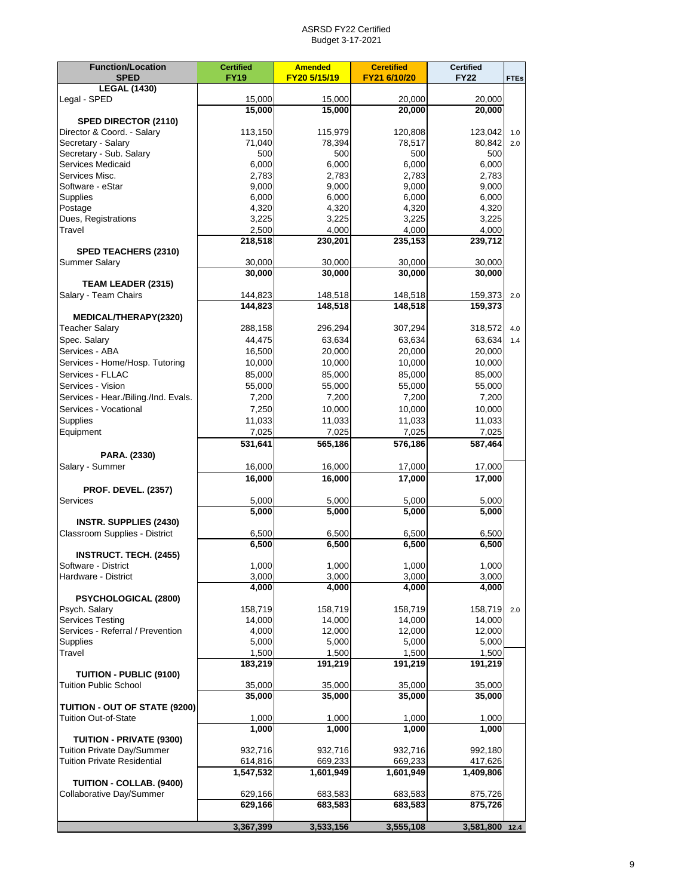| <b>SPED</b><br><b>FY19</b><br>FY20 5/15/19<br><b>FY22</b><br><b>FTEs</b><br><b>LEGAL (1430)</b><br>Legal - SPED<br>15,000<br>15,000<br>20,000<br>20,000<br>15,000<br>15,000<br>20,000<br>20,000<br>SPED DIRECTOR (2110)<br>Director & Coord. - Salary<br>113,150<br>115,979<br>120,808<br>123,042<br>1.0<br>Secretary - Salary<br>78,517<br>80,842<br>71,040<br>78,394<br>2.0<br>Secretary - Sub. Salary<br>500<br>500<br>500<br>500<br>Services Medicaid<br>6,000<br>6,000<br>6,000<br>6,000<br>Services Misc.<br>2,783<br>2,783<br>2,783<br>2,783<br>Software - eStar<br>9,000<br>9,000<br>9,000<br>9,000<br>6,000<br>6,000<br>6,000<br><b>Supplies</b><br>6,000<br>4,320<br>4,320<br>4,320<br>Postage<br>4,320<br>Dues, Registrations<br>3,225<br>3,225<br>3,225<br>3,225<br>Travel<br>2,500<br>4,000<br>4,000<br>4,000<br>218,518<br>230,201<br>235,153<br>239,712<br>SPED TEACHERS (2310)<br><b>Summer Salary</b><br>30,000<br>30,000<br>30,000<br>30,000<br>30,000<br>30,000<br>30,000<br>30,000<br>TEAM LEADER (2315)<br>Salary - Team Chairs<br>144,823<br>148,518<br>148,518<br>159,373<br>2.0<br>144,823<br>148,518<br>148,518<br>159,373<br>MEDICAL/THERAPY(2320)<br>307,294<br><b>Teacher Salary</b><br>288,158<br>296,294<br>318,572<br>4.0<br>Spec. Salary<br>63,634<br>63,634<br>44,475<br>63,634<br>1.4<br>Services - ABA<br>16,500<br>20,000<br>20,000<br>20,000<br>Services - Home/Hosp. Tutoring<br>10,000<br>10,000<br>10,000<br>10,000<br>Services - FLLAC<br>85,000<br>85,000<br>85,000<br>85,000<br>Services - Vision<br>55,000<br>55,000<br>55,000<br>55,000<br>Services - Hear./Biling./Ind. Evals.<br>7,200<br>7,200<br>7,200<br>7,200<br>Services - Vocational<br>7,250<br>10,000<br>10,000<br>10,000<br>Supplies<br>11,033<br>11,033<br>11,033<br>11,033<br>7,025<br>7,025<br>7,025<br>7,025<br>Equipment<br>576,186<br>587,464<br>531,641<br>565,186<br>PARA. (2330)<br>Salary - Summer<br>16,000<br>16,000<br>17,000<br>17,000<br>16,000<br>16,000<br>17,000<br>17,000<br><b>PROF. DEVEL. (2357)</b><br>Services<br>5,000<br>5,000<br>5,000<br>5,000<br>5,000<br>5,000<br>5,000<br>5,000<br><b>INSTR. SUPPLIES (2430)</b><br>Classroom Supplies - District<br>6,500<br>6,500<br>6,500<br>6,500<br>6,500<br>6,500<br>6,500<br>6,500<br><b>INSTRUCT. TECH. (2455)</b><br>Software - District<br>1.000<br>1,000<br>1,000<br>1.000<br>3,000<br>3,000<br>3,000<br>Hardware - District<br>3,000<br>4,000<br>4,000<br>4,000<br>4,000<br>PSYCHOLOGICAL (2800)<br>Psych. Salary<br>158,719<br>158,719<br>158,719<br>158,719<br>2.0<br>Services Testing<br>14,000<br>14,000<br>14,000<br>14,000<br>Services - Referral / Prevention<br>4,000<br>12,000<br>12,000<br>12,000<br><b>Supplies</b><br>5,000<br>5,000<br>5,000<br>5,000<br>Travel<br>1,500<br>1,500<br>1,500<br>1,500<br>183,219<br>191,219<br>191,219<br>191,219<br>TUITION - PUBLIC (9100)<br>Tuition Public School<br>35,000<br>35,000<br>35,000<br>35,000<br>35,000<br>35,000<br>35,000<br>35,000<br>TUITION - OUT OF STATE (9200)<br>Tuition Out-of-State<br>1,000<br>1,000<br>1,000<br>1,000<br>1,000<br>1,000<br>1,000<br>1,000<br>TUITION - PRIVATE (9300)<br><b>Tuition Private Day/Summer</b><br>932,716<br>932,716<br>992,180<br>932,716<br><b>Tuition Private Residential</b><br>614,816<br>669,233<br>669,233<br>417,626<br>1,547,532<br>1,601,949<br>1,601,949<br>1,409,806<br>TUITION - COLLAB. (9400)<br>Collaborative Day/Summer<br>629,166<br>683,583<br>683,583<br>875,726<br>629,166<br>683,583<br>683,583<br>875,726<br>3,367,399<br>3,533,156<br>3,555,108 | <b>Function/Location</b> | <b>Certified</b> | <b>Amended</b> | <b>Ceretified</b> | <b>Certified</b> |  |
|----------------------------------------------------------------------------------------------------------------------------------------------------------------------------------------------------------------------------------------------------------------------------------------------------------------------------------------------------------------------------------------------------------------------------------------------------------------------------------------------------------------------------------------------------------------------------------------------------------------------------------------------------------------------------------------------------------------------------------------------------------------------------------------------------------------------------------------------------------------------------------------------------------------------------------------------------------------------------------------------------------------------------------------------------------------------------------------------------------------------------------------------------------------------------------------------------------------------------------------------------------------------------------------------------------------------------------------------------------------------------------------------------------------------------------------------------------------------------------------------------------------------------------------------------------------------------------------------------------------------------------------------------------------------------------------------------------------------------------------------------------------------------------------------------------------------------------------------------------------------------------------------------------------------------------------------------------------------------------------------------------------------------------------------------------------------------------------------------------------------------------------------------------------------------------------------------------------------------------------------------------------------------------------------------------------------------------------------------------------------------------------------------------------------------------------------------------------------------------------------------------------------------------------------------------------------------------------------------------------------------------------------------------------------------------------------------------------------------------------------------------------------------------------------------------------------------------------------------------------------------------------------------------------------------------------------------------------------------------------------------------------------------------------------------------------------------------------------------------------------------------------------------------------------------------------------------------------------------------------------------------------------------------------------------------------------------------------------------------------------------------------------------------------------------------------------------------------------------------------------------------------------------------------------------------------|--------------------------|------------------|----------------|-------------------|------------------|--|
|                                                                                                                                                                                                                                                                                                                                                                                                                                                                                                                                                                                                                                                                                                                                                                                                                                                                                                                                                                                                                                                                                                                                                                                                                                                                                                                                                                                                                                                                                                                                                                                                                                                                                                                                                                                                                                                                                                                                                                                                                                                                                                                                                                                                                                                                                                                                                                                                                                                                                                                                                                                                                                                                                                                                                                                                                                                                                                                                                                                                                                                                                                                                                                                                                                                                                                                                                                                                                                                                                                                                                                |                          |                  |                | FY21 6/10/20      |                  |  |
|                                                                                                                                                                                                                                                                                                                                                                                                                                                                                                                                                                                                                                                                                                                                                                                                                                                                                                                                                                                                                                                                                                                                                                                                                                                                                                                                                                                                                                                                                                                                                                                                                                                                                                                                                                                                                                                                                                                                                                                                                                                                                                                                                                                                                                                                                                                                                                                                                                                                                                                                                                                                                                                                                                                                                                                                                                                                                                                                                                                                                                                                                                                                                                                                                                                                                                                                                                                                                                                                                                                                                                |                          |                  |                |                   |                  |  |
| 3,581,800 12.4                                                                                                                                                                                                                                                                                                                                                                                                                                                                                                                                                                                                                                                                                                                                                                                                                                                                                                                                                                                                                                                                                                                                                                                                                                                                                                                                                                                                                                                                                                                                                                                                                                                                                                                                                                                                                                                                                                                                                                                                                                                                                                                                                                                                                                                                                                                                                                                                                                                                                                                                                                                                                                                                                                                                                                                                                                                                                                                                                                                                                                                                                                                                                                                                                                                                                                                                                                                                                                                                                                                                                 |                          |                  |                |                   |                  |  |
|                                                                                                                                                                                                                                                                                                                                                                                                                                                                                                                                                                                                                                                                                                                                                                                                                                                                                                                                                                                                                                                                                                                                                                                                                                                                                                                                                                                                                                                                                                                                                                                                                                                                                                                                                                                                                                                                                                                                                                                                                                                                                                                                                                                                                                                                                                                                                                                                                                                                                                                                                                                                                                                                                                                                                                                                                                                                                                                                                                                                                                                                                                                                                                                                                                                                                                                                                                                                                                                                                                                                                                |                          |                  |                |                   |                  |  |
|                                                                                                                                                                                                                                                                                                                                                                                                                                                                                                                                                                                                                                                                                                                                                                                                                                                                                                                                                                                                                                                                                                                                                                                                                                                                                                                                                                                                                                                                                                                                                                                                                                                                                                                                                                                                                                                                                                                                                                                                                                                                                                                                                                                                                                                                                                                                                                                                                                                                                                                                                                                                                                                                                                                                                                                                                                                                                                                                                                                                                                                                                                                                                                                                                                                                                                                                                                                                                                                                                                                                                                |                          |                  |                |                   |                  |  |
|                                                                                                                                                                                                                                                                                                                                                                                                                                                                                                                                                                                                                                                                                                                                                                                                                                                                                                                                                                                                                                                                                                                                                                                                                                                                                                                                                                                                                                                                                                                                                                                                                                                                                                                                                                                                                                                                                                                                                                                                                                                                                                                                                                                                                                                                                                                                                                                                                                                                                                                                                                                                                                                                                                                                                                                                                                                                                                                                                                                                                                                                                                                                                                                                                                                                                                                                                                                                                                                                                                                                                                |                          |                  |                |                   |                  |  |
|                                                                                                                                                                                                                                                                                                                                                                                                                                                                                                                                                                                                                                                                                                                                                                                                                                                                                                                                                                                                                                                                                                                                                                                                                                                                                                                                                                                                                                                                                                                                                                                                                                                                                                                                                                                                                                                                                                                                                                                                                                                                                                                                                                                                                                                                                                                                                                                                                                                                                                                                                                                                                                                                                                                                                                                                                                                                                                                                                                                                                                                                                                                                                                                                                                                                                                                                                                                                                                                                                                                                                                |                          |                  |                |                   |                  |  |
|                                                                                                                                                                                                                                                                                                                                                                                                                                                                                                                                                                                                                                                                                                                                                                                                                                                                                                                                                                                                                                                                                                                                                                                                                                                                                                                                                                                                                                                                                                                                                                                                                                                                                                                                                                                                                                                                                                                                                                                                                                                                                                                                                                                                                                                                                                                                                                                                                                                                                                                                                                                                                                                                                                                                                                                                                                                                                                                                                                                                                                                                                                                                                                                                                                                                                                                                                                                                                                                                                                                                                                |                          |                  |                |                   |                  |  |
|                                                                                                                                                                                                                                                                                                                                                                                                                                                                                                                                                                                                                                                                                                                                                                                                                                                                                                                                                                                                                                                                                                                                                                                                                                                                                                                                                                                                                                                                                                                                                                                                                                                                                                                                                                                                                                                                                                                                                                                                                                                                                                                                                                                                                                                                                                                                                                                                                                                                                                                                                                                                                                                                                                                                                                                                                                                                                                                                                                                                                                                                                                                                                                                                                                                                                                                                                                                                                                                                                                                                                                |                          |                  |                |                   |                  |  |
|                                                                                                                                                                                                                                                                                                                                                                                                                                                                                                                                                                                                                                                                                                                                                                                                                                                                                                                                                                                                                                                                                                                                                                                                                                                                                                                                                                                                                                                                                                                                                                                                                                                                                                                                                                                                                                                                                                                                                                                                                                                                                                                                                                                                                                                                                                                                                                                                                                                                                                                                                                                                                                                                                                                                                                                                                                                                                                                                                                                                                                                                                                                                                                                                                                                                                                                                                                                                                                                                                                                                                                |                          |                  |                |                   |                  |  |
|                                                                                                                                                                                                                                                                                                                                                                                                                                                                                                                                                                                                                                                                                                                                                                                                                                                                                                                                                                                                                                                                                                                                                                                                                                                                                                                                                                                                                                                                                                                                                                                                                                                                                                                                                                                                                                                                                                                                                                                                                                                                                                                                                                                                                                                                                                                                                                                                                                                                                                                                                                                                                                                                                                                                                                                                                                                                                                                                                                                                                                                                                                                                                                                                                                                                                                                                                                                                                                                                                                                                                                |                          |                  |                |                   |                  |  |
|                                                                                                                                                                                                                                                                                                                                                                                                                                                                                                                                                                                                                                                                                                                                                                                                                                                                                                                                                                                                                                                                                                                                                                                                                                                                                                                                                                                                                                                                                                                                                                                                                                                                                                                                                                                                                                                                                                                                                                                                                                                                                                                                                                                                                                                                                                                                                                                                                                                                                                                                                                                                                                                                                                                                                                                                                                                                                                                                                                                                                                                                                                                                                                                                                                                                                                                                                                                                                                                                                                                                                                |                          |                  |                |                   |                  |  |
|                                                                                                                                                                                                                                                                                                                                                                                                                                                                                                                                                                                                                                                                                                                                                                                                                                                                                                                                                                                                                                                                                                                                                                                                                                                                                                                                                                                                                                                                                                                                                                                                                                                                                                                                                                                                                                                                                                                                                                                                                                                                                                                                                                                                                                                                                                                                                                                                                                                                                                                                                                                                                                                                                                                                                                                                                                                                                                                                                                                                                                                                                                                                                                                                                                                                                                                                                                                                                                                                                                                                                                |                          |                  |                |                   |                  |  |
|                                                                                                                                                                                                                                                                                                                                                                                                                                                                                                                                                                                                                                                                                                                                                                                                                                                                                                                                                                                                                                                                                                                                                                                                                                                                                                                                                                                                                                                                                                                                                                                                                                                                                                                                                                                                                                                                                                                                                                                                                                                                                                                                                                                                                                                                                                                                                                                                                                                                                                                                                                                                                                                                                                                                                                                                                                                                                                                                                                                                                                                                                                                                                                                                                                                                                                                                                                                                                                                                                                                                                                |                          |                  |                |                   |                  |  |
|                                                                                                                                                                                                                                                                                                                                                                                                                                                                                                                                                                                                                                                                                                                                                                                                                                                                                                                                                                                                                                                                                                                                                                                                                                                                                                                                                                                                                                                                                                                                                                                                                                                                                                                                                                                                                                                                                                                                                                                                                                                                                                                                                                                                                                                                                                                                                                                                                                                                                                                                                                                                                                                                                                                                                                                                                                                                                                                                                                                                                                                                                                                                                                                                                                                                                                                                                                                                                                                                                                                                                                |                          |                  |                |                   |                  |  |
|                                                                                                                                                                                                                                                                                                                                                                                                                                                                                                                                                                                                                                                                                                                                                                                                                                                                                                                                                                                                                                                                                                                                                                                                                                                                                                                                                                                                                                                                                                                                                                                                                                                                                                                                                                                                                                                                                                                                                                                                                                                                                                                                                                                                                                                                                                                                                                                                                                                                                                                                                                                                                                                                                                                                                                                                                                                                                                                                                                                                                                                                                                                                                                                                                                                                                                                                                                                                                                                                                                                                                                |                          |                  |                |                   |                  |  |
|                                                                                                                                                                                                                                                                                                                                                                                                                                                                                                                                                                                                                                                                                                                                                                                                                                                                                                                                                                                                                                                                                                                                                                                                                                                                                                                                                                                                                                                                                                                                                                                                                                                                                                                                                                                                                                                                                                                                                                                                                                                                                                                                                                                                                                                                                                                                                                                                                                                                                                                                                                                                                                                                                                                                                                                                                                                                                                                                                                                                                                                                                                                                                                                                                                                                                                                                                                                                                                                                                                                                                                |                          |                  |                |                   |                  |  |
|                                                                                                                                                                                                                                                                                                                                                                                                                                                                                                                                                                                                                                                                                                                                                                                                                                                                                                                                                                                                                                                                                                                                                                                                                                                                                                                                                                                                                                                                                                                                                                                                                                                                                                                                                                                                                                                                                                                                                                                                                                                                                                                                                                                                                                                                                                                                                                                                                                                                                                                                                                                                                                                                                                                                                                                                                                                                                                                                                                                                                                                                                                                                                                                                                                                                                                                                                                                                                                                                                                                                                                |                          |                  |                |                   |                  |  |
|                                                                                                                                                                                                                                                                                                                                                                                                                                                                                                                                                                                                                                                                                                                                                                                                                                                                                                                                                                                                                                                                                                                                                                                                                                                                                                                                                                                                                                                                                                                                                                                                                                                                                                                                                                                                                                                                                                                                                                                                                                                                                                                                                                                                                                                                                                                                                                                                                                                                                                                                                                                                                                                                                                                                                                                                                                                                                                                                                                                                                                                                                                                                                                                                                                                                                                                                                                                                                                                                                                                                                                |                          |                  |                |                   |                  |  |
|                                                                                                                                                                                                                                                                                                                                                                                                                                                                                                                                                                                                                                                                                                                                                                                                                                                                                                                                                                                                                                                                                                                                                                                                                                                                                                                                                                                                                                                                                                                                                                                                                                                                                                                                                                                                                                                                                                                                                                                                                                                                                                                                                                                                                                                                                                                                                                                                                                                                                                                                                                                                                                                                                                                                                                                                                                                                                                                                                                                                                                                                                                                                                                                                                                                                                                                                                                                                                                                                                                                                                                |                          |                  |                |                   |                  |  |
|                                                                                                                                                                                                                                                                                                                                                                                                                                                                                                                                                                                                                                                                                                                                                                                                                                                                                                                                                                                                                                                                                                                                                                                                                                                                                                                                                                                                                                                                                                                                                                                                                                                                                                                                                                                                                                                                                                                                                                                                                                                                                                                                                                                                                                                                                                                                                                                                                                                                                                                                                                                                                                                                                                                                                                                                                                                                                                                                                                                                                                                                                                                                                                                                                                                                                                                                                                                                                                                                                                                                                                |                          |                  |                |                   |                  |  |
|                                                                                                                                                                                                                                                                                                                                                                                                                                                                                                                                                                                                                                                                                                                                                                                                                                                                                                                                                                                                                                                                                                                                                                                                                                                                                                                                                                                                                                                                                                                                                                                                                                                                                                                                                                                                                                                                                                                                                                                                                                                                                                                                                                                                                                                                                                                                                                                                                                                                                                                                                                                                                                                                                                                                                                                                                                                                                                                                                                                                                                                                                                                                                                                                                                                                                                                                                                                                                                                                                                                                                                |                          |                  |                |                   |                  |  |
|                                                                                                                                                                                                                                                                                                                                                                                                                                                                                                                                                                                                                                                                                                                                                                                                                                                                                                                                                                                                                                                                                                                                                                                                                                                                                                                                                                                                                                                                                                                                                                                                                                                                                                                                                                                                                                                                                                                                                                                                                                                                                                                                                                                                                                                                                                                                                                                                                                                                                                                                                                                                                                                                                                                                                                                                                                                                                                                                                                                                                                                                                                                                                                                                                                                                                                                                                                                                                                                                                                                                                                |                          |                  |                |                   |                  |  |
|                                                                                                                                                                                                                                                                                                                                                                                                                                                                                                                                                                                                                                                                                                                                                                                                                                                                                                                                                                                                                                                                                                                                                                                                                                                                                                                                                                                                                                                                                                                                                                                                                                                                                                                                                                                                                                                                                                                                                                                                                                                                                                                                                                                                                                                                                                                                                                                                                                                                                                                                                                                                                                                                                                                                                                                                                                                                                                                                                                                                                                                                                                                                                                                                                                                                                                                                                                                                                                                                                                                                                                |                          |                  |                |                   |                  |  |
|                                                                                                                                                                                                                                                                                                                                                                                                                                                                                                                                                                                                                                                                                                                                                                                                                                                                                                                                                                                                                                                                                                                                                                                                                                                                                                                                                                                                                                                                                                                                                                                                                                                                                                                                                                                                                                                                                                                                                                                                                                                                                                                                                                                                                                                                                                                                                                                                                                                                                                                                                                                                                                                                                                                                                                                                                                                                                                                                                                                                                                                                                                                                                                                                                                                                                                                                                                                                                                                                                                                                                                |                          |                  |                |                   |                  |  |
|                                                                                                                                                                                                                                                                                                                                                                                                                                                                                                                                                                                                                                                                                                                                                                                                                                                                                                                                                                                                                                                                                                                                                                                                                                                                                                                                                                                                                                                                                                                                                                                                                                                                                                                                                                                                                                                                                                                                                                                                                                                                                                                                                                                                                                                                                                                                                                                                                                                                                                                                                                                                                                                                                                                                                                                                                                                                                                                                                                                                                                                                                                                                                                                                                                                                                                                                                                                                                                                                                                                                                                |                          |                  |                |                   |                  |  |
|                                                                                                                                                                                                                                                                                                                                                                                                                                                                                                                                                                                                                                                                                                                                                                                                                                                                                                                                                                                                                                                                                                                                                                                                                                                                                                                                                                                                                                                                                                                                                                                                                                                                                                                                                                                                                                                                                                                                                                                                                                                                                                                                                                                                                                                                                                                                                                                                                                                                                                                                                                                                                                                                                                                                                                                                                                                                                                                                                                                                                                                                                                                                                                                                                                                                                                                                                                                                                                                                                                                                                                |                          |                  |                |                   |                  |  |
|                                                                                                                                                                                                                                                                                                                                                                                                                                                                                                                                                                                                                                                                                                                                                                                                                                                                                                                                                                                                                                                                                                                                                                                                                                                                                                                                                                                                                                                                                                                                                                                                                                                                                                                                                                                                                                                                                                                                                                                                                                                                                                                                                                                                                                                                                                                                                                                                                                                                                                                                                                                                                                                                                                                                                                                                                                                                                                                                                                                                                                                                                                                                                                                                                                                                                                                                                                                                                                                                                                                                                                |                          |                  |                |                   |                  |  |
|                                                                                                                                                                                                                                                                                                                                                                                                                                                                                                                                                                                                                                                                                                                                                                                                                                                                                                                                                                                                                                                                                                                                                                                                                                                                                                                                                                                                                                                                                                                                                                                                                                                                                                                                                                                                                                                                                                                                                                                                                                                                                                                                                                                                                                                                                                                                                                                                                                                                                                                                                                                                                                                                                                                                                                                                                                                                                                                                                                                                                                                                                                                                                                                                                                                                                                                                                                                                                                                                                                                                                                |                          |                  |                |                   |                  |  |
|                                                                                                                                                                                                                                                                                                                                                                                                                                                                                                                                                                                                                                                                                                                                                                                                                                                                                                                                                                                                                                                                                                                                                                                                                                                                                                                                                                                                                                                                                                                                                                                                                                                                                                                                                                                                                                                                                                                                                                                                                                                                                                                                                                                                                                                                                                                                                                                                                                                                                                                                                                                                                                                                                                                                                                                                                                                                                                                                                                                                                                                                                                                                                                                                                                                                                                                                                                                                                                                                                                                                                                |                          |                  |                |                   |                  |  |
|                                                                                                                                                                                                                                                                                                                                                                                                                                                                                                                                                                                                                                                                                                                                                                                                                                                                                                                                                                                                                                                                                                                                                                                                                                                                                                                                                                                                                                                                                                                                                                                                                                                                                                                                                                                                                                                                                                                                                                                                                                                                                                                                                                                                                                                                                                                                                                                                                                                                                                                                                                                                                                                                                                                                                                                                                                                                                                                                                                                                                                                                                                                                                                                                                                                                                                                                                                                                                                                                                                                                                                |                          |                  |                |                   |                  |  |
|                                                                                                                                                                                                                                                                                                                                                                                                                                                                                                                                                                                                                                                                                                                                                                                                                                                                                                                                                                                                                                                                                                                                                                                                                                                                                                                                                                                                                                                                                                                                                                                                                                                                                                                                                                                                                                                                                                                                                                                                                                                                                                                                                                                                                                                                                                                                                                                                                                                                                                                                                                                                                                                                                                                                                                                                                                                                                                                                                                                                                                                                                                                                                                                                                                                                                                                                                                                                                                                                                                                                                                |                          |                  |                |                   |                  |  |
|                                                                                                                                                                                                                                                                                                                                                                                                                                                                                                                                                                                                                                                                                                                                                                                                                                                                                                                                                                                                                                                                                                                                                                                                                                                                                                                                                                                                                                                                                                                                                                                                                                                                                                                                                                                                                                                                                                                                                                                                                                                                                                                                                                                                                                                                                                                                                                                                                                                                                                                                                                                                                                                                                                                                                                                                                                                                                                                                                                                                                                                                                                                                                                                                                                                                                                                                                                                                                                                                                                                                                                |                          |                  |                |                   |                  |  |
|                                                                                                                                                                                                                                                                                                                                                                                                                                                                                                                                                                                                                                                                                                                                                                                                                                                                                                                                                                                                                                                                                                                                                                                                                                                                                                                                                                                                                                                                                                                                                                                                                                                                                                                                                                                                                                                                                                                                                                                                                                                                                                                                                                                                                                                                                                                                                                                                                                                                                                                                                                                                                                                                                                                                                                                                                                                                                                                                                                                                                                                                                                                                                                                                                                                                                                                                                                                                                                                                                                                                                                |                          |                  |                |                   |                  |  |
|                                                                                                                                                                                                                                                                                                                                                                                                                                                                                                                                                                                                                                                                                                                                                                                                                                                                                                                                                                                                                                                                                                                                                                                                                                                                                                                                                                                                                                                                                                                                                                                                                                                                                                                                                                                                                                                                                                                                                                                                                                                                                                                                                                                                                                                                                                                                                                                                                                                                                                                                                                                                                                                                                                                                                                                                                                                                                                                                                                                                                                                                                                                                                                                                                                                                                                                                                                                                                                                                                                                                                                |                          |                  |                |                   |                  |  |
|                                                                                                                                                                                                                                                                                                                                                                                                                                                                                                                                                                                                                                                                                                                                                                                                                                                                                                                                                                                                                                                                                                                                                                                                                                                                                                                                                                                                                                                                                                                                                                                                                                                                                                                                                                                                                                                                                                                                                                                                                                                                                                                                                                                                                                                                                                                                                                                                                                                                                                                                                                                                                                                                                                                                                                                                                                                                                                                                                                                                                                                                                                                                                                                                                                                                                                                                                                                                                                                                                                                                                                |                          |                  |                |                   |                  |  |
|                                                                                                                                                                                                                                                                                                                                                                                                                                                                                                                                                                                                                                                                                                                                                                                                                                                                                                                                                                                                                                                                                                                                                                                                                                                                                                                                                                                                                                                                                                                                                                                                                                                                                                                                                                                                                                                                                                                                                                                                                                                                                                                                                                                                                                                                                                                                                                                                                                                                                                                                                                                                                                                                                                                                                                                                                                                                                                                                                                                                                                                                                                                                                                                                                                                                                                                                                                                                                                                                                                                                                                |                          |                  |                |                   |                  |  |
|                                                                                                                                                                                                                                                                                                                                                                                                                                                                                                                                                                                                                                                                                                                                                                                                                                                                                                                                                                                                                                                                                                                                                                                                                                                                                                                                                                                                                                                                                                                                                                                                                                                                                                                                                                                                                                                                                                                                                                                                                                                                                                                                                                                                                                                                                                                                                                                                                                                                                                                                                                                                                                                                                                                                                                                                                                                                                                                                                                                                                                                                                                                                                                                                                                                                                                                                                                                                                                                                                                                                                                |                          |                  |                |                   |                  |  |
|                                                                                                                                                                                                                                                                                                                                                                                                                                                                                                                                                                                                                                                                                                                                                                                                                                                                                                                                                                                                                                                                                                                                                                                                                                                                                                                                                                                                                                                                                                                                                                                                                                                                                                                                                                                                                                                                                                                                                                                                                                                                                                                                                                                                                                                                                                                                                                                                                                                                                                                                                                                                                                                                                                                                                                                                                                                                                                                                                                                                                                                                                                                                                                                                                                                                                                                                                                                                                                                                                                                                                                |                          |                  |                |                   |                  |  |
|                                                                                                                                                                                                                                                                                                                                                                                                                                                                                                                                                                                                                                                                                                                                                                                                                                                                                                                                                                                                                                                                                                                                                                                                                                                                                                                                                                                                                                                                                                                                                                                                                                                                                                                                                                                                                                                                                                                                                                                                                                                                                                                                                                                                                                                                                                                                                                                                                                                                                                                                                                                                                                                                                                                                                                                                                                                                                                                                                                                                                                                                                                                                                                                                                                                                                                                                                                                                                                                                                                                                                                |                          |                  |                |                   |                  |  |
|                                                                                                                                                                                                                                                                                                                                                                                                                                                                                                                                                                                                                                                                                                                                                                                                                                                                                                                                                                                                                                                                                                                                                                                                                                                                                                                                                                                                                                                                                                                                                                                                                                                                                                                                                                                                                                                                                                                                                                                                                                                                                                                                                                                                                                                                                                                                                                                                                                                                                                                                                                                                                                                                                                                                                                                                                                                                                                                                                                                                                                                                                                                                                                                                                                                                                                                                                                                                                                                                                                                                                                |                          |                  |                |                   |                  |  |
|                                                                                                                                                                                                                                                                                                                                                                                                                                                                                                                                                                                                                                                                                                                                                                                                                                                                                                                                                                                                                                                                                                                                                                                                                                                                                                                                                                                                                                                                                                                                                                                                                                                                                                                                                                                                                                                                                                                                                                                                                                                                                                                                                                                                                                                                                                                                                                                                                                                                                                                                                                                                                                                                                                                                                                                                                                                                                                                                                                                                                                                                                                                                                                                                                                                                                                                                                                                                                                                                                                                                                                |                          |                  |                |                   |                  |  |
|                                                                                                                                                                                                                                                                                                                                                                                                                                                                                                                                                                                                                                                                                                                                                                                                                                                                                                                                                                                                                                                                                                                                                                                                                                                                                                                                                                                                                                                                                                                                                                                                                                                                                                                                                                                                                                                                                                                                                                                                                                                                                                                                                                                                                                                                                                                                                                                                                                                                                                                                                                                                                                                                                                                                                                                                                                                                                                                                                                                                                                                                                                                                                                                                                                                                                                                                                                                                                                                                                                                                                                |                          |                  |                |                   |                  |  |
|                                                                                                                                                                                                                                                                                                                                                                                                                                                                                                                                                                                                                                                                                                                                                                                                                                                                                                                                                                                                                                                                                                                                                                                                                                                                                                                                                                                                                                                                                                                                                                                                                                                                                                                                                                                                                                                                                                                                                                                                                                                                                                                                                                                                                                                                                                                                                                                                                                                                                                                                                                                                                                                                                                                                                                                                                                                                                                                                                                                                                                                                                                                                                                                                                                                                                                                                                                                                                                                                                                                                                                |                          |                  |                |                   |                  |  |
|                                                                                                                                                                                                                                                                                                                                                                                                                                                                                                                                                                                                                                                                                                                                                                                                                                                                                                                                                                                                                                                                                                                                                                                                                                                                                                                                                                                                                                                                                                                                                                                                                                                                                                                                                                                                                                                                                                                                                                                                                                                                                                                                                                                                                                                                                                                                                                                                                                                                                                                                                                                                                                                                                                                                                                                                                                                                                                                                                                                                                                                                                                                                                                                                                                                                                                                                                                                                                                                                                                                                                                |                          |                  |                |                   |                  |  |
|                                                                                                                                                                                                                                                                                                                                                                                                                                                                                                                                                                                                                                                                                                                                                                                                                                                                                                                                                                                                                                                                                                                                                                                                                                                                                                                                                                                                                                                                                                                                                                                                                                                                                                                                                                                                                                                                                                                                                                                                                                                                                                                                                                                                                                                                                                                                                                                                                                                                                                                                                                                                                                                                                                                                                                                                                                                                                                                                                                                                                                                                                                                                                                                                                                                                                                                                                                                                                                                                                                                                                                |                          |                  |                |                   |                  |  |
|                                                                                                                                                                                                                                                                                                                                                                                                                                                                                                                                                                                                                                                                                                                                                                                                                                                                                                                                                                                                                                                                                                                                                                                                                                                                                                                                                                                                                                                                                                                                                                                                                                                                                                                                                                                                                                                                                                                                                                                                                                                                                                                                                                                                                                                                                                                                                                                                                                                                                                                                                                                                                                                                                                                                                                                                                                                                                                                                                                                                                                                                                                                                                                                                                                                                                                                                                                                                                                                                                                                                                                |                          |                  |                |                   |                  |  |
|                                                                                                                                                                                                                                                                                                                                                                                                                                                                                                                                                                                                                                                                                                                                                                                                                                                                                                                                                                                                                                                                                                                                                                                                                                                                                                                                                                                                                                                                                                                                                                                                                                                                                                                                                                                                                                                                                                                                                                                                                                                                                                                                                                                                                                                                                                                                                                                                                                                                                                                                                                                                                                                                                                                                                                                                                                                                                                                                                                                                                                                                                                                                                                                                                                                                                                                                                                                                                                                                                                                                                                |                          |                  |                |                   |                  |  |
|                                                                                                                                                                                                                                                                                                                                                                                                                                                                                                                                                                                                                                                                                                                                                                                                                                                                                                                                                                                                                                                                                                                                                                                                                                                                                                                                                                                                                                                                                                                                                                                                                                                                                                                                                                                                                                                                                                                                                                                                                                                                                                                                                                                                                                                                                                                                                                                                                                                                                                                                                                                                                                                                                                                                                                                                                                                                                                                                                                                                                                                                                                                                                                                                                                                                                                                                                                                                                                                                                                                                                                |                          |                  |                |                   |                  |  |
|                                                                                                                                                                                                                                                                                                                                                                                                                                                                                                                                                                                                                                                                                                                                                                                                                                                                                                                                                                                                                                                                                                                                                                                                                                                                                                                                                                                                                                                                                                                                                                                                                                                                                                                                                                                                                                                                                                                                                                                                                                                                                                                                                                                                                                                                                                                                                                                                                                                                                                                                                                                                                                                                                                                                                                                                                                                                                                                                                                                                                                                                                                                                                                                                                                                                                                                                                                                                                                                                                                                                                                |                          |                  |                |                   |                  |  |
|                                                                                                                                                                                                                                                                                                                                                                                                                                                                                                                                                                                                                                                                                                                                                                                                                                                                                                                                                                                                                                                                                                                                                                                                                                                                                                                                                                                                                                                                                                                                                                                                                                                                                                                                                                                                                                                                                                                                                                                                                                                                                                                                                                                                                                                                                                                                                                                                                                                                                                                                                                                                                                                                                                                                                                                                                                                                                                                                                                                                                                                                                                                                                                                                                                                                                                                                                                                                                                                                                                                                                                |                          |                  |                |                   |                  |  |
|                                                                                                                                                                                                                                                                                                                                                                                                                                                                                                                                                                                                                                                                                                                                                                                                                                                                                                                                                                                                                                                                                                                                                                                                                                                                                                                                                                                                                                                                                                                                                                                                                                                                                                                                                                                                                                                                                                                                                                                                                                                                                                                                                                                                                                                                                                                                                                                                                                                                                                                                                                                                                                                                                                                                                                                                                                                                                                                                                                                                                                                                                                                                                                                                                                                                                                                                                                                                                                                                                                                                                                |                          |                  |                |                   |                  |  |
|                                                                                                                                                                                                                                                                                                                                                                                                                                                                                                                                                                                                                                                                                                                                                                                                                                                                                                                                                                                                                                                                                                                                                                                                                                                                                                                                                                                                                                                                                                                                                                                                                                                                                                                                                                                                                                                                                                                                                                                                                                                                                                                                                                                                                                                                                                                                                                                                                                                                                                                                                                                                                                                                                                                                                                                                                                                                                                                                                                                                                                                                                                                                                                                                                                                                                                                                                                                                                                                                                                                                                                |                          |                  |                |                   |                  |  |
|                                                                                                                                                                                                                                                                                                                                                                                                                                                                                                                                                                                                                                                                                                                                                                                                                                                                                                                                                                                                                                                                                                                                                                                                                                                                                                                                                                                                                                                                                                                                                                                                                                                                                                                                                                                                                                                                                                                                                                                                                                                                                                                                                                                                                                                                                                                                                                                                                                                                                                                                                                                                                                                                                                                                                                                                                                                                                                                                                                                                                                                                                                                                                                                                                                                                                                                                                                                                                                                                                                                                                                |                          |                  |                |                   |                  |  |
|                                                                                                                                                                                                                                                                                                                                                                                                                                                                                                                                                                                                                                                                                                                                                                                                                                                                                                                                                                                                                                                                                                                                                                                                                                                                                                                                                                                                                                                                                                                                                                                                                                                                                                                                                                                                                                                                                                                                                                                                                                                                                                                                                                                                                                                                                                                                                                                                                                                                                                                                                                                                                                                                                                                                                                                                                                                                                                                                                                                                                                                                                                                                                                                                                                                                                                                                                                                                                                                                                                                                                                |                          |                  |                |                   |                  |  |
|                                                                                                                                                                                                                                                                                                                                                                                                                                                                                                                                                                                                                                                                                                                                                                                                                                                                                                                                                                                                                                                                                                                                                                                                                                                                                                                                                                                                                                                                                                                                                                                                                                                                                                                                                                                                                                                                                                                                                                                                                                                                                                                                                                                                                                                                                                                                                                                                                                                                                                                                                                                                                                                                                                                                                                                                                                                                                                                                                                                                                                                                                                                                                                                                                                                                                                                                                                                                                                                                                                                                                                |                          |                  |                |                   |                  |  |
|                                                                                                                                                                                                                                                                                                                                                                                                                                                                                                                                                                                                                                                                                                                                                                                                                                                                                                                                                                                                                                                                                                                                                                                                                                                                                                                                                                                                                                                                                                                                                                                                                                                                                                                                                                                                                                                                                                                                                                                                                                                                                                                                                                                                                                                                                                                                                                                                                                                                                                                                                                                                                                                                                                                                                                                                                                                                                                                                                                                                                                                                                                                                                                                                                                                                                                                                                                                                                                                                                                                                                                |                          |                  |                |                   |                  |  |
|                                                                                                                                                                                                                                                                                                                                                                                                                                                                                                                                                                                                                                                                                                                                                                                                                                                                                                                                                                                                                                                                                                                                                                                                                                                                                                                                                                                                                                                                                                                                                                                                                                                                                                                                                                                                                                                                                                                                                                                                                                                                                                                                                                                                                                                                                                                                                                                                                                                                                                                                                                                                                                                                                                                                                                                                                                                                                                                                                                                                                                                                                                                                                                                                                                                                                                                                                                                                                                                                                                                                                                |                          |                  |                |                   |                  |  |
|                                                                                                                                                                                                                                                                                                                                                                                                                                                                                                                                                                                                                                                                                                                                                                                                                                                                                                                                                                                                                                                                                                                                                                                                                                                                                                                                                                                                                                                                                                                                                                                                                                                                                                                                                                                                                                                                                                                                                                                                                                                                                                                                                                                                                                                                                                                                                                                                                                                                                                                                                                                                                                                                                                                                                                                                                                                                                                                                                                                                                                                                                                                                                                                                                                                                                                                                                                                                                                                                                                                                                                |                          |                  |                |                   |                  |  |
|                                                                                                                                                                                                                                                                                                                                                                                                                                                                                                                                                                                                                                                                                                                                                                                                                                                                                                                                                                                                                                                                                                                                                                                                                                                                                                                                                                                                                                                                                                                                                                                                                                                                                                                                                                                                                                                                                                                                                                                                                                                                                                                                                                                                                                                                                                                                                                                                                                                                                                                                                                                                                                                                                                                                                                                                                                                                                                                                                                                                                                                                                                                                                                                                                                                                                                                                                                                                                                                                                                                                                                |                          |                  |                |                   |                  |  |
|                                                                                                                                                                                                                                                                                                                                                                                                                                                                                                                                                                                                                                                                                                                                                                                                                                                                                                                                                                                                                                                                                                                                                                                                                                                                                                                                                                                                                                                                                                                                                                                                                                                                                                                                                                                                                                                                                                                                                                                                                                                                                                                                                                                                                                                                                                                                                                                                                                                                                                                                                                                                                                                                                                                                                                                                                                                                                                                                                                                                                                                                                                                                                                                                                                                                                                                                                                                                                                                                                                                                                                |                          |                  |                |                   |                  |  |
|                                                                                                                                                                                                                                                                                                                                                                                                                                                                                                                                                                                                                                                                                                                                                                                                                                                                                                                                                                                                                                                                                                                                                                                                                                                                                                                                                                                                                                                                                                                                                                                                                                                                                                                                                                                                                                                                                                                                                                                                                                                                                                                                                                                                                                                                                                                                                                                                                                                                                                                                                                                                                                                                                                                                                                                                                                                                                                                                                                                                                                                                                                                                                                                                                                                                                                                                                                                                                                                                                                                                                                |                          |                  |                |                   |                  |  |
|                                                                                                                                                                                                                                                                                                                                                                                                                                                                                                                                                                                                                                                                                                                                                                                                                                                                                                                                                                                                                                                                                                                                                                                                                                                                                                                                                                                                                                                                                                                                                                                                                                                                                                                                                                                                                                                                                                                                                                                                                                                                                                                                                                                                                                                                                                                                                                                                                                                                                                                                                                                                                                                                                                                                                                                                                                                                                                                                                                                                                                                                                                                                                                                                                                                                                                                                                                                                                                                                                                                                                                |                          |                  |                |                   |                  |  |
|                                                                                                                                                                                                                                                                                                                                                                                                                                                                                                                                                                                                                                                                                                                                                                                                                                                                                                                                                                                                                                                                                                                                                                                                                                                                                                                                                                                                                                                                                                                                                                                                                                                                                                                                                                                                                                                                                                                                                                                                                                                                                                                                                                                                                                                                                                                                                                                                                                                                                                                                                                                                                                                                                                                                                                                                                                                                                                                                                                                                                                                                                                                                                                                                                                                                                                                                                                                                                                                                                                                                                                |                          |                  |                |                   |                  |  |
|                                                                                                                                                                                                                                                                                                                                                                                                                                                                                                                                                                                                                                                                                                                                                                                                                                                                                                                                                                                                                                                                                                                                                                                                                                                                                                                                                                                                                                                                                                                                                                                                                                                                                                                                                                                                                                                                                                                                                                                                                                                                                                                                                                                                                                                                                                                                                                                                                                                                                                                                                                                                                                                                                                                                                                                                                                                                                                                                                                                                                                                                                                                                                                                                                                                                                                                                                                                                                                                                                                                                                                |                          |                  |                |                   |                  |  |
|                                                                                                                                                                                                                                                                                                                                                                                                                                                                                                                                                                                                                                                                                                                                                                                                                                                                                                                                                                                                                                                                                                                                                                                                                                                                                                                                                                                                                                                                                                                                                                                                                                                                                                                                                                                                                                                                                                                                                                                                                                                                                                                                                                                                                                                                                                                                                                                                                                                                                                                                                                                                                                                                                                                                                                                                                                                                                                                                                                                                                                                                                                                                                                                                                                                                                                                                                                                                                                                                                                                                                                |                          |                  |                |                   |                  |  |
|                                                                                                                                                                                                                                                                                                                                                                                                                                                                                                                                                                                                                                                                                                                                                                                                                                                                                                                                                                                                                                                                                                                                                                                                                                                                                                                                                                                                                                                                                                                                                                                                                                                                                                                                                                                                                                                                                                                                                                                                                                                                                                                                                                                                                                                                                                                                                                                                                                                                                                                                                                                                                                                                                                                                                                                                                                                                                                                                                                                                                                                                                                                                                                                                                                                                                                                                                                                                                                                                                                                                                                |                          |                  |                |                   |                  |  |
|                                                                                                                                                                                                                                                                                                                                                                                                                                                                                                                                                                                                                                                                                                                                                                                                                                                                                                                                                                                                                                                                                                                                                                                                                                                                                                                                                                                                                                                                                                                                                                                                                                                                                                                                                                                                                                                                                                                                                                                                                                                                                                                                                                                                                                                                                                                                                                                                                                                                                                                                                                                                                                                                                                                                                                                                                                                                                                                                                                                                                                                                                                                                                                                                                                                                                                                                                                                                                                                                                                                                                                |                          |                  |                |                   |                  |  |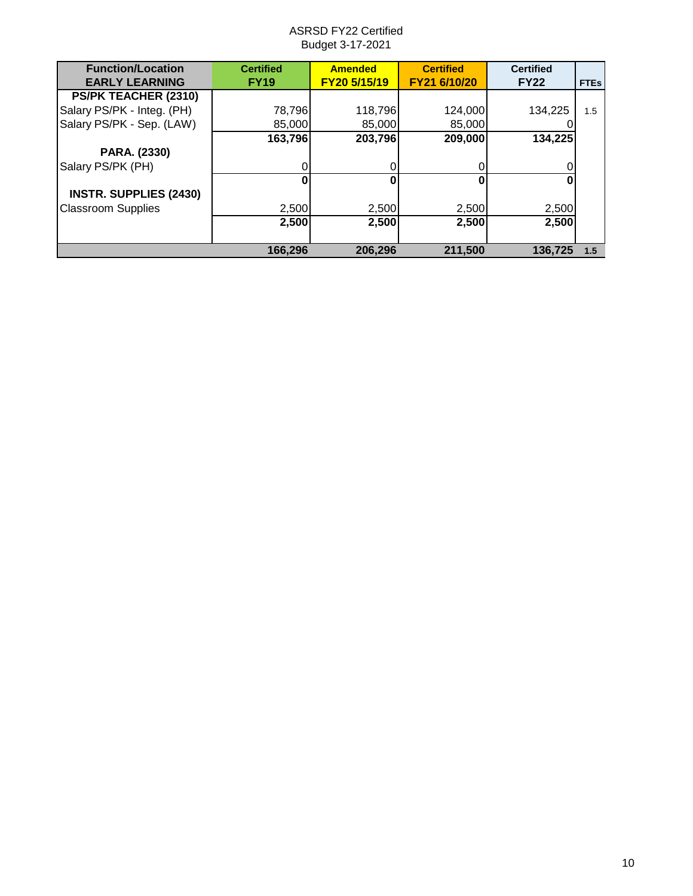| <b>Function/Location</b>      | <b>Certified</b> | <b>Amended</b> | <b>Certified</b> | <b>Certified</b> |             |
|-------------------------------|------------------|----------------|------------------|------------------|-------------|
| <b>EARLY LEARNING</b>         | <b>FY19</b>      | FY20 5/15/19   | FY21 6/10/20     | <b>FY22</b>      | <b>FTEs</b> |
| PS/PK TEACHER (2310)          |                  |                |                  |                  |             |
| Salary PS/PK - Integ. (PH)    | 78,796           | 118,796        | 124,000          | 134.225          | 1.5         |
| Salary PS/PK - Sep. (LAW)     | 85,000           | 85,000         | 85,000           |                  |             |
|                               | 163,796          | 203,796        | 209,000          | 134,225          |             |
| PARA. (2330)                  |                  |                |                  |                  |             |
| Salary PS/PK (PH)             |                  | O              |                  |                  |             |
|                               | n                | 0              |                  |                  |             |
| <b>INSTR. SUPPLIES (2430)</b> |                  |                |                  |                  |             |
| <b>Classroom Supplies</b>     | 2,500            | 2,500          | 2,500            | 2,500            |             |
|                               | 2,500            | 2,500          | 2,500            | 2,500            |             |
|                               | 166,296          | 206,296        | 211,500          | 136.725          | 1.5         |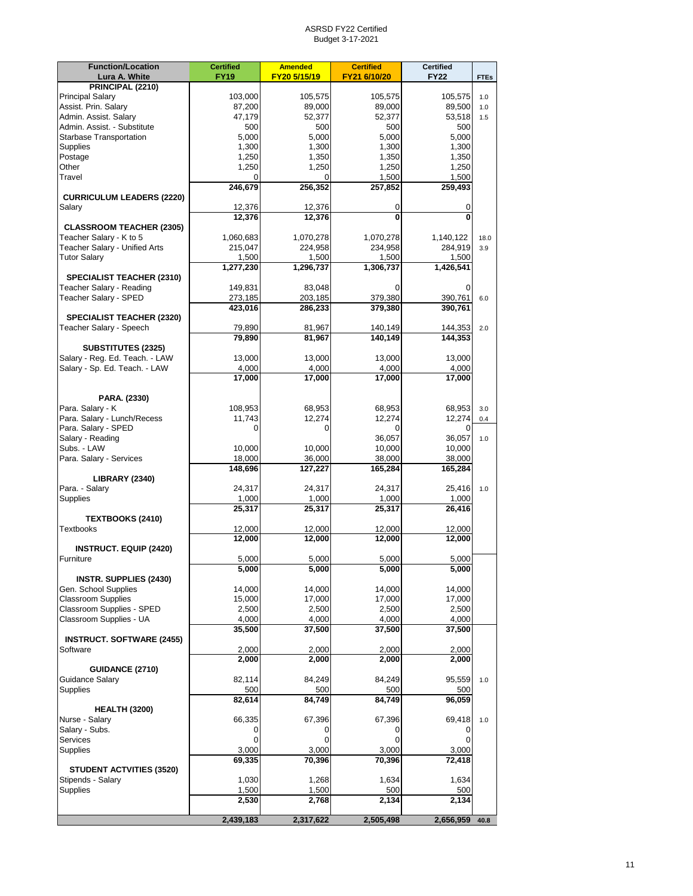| <b>Function/Location</b>                              | <b>Certified</b>  | <b>Amended</b>    | <b>Certified</b>  | <b>Certified</b>  |             |
|-------------------------------------------------------|-------------------|-------------------|-------------------|-------------------|-------------|
| Lura A. White                                         | <b>FY19</b>       | FY20 5/15/19      | FY21 6/10/20      | <b>FY22</b>       | <b>FTEs</b> |
| PRINCIPAL (2210)                                      |                   |                   |                   |                   |             |
| <b>Principal Salary</b><br>Assist. Prin. Salary       | 103,000<br>87,200 | 105,575           | 105,575           | 105,575           | 1.0         |
| Admin. Assist. Salary                                 | 47,179            | 89,000<br>52,377  | 89,000<br>52,377  | 89,500<br>53,518  | 1.0<br>1.5  |
| Admin. Assist. - Substitute                           | 500               | 500               | 500               | 500               |             |
| <b>Starbase Transportation</b>                        | 5,000             | 5.000             | 5,000             | 5,000             |             |
| Supplies                                              | 1,300             | 1,300             | 1,300             | 1,300             |             |
| Postage                                               | 1,250             | 1,350             | 1,350             | 1,350             |             |
| Other                                                 | 1,250             | 1,250             | 1,250             | 1,250             |             |
| Travel                                                | 0                 | 0                 | 1,500             | 1,500             |             |
| <b>CURRICULUM LEADERS (2220)</b>                      | 246,679           | 256,352           | 257,852           | 259,493           |             |
| Salary                                                | 12,376            | 12,376            | 0                 | 0                 |             |
|                                                       | 12,376            | 12,376            | $\mathbf{0}$      | 0                 |             |
| <b>CLASSROOM TEACHER (2305)</b>                       |                   |                   |                   |                   |             |
| Teacher Salary - K to 5                               | 1,060,683         | 1,070,278         | 1,070,278         | 1,140,122         | 18.0        |
| Teacher Salary - Unified Arts                         | 215,047           | 224,958           | 234,958           | 284,919           | 3.9         |
| <b>Tutor Salary</b>                                   | 1,500             | 1,500             | 1,500             | 1,500             |             |
|                                                       | 1,277,230         | 1,296,737         | 1,306,737         | 1,426,541         |             |
| SPECIALIST TEACHER (2310)<br>Teacher Salary - Reading | 149,831           | 83,048            |                   | 0                 |             |
| Teacher Salary - SPED                                 | 273,185           | 203,185           | 379,380           | 390,761           | 6.0         |
|                                                       | 423,016           | 286,233           | 379,380           | 390,761           |             |
| <b>SPECIALIST TEACHER (2320)</b>                      |                   |                   |                   |                   |             |
| Teacher Salary - Speech                               | 79,890            | 81,967            | 140,149           | 144,353           | 2.0         |
|                                                       | 79,890            | 81,967            | 140.149           | 144,353           |             |
| <b>SUBSTITUTES (2325)</b>                             |                   |                   |                   |                   |             |
| Salary - Reg. Ed. Teach. - LAW                        | 13,000            | 13,000            | 13,000            | 13,000            |             |
| Salary - Sp. Ed. Teach. - LAW                         | 4,000<br>17,000   | 4,000<br>17,000   | 4,000<br>17,000   | 4,000<br>17,000   |             |
|                                                       |                   |                   |                   |                   |             |
| PARA. (2330)                                          |                   |                   |                   |                   |             |
| Para. Salary - K                                      | 108,953           | 68,953            | 68,953            | 68,953            | 3.0         |
| Para. Salary - Lunch/Recess                           | 11,743            | 12,274            | 12,274            | 12,274            | 0.4         |
| Para. Salary - SPED                                   | 0                 | 0                 |                   | 0                 |             |
| Salary - Reading                                      |                   |                   | 36,057            | 36,057            | 1.0         |
| Subs. - LAW                                           | 10,000            | 10,000            | 10,000            | 10,000            |             |
| Para. Salary - Services                               | 18,000<br>148,696 | 36,000<br>127,227 | 38,000<br>165,284 | 38,000<br>165,284 |             |
| <b>LIBRARY (2340)</b>                                 |                   |                   |                   |                   |             |
| Para. - Salary                                        | 24,317            | 24,317            | 24,317            | 25,416            | 1.0         |
| Supplies                                              | 1,000             | 1,000             | 1,000             | 1,000             |             |
|                                                       | 25,317            | 25,317            | 25,317            | 26,416            |             |
| <b>TEXTBOOKS (2410)</b>                               |                   |                   |                   |                   |             |
| <b>Textbooks</b>                                      | 12,000            | 12,000            | 12,000            | 12,000            |             |
| <b>INSTRUCT. EQUIP (2420)</b>                         | 12,000            | 12,000            | 12,000            | 12,000            |             |
| Furniture                                             | 5,000             | 5,000             | 5,000             | 5,000             |             |
|                                                       | 5,000             | 5,000             | 5,000             | 5,000             |             |
| <b>INSTR. SUPPLIES (2430)</b>                         |                   |                   |                   |                   |             |
| Gen. School Supplies                                  | 14,000            | 14,000            | 14,000            | 14,000            |             |
| <b>Classroom Supplies</b>                             | 15,000            | 17,000            | 17,000            | 17,000            |             |
| Classroom Supplies - SPED                             | 2,500             | 2,500             | 2,500             | 2,500             |             |
| Classroom Supplies - UA                               | 4,000             | 4,000             | 4,000             | 4,000             |             |
| <b>INSTRUCT. SOFTWARE (2455)</b>                      | 35,500            | 37,500            | 37,500            | 37,500            |             |
| Software                                              | 2,000             | 2,000             | 2,000             | 2,000             |             |
|                                                       | 2,000             | 2.000             | 2,000             | 2.000             |             |
| <b>GUIDANCE (2710)</b>                                |                   |                   |                   |                   |             |
| Guidance Salary                                       | 82,114            | 84,249            | 84,249            | 95,559            | 1.0         |
| <b>Supplies</b>                                       | 500               | 500               | 500               | 500               |             |
|                                                       | 82,614            | 84,749            | 84,749            | 96,059            |             |
| <b>HEALTH (3200)</b>                                  |                   |                   |                   |                   |             |
| Nurse - Salary<br>Salary - Subs.                      | 66,335<br>0       | 67,396<br>0       | 67,396<br>0       | 69,418<br>0       | 1.0         |
| Services                                              | 0                 | 0                 | $\mathbf 0$       | 0                 |             |
| Supplies                                              | 3,000             | 3,000             | 3,000             | 3,000             |             |
|                                                       | 69,335            | 70,396            | 70,396            | 72,418            |             |
| <b>STUDENT ACTVITIES (3520)</b>                       |                   |                   |                   |                   |             |
| Stipends - Salary                                     | 1,030             | 1,268             | 1,634             | 1,634             |             |
| <b>Supplies</b>                                       | 1,500             | 1,500             | 500               | 500               |             |
|                                                       | 2,530             | 2,768             | 2,134             | 2,134             |             |
|                                                       | 2,439,183         | 2,317,622         | 2,505,498         | 2,656,959         | 40.8        |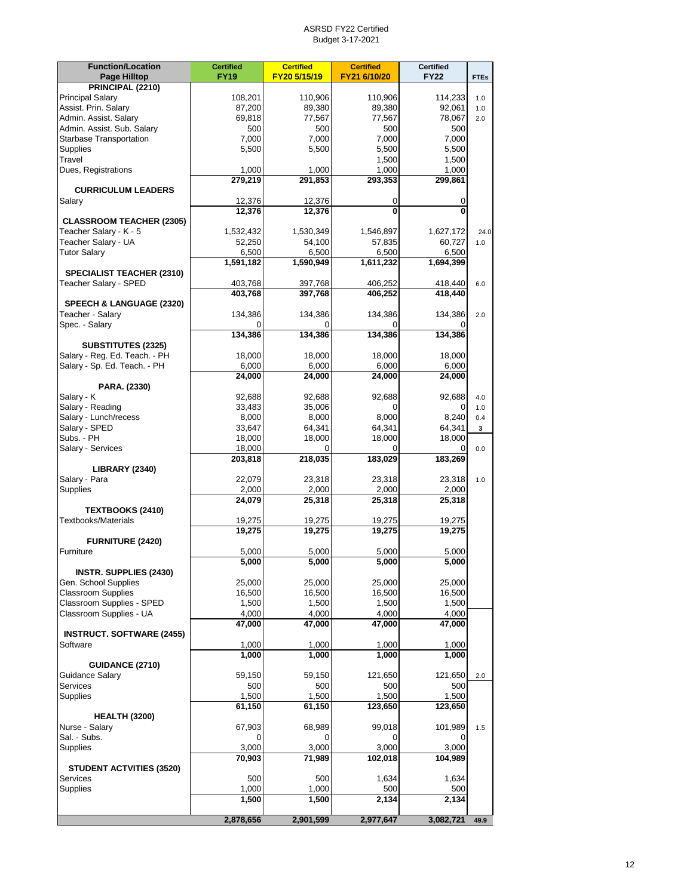| <b>Function/Location</b>                                      | <b>Certified</b> | <b>Certified</b> | <b>Certified</b> | <b>Certified</b> |             |
|---------------------------------------------------------------|------------------|------------------|------------------|------------------|-------------|
| Page Hilltop                                                  | <b>FY19</b>      | FY20 5/15/19     | FY21 6/10/20     | <b>FY22</b>      | <b>FTEs</b> |
| PRINCIPAL (2210)                                              |                  |                  |                  |                  |             |
| <b>Principal Salary</b>                                       | 108,201          | 110,906          | 110,906          | 114,233          | 1.0         |
| Assist. Prin. Salary                                          | 87,200           | 89,380           | 89,380           | 92,061           | 1.0         |
| Admin. Assist. Salary                                         | 69.818           | 77,567           | 77,567           | 78,067           | 2.0         |
| Admin. Assist. Sub. Salary<br><b>Starbase Transportation</b>  | 500              | 500<br>7,000     | 500              | 500<br>7,000     |             |
|                                                               | 7,000            |                  | 7,000            |                  |             |
| Supplies<br>Travel                                            | 5,500            | 5,500            | 5,500<br>1,500   | 5,500<br>1,500   |             |
| Dues, Registrations                                           | 1,000            | 1,000            | 1,000            | 1,000            |             |
|                                                               | 279,219          | 291,853          | 293,353          | 299,861          |             |
| <b>CURRICULUM LEADERS</b>                                     |                  |                  |                  |                  |             |
| Salary                                                        | 12,376           | 12,376           | 0                | 0                |             |
|                                                               | 12,376           | 12,376           | 0                | 0                |             |
| <b>CLASSROOM TEACHER (2305)</b>                               |                  |                  |                  |                  |             |
| Teacher Salary - K - 5                                        | 1,532,432        | 1,530,349        | 1,546,897        | 1,627,172        | 24.0        |
| Teacher Salary - UA                                           | 52,250           | 54,100           | 57,835           | 60,727           | 1.0         |
| <b>Tutor Salary</b>                                           | 6,500            | 6,500            | 6,500            | 6,500            |             |
|                                                               | 1,591,182        | 1,590,949        | 1,611,232        | 1,694,399        |             |
| <b>SPECIALIST TEACHER (2310)</b>                              |                  |                  |                  |                  |             |
| Teacher Salary - SPED                                         | 403,768          | 397,768          | 406,252          | 418,440          | 6.0         |
|                                                               | 403,768          | 397,768          | 406,252          | 418,440          |             |
| <b>SPEECH &amp; LANGUAGE (2320)</b>                           |                  |                  |                  |                  |             |
| Teacher - Salary                                              | 134,386          | 134,386          | 134,386          | 134,386          | 2.0         |
| Spec. - Salary                                                |                  |                  |                  |                  |             |
|                                                               | 134,386          | 134,386          | 134,386          | 134,386          |             |
| <b>SUBSTITUTES (2325)</b>                                     |                  |                  |                  |                  |             |
| Salary - Reg. Ed. Teach. - PH<br>Salary - Sp. Ed. Teach. - PH | 18,000           | 18,000           | 18,000           | 18,000           |             |
|                                                               | 6,000            | 6,000            | 6,000            | 6,000            |             |
| PARA. (2330)                                                  | 24,000           | 24,000           | 24,000           | 24,000           |             |
| Salary - K                                                    | 92,688           | 92,688           | 92,688           | 92,688           | 4.0         |
| Salary - Reading                                              | 33,483           | 35,006           | 0                | 0                | 1.0         |
| Salary - Lunch/recess                                         | 8,000            | 8,000            | 8,000            | 8,240            | 0.4         |
| Salary - SPED                                                 | 33,647           | 64,341           | 64,341           | 64,341           | 3           |
| Subs. - PH                                                    | 18,000           | 18,000           | 18,000           | 18,000           |             |
| Salary - Services                                             | 18,000           | 0                |                  | 0                | 0.0         |
|                                                               | 203,818          | 218,035          | 183,029          | 183,269          |             |
| <b>LIBRARY (2340)</b>                                         |                  |                  |                  |                  |             |
| Salary - Para                                                 | 22,079           | 23,318           | 23,318           | 23,318           | 1.0         |
| Supplies                                                      | 2,000            | 2,000            | 2,000            | 2,000            |             |
|                                                               | 24,079           | 25,318           | 25,318           | 25,318           |             |
| TEXTBOOKS (2410)                                              |                  |                  |                  |                  |             |
| Textbooks/Materials                                           | 19,275           | 19,275           | 19,275           | 19,275           |             |
|                                                               | 19,275           | 19,275           | 19,275           | 19,275           |             |
| <b>FURNITURE (2420)</b>                                       |                  |                  |                  |                  |             |
| Furniture                                                     | 5,000            | 5,000            | 5,000            | 5,000            |             |
|                                                               | 5,000            | 5,000            | 5,000            | 5,000            |             |
| <b>INSTR. SUPPLIES (2430)</b>                                 |                  |                  |                  |                  |             |
| Gen. School Supplies                                          | 25,000           | 25,000           | 25,000           | 25,000           |             |
| <b>Classroom Supplies</b><br>Classroom Supplies - SPED        | 16,500           | 16,500           | 16,500           | 16,500<br>1,500  |             |
| Classroom Supplies - UA                                       | 1,500<br>4,000   | 1,500<br>4,000   | 1,500<br>4,000   | 4,000            |             |
|                                                               | 47,000           | 47,000           | 47,000           | 47,000           |             |
| <b>INSTRUCT. SOFTWARE (2455)</b>                              |                  |                  |                  |                  |             |
| Software                                                      | 1,000            | 1,000            | 1,000            | 1,000            |             |
|                                                               | 1,000            | 1,000            | 1,000            | 1,000            |             |
| <b>GUIDANCE (2710)</b>                                        |                  |                  |                  |                  |             |
| <b>Guidance Salary</b>                                        | 59,150           | 59,150           | 121,650          | 121,650          | 2.0         |
| Services                                                      | 500              | 500              | 500              | 500              |             |
| Supplies                                                      | 1,500            | 1,500            | 1,500            | 1,500            |             |
|                                                               | 61,150           | 61,150           | 123,650          | 123,650          |             |
| <b>HEALTH (3200)</b>                                          |                  |                  |                  |                  |             |
| Nurse - Salary                                                | 67,903           | 68,989           | 99,018           | 101,989          | 1.5         |
| Sal. - Subs.                                                  | 0                | 0                | 0                | 0                |             |
| <b>Supplies</b>                                               | 3,000            | 3,000            | 3,000            | 3,000            |             |
|                                                               | 70,903           | 71,989           | 102,018          | 104,989          |             |
| <b>STUDENT ACTVITIES (3520)</b>                               |                  |                  |                  |                  |             |
| Services                                                      | 500              | 500              | 1,634            | 1,634            |             |
| Supplies                                                      | 1,000            | 1,000            | 500              | 500              |             |
|                                                               | 1,500            | 1,500            | 2,134            | 2,134            |             |
|                                                               | 2,878,656        | 2,901,599        | 2,977,647        | 3,082,721        | 49.9        |
|                                                               |                  |                  |                  |                  |             |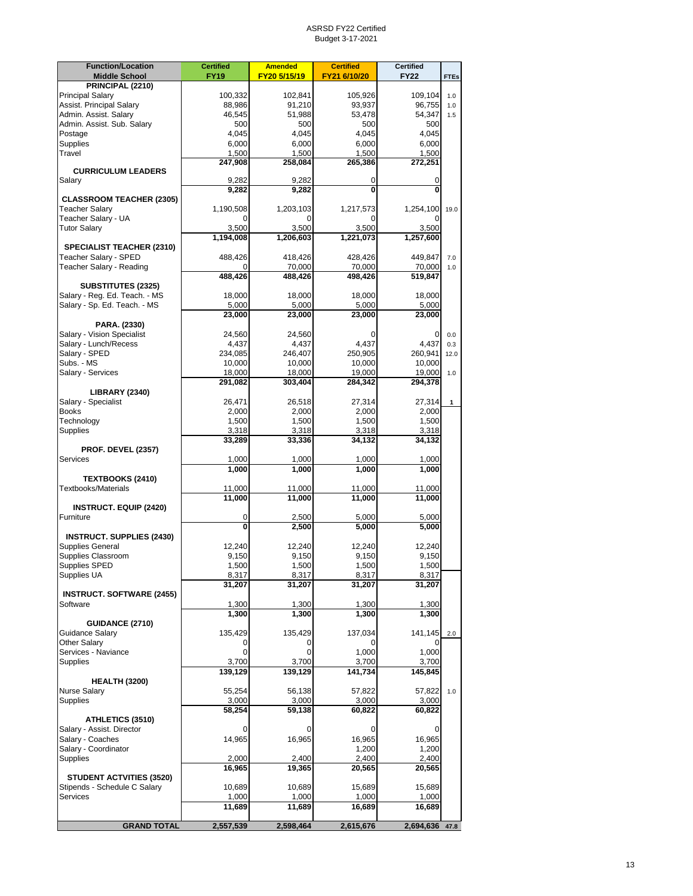| <b>Function/Location</b>                          | <b>Certified</b> | <b>Amended</b>   | <b>Certified</b> | <b>Certified</b> |              |
|---------------------------------------------------|------------------|------------------|------------------|------------------|--------------|
| <b>Middle School</b>                              | <b>FY19</b>      | FY20 5/15/19     | FY21 6/10/20     | <b>FY22</b>      | <b>FTEs</b>  |
| PRINCIPAL (2210)                                  |                  |                  |                  |                  |              |
| <b>Principal Salary</b>                           | 100,332          | 102,841          | 105,926          | 109.104          | 1.0          |
| Assist. Principal Salary<br>Admin. Assist. Salary | 88,986           | 91,210           | 93,937           | 96,755           | 1.0          |
| Admin. Assist. Sub. Salary                        | 46,545<br>500    | 51,988<br>500    | 53,478<br>500    | 54,347<br>500    | 1.5          |
| Postage                                           | 4,045            | 4.045            | 4,045            | 4,045            |              |
| Supplies                                          | 6,000            | 6,000            | 6,000            | 6,000            |              |
| Travel                                            | 1,500            | 1,500            | 1,500            | 1,500            |              |
|                                                   | 247,908          | 258,084          | 265,386          | 272,251          |              |
| <b>CURRICULUM LEADERS</b>                         |                  |                  |                  |                  |              |
| Salary                                            | 9,282<br>9,282   | 9,282<br>9,282   | 0<br>0           | 0<br>0           |              |
| <b>CLASSROOM TEACHER (2305)</b>                   |                  |                  |                  |                  |              |
| <b>Teacher Salary</b>                             | 1,190,508        | 1,203,103        | 1,217,573        | 1,254,100        | 19.0         |
| Teacher Salary - UA                               | 0                | 0                | 0                |                  |              |
| <b>Tutor Salary</b>                               | 3,500            | 3,500            | 3,500            | 3,500            |              |
|                                                   | 1,194,008        | 1,206,603        | 1,221,073        | 1,257,600        |              |
| <b>SPECIALIST TEACHER (2310)</b>                  |                  |                  |                  |                  |              |
| Teacher Salary - SPED                             | 488,426          | 418,426          | 428,426          | 449,847          | 7.0          |
| Teacher Salary - Reading                          | 0                | 70,000           | 70,000           | 70,000           | 1.0          |
| <b>SUBSTITUTES (2325)</b>                         | 488,426          | 488,426          | 498,426          | 519,847          |              |
| Salary - Reg. Ed. Teach. - MS                     | 18,000           | 18,000           | 18,000           | 18,000           |              |
| Salary - Sp. Ed. Teach. - MS                      | 5,000            | 5,000            | 5,000            | 5,000            |              |
|                                                   | 23,000           | 23,000           | 23,000           | 23,000           |              |
| PARA. (2330)                                      |                  |                  |                  |                  |              |
| Salary - Vision Specialist                        | 24,560           | 24,560           | 0                | 0                | 0.0          |
| Salary - Lunch/Recess                             | 4,437            | 4,437            | 4,437            | 4,437            | 0.3          |
| Salary - SPED                                     | 234,085          | 246,407          | 250,905          | 260,941          | 12.0         |
| Subs. - MS                                        | 10,000           | 10.000           | 10.000           | 10,000           |              |
| Salary - Services                                 | 18,000           | 18,000           | 19,000           | 19,000           | 1.0          |
|                                                   | 291,082          | 303,404          | 284,342          | 294,378          |              |
| <b>LIBRARY (2340)</b><br>Salary - Specialist      | 26,471           | 26,518           | 27,314           | 27,314           | $\mathbf{1}$ |
| <b>Books</b>                                      | 2,000            | 2,000            | 2,000            | 2,000            |              |
| Technology                                        | 1,500            | 1,500            | 1,500            | 1,500            |              |
| Supplies                                          | 3,318            | 3,318            | 3,318            | 3,318            |              |
|                                                   | 33,289           | 33,336           | 34,132           | 34,132           |              |
| <b>PROF. DEVEL (2357)</b>                         |                  |                  |                  |                  |              |
| <b>Services</b>                                   | 1,000            | 1,000            | 1,000            | 1,000            |              |
|                                                   | 1,000            | 1,000            | 1,000            | 1,000            |              |
| <b>TEXTBOOKS (2410)</b>                           |                  |                  |                  |                  |              |
| <b>Textbooks/Materials</b>                        | 11,000<br>11,000 | 11,000<br>11,000 | 11,000<br>11,000 | 11,000<br>11,000 |              |
| <b>INSTRUCT. EQUIP (2420)</b>                     |                  |                  |                  |                  |              |
| Furniture                                         | 0                | 2,500            | 5,000            | 5,000            |              |
|                                                   | 0                | 2,500            | 5,000            | 5,000            |              |
| <b>INSTRUCT. SUPPLIES (2430)</b>                  |                  |                  |                  |                  |              |
| Supplies General                                  | 12,240           | 12,240           | 12,240           | 12,240           |              |
| Supplies Classroom                                | 9,150            | 9,150            | 9,150            | 9,150            |              |
| Supplies SPED                                     | 1,500            | 1,500            | 1,500            | 1,500            |              |
| Supplies UA                                       | 8,317            | 8,317            | 8,317            | 8,317            |              |
|                                                   | 31,207           | 31,207           | 31,207           | 31,207           |              |
| <b>INSTRUCT. SOFTWARE (2455)</b><br>Software      |                  |                  |                  |                  |              |
|                                                   | 1,300<br>1,300   | 1,300<br>1,300   | 1,300<br>1,300   | 1,300<br>1,300   |              |
| <b>GUIDANCE (2710)</b>                            |                  |                  |                  |                  |              |
| Guidance Salary                                   | 135,429          | 135,429          | 137,034          | 141,145          | 2.0          |
| Other Salary                                      | 0                | 0                | 0                | 0                |              |
| Services - Naviance                               | 0                | 0                | 1,000            | 1,000            |              |
| Supplies                                          | 3,700            | 3,700            | 3,700            | 3,700            |              |
|                                                   | 139,129          | 139,129          | 141,734          | 145,845          |              |
| <b>HEALTH (3200)</b>                              |                  |                  |                  |                  |              |
| <b>Nurse Salary</b>                               | 55,254           | 56,138           | 57,822           | 57,822           | 1.0          |
| <b>Supplies</b>                                   | 3,000            | 3,000            | 3,000            | 3,000            |              |
| ATHLETICS (3510)                                  | 58,254           | 59,138           | 60,822           | 60,822           |              |
| Salary - Assist. Director                         | 0                | 0                | 0                | 0                |              |
| Salary - Coaches                                  | 14,965           | 16,965           | 16,965           | 16,965           |              |
| Salary - Coordinator                              |                  |                  | 1,200            | 1,200            |              |
| Supplies                                          | 2,000            | 2,400            | 2,400            | 2,400            |              |
|                                                   | 16,965           | 19,365           | 20,565           | 20,565           |              |
| <b>STUDENT ACTVITIES (3520)</b>                   |                  |                  |                  |                  |              |
| Stipends - Schedule C Salary                      | 10,689           | 10,689           | 15,689           | 15,689           |              |
| Services                                          | 1,000            | 1,000            | 1,000            | 1,000            |              |
|                                                   | 11,689           | 11,689           | 16,689           | 16,689           |              |
| <b>GRAND TOTAL</b>                                | 2,557,539        | 2,598,464        | 2,615,676        | 2,694,636 47.8   |              |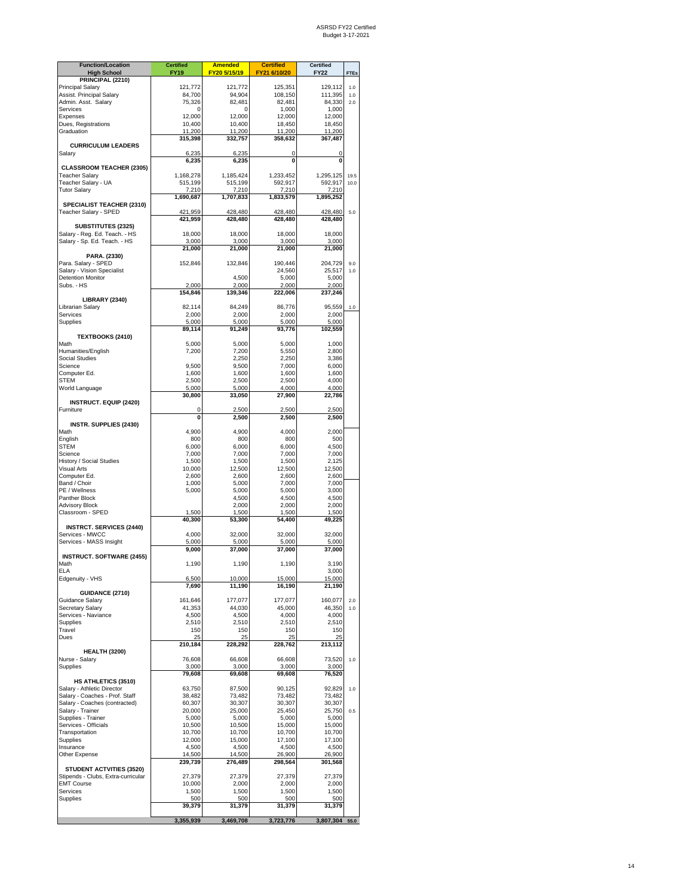| <b>Function/Location</b><br><b>High School</b>                        | <b>Certified</b><br><b>FY19</b> | <b>Amended</b><br>FY20 5/15/19 | <b>Certified</b><br>FY21 6/10/20 | <b>Certified</b><br><b>FY22</b> | <b>FTEs</b> |
|-----------------------------------------------------------------------|---------------------------------|--------------------------------|----------------------------------|---------------------------------|-------------|
| PRINCIPAL (2210)                                                      |                                 |                                |                                  |                                 |             |
| <b>Principal Salary</b><br>Assist. Principal Salary                   | 121,772<br>84,700               | 121,772<br>94,904              | 125,351<br>108,150               | 129,112<br>111,395              | 1.0<br>1.0  |
| Admin. Asst. Salary                                                   | 75,326                          | 82,481                         | 82,481                           | 84,330                          | 2.0         |
| Services                                                              | 0                               | O                              | 1,000                            | 1,000                           |             |
| Expenses<br>Dues, Registrations                                       | 12,000<br>10,400                | 12,000<br>10,400               | 12,000                           | 12,000                          |             |
| Graduation                                                            | 11,200                          | 11,200                         | 18,450<br>11,200                 | 18,450<br>11,200                |             |
|                                                                       | 315,398                         | 332,757                        | 358,632                          | 367,487                         |             |
| <b>CURRICULUM LEADERS</b>                                             |                                 |                                |                                  |                                 |             |
| Salary                                                                | 6,235<br>6,235                  | 6,235<br>6,235                 | 0<br>$\mathbf 0$                 | 0<br>0                          |             |
| <b>CLASSROOM TEACHER (2305)</b>                                       |                                 |                                |                                  |                                 |             |
| <b>Teacher Salary</b>                                                 | 1,168,278                       | 1,185,424                      | 1,233,452                        | 1,295,125                       | 19.5        |
| Teacher Salary - UA<br><b>Tutor Salary</b>                            | 515,199<br>7,210                | 515,199<br>7,210               | 592,917<br>7,210                 | 592,917<br>7,210                | 10.0        |
|                                                                       | 1,690,687                       | 1,707,833                      | 1,833,579                        | 1,895,252                       |             |
| SPECIALIST TEACHER (2310)                                             |                                 |                                |                                  |                                 |             |
| Teacher Salary - SPED                                                 | 421,959<br>421,959              | 428,480<br>428,480             | 428,480<br>428,480               | 428,480<br>428,480              | 5.0         |
| <b>SUBSTITUTES (2325)</b>                                             |                                 |                                |                                  |                                 |             |
| Salary - Reg. Ed. Teach. - HS                                         | 18,000                          | 18,000                         | 18,000                           | 18,000                          |             |
| Salary - Sp. Ed. Teach. - HS                                          | 3,000<br>21,000                 | 3,000<br>21,000                | 3,000<br>21,000                  | 3,000<br>21,000                 |             |
| PARA. (2330)                                                          |                                 |                                |                                  |                                 |             |
| Para. Salary - SPED                                                   | 152,846                         | 132,846                        | 190,446                          | 204,729                         | 9.0         |
| Salary - Vision Specialist                                            |                                 | 4,500                          | 24,560                           | 25,517                          | 1.0         |
| <b>Detention Monitor</b><br>Subs. - HS                                | 2,000                           | 2,000                          | 5,000<br>2,000                   | 5,000<br>2,000                  |             |
|                                                                       | 154,846                         | 139,346                        | 222,006                          | 237,246                         |             |
| <b>LIBRARY (2340)</b>                                                 |                                 |                                |                                  |                                 |             |
| Librarian Salary<br>Services                                          | 82,114<br>2.000                 | 84,249<br>2,000                | 86,776<br>2,000                  | 95,559<br>2,000                 | 1.0         |
| Supplies                                                              | 5,000                           | 5,000                          | 5,000                            | 5,000                           |             |
|                                                                       | 89,114                          | 91,249                         | 93,776                           | 102,559                         |             |
| TEXTBOOKS (2410)<br>Math                                              | 5,000                           | 5,000                          | 5,000                            | 1,000                           |             |
| Humanities/English                                                    | 7,200                           | 7,200                          | 5,550                            | 2.800                           |             |
| <b>Social Studies</b>                                                 |                                 | 2,250                          | 2,250                            | 3,386                           |             |
| Science<br>Computer Ed.                                               | 9,500<br>1,600                  | 9,500<br>1,600                 | 7,000<br>1,600                   | 6,000                           |             |
| <b>STEM</b>                                                           | 2,500                           | 2,500                          | 2,500                            | 1,600<br>4,000                  |             |
| World Language                                                        | 5,000                           | 5,000                          | 4,000                            | 4,000                           |             |
|                                                                       | 30,800                          | 33,050                         | 27,900                           | 22,786                          |             |
| <b>INSTRUCT. EQUIP (2420)</b><br>Furniture                            | 0                               | 2,500                          | 2,500                            | 2,500                           |             |
|                                                                       | 0                               | 2,500                          | 2,500                            | 2,500                           |             |
| <b>INSTR. SUPPLIES (2430)</b>                                         |                                 |                                |                                  |                                 |             |
| Math<br>English                                                       | 4,900<br>800                    | 4,900<br>800                   | 4,000<br>800                     | 2,000<br>500                    |             |
| <b>STEM</b>                                                           | 6,000                           | 6,000                          | 6,000                            | 4,500                           |             |
| Science                                                               | 7,000                           | 7,000                          | 7,000                            | 7,000                           |             |
| History / Social Studies<br><b>Visual Arts</b>                        | 1,500<br>10,000                 | 1,500<br>12,500                | 1,500<br>12,500                  | 2,125<br>12,500                 |             |
| Computer Ed.                                                          | 2,600                           | 2,600                          | 2,600                            | 2,600                           |             |
| Band / Choir                                                          | 1,000                           | 5,000                          | 7,000                            | 7,000                           |             |
| PE / Wellness<br>Panther Block                                        | 5,000                           | 5,000<br>4,500                 | 5,000<br>4,500                   | 3,000<br>4,500                  |             |
| <b>Advisory Block</b>                                                 |                                 | 2,000                          | 2,000                            | 2,000                           |             |
| Classroom - SPED                                                      | 1,500                           | 1,500                          | 1,500                            | 1,500                           |             |
| <b>INSTRCT. SERVICES (2440)</b>                                       | 40,300                          | 53,300                         | 54,400                           | 49,225                          |             |
| Services - MWCC                                                       | 4,000                           | 32,000                         | 32,000                           | 32,000                          |             |
| Services - MASS Insight                                               | 5,000                           | 5,000                          | 5,000                            | 5,000                           |             |
| <b>INSTRUCT. SOFTWARE (2455)</b>                                      | 9,000                           | 37,000                         | 37,000                           | 37,000                          |             |
| Math                                                                  | 1,190                           | 1,190                          | 1,190                            | 3,190                           |             |
| ELA                                                                   |                                 |                                |                                  | 3,000                           |             |
| Edgenuity - VHS                                                       | 6,500                           | 10,000                         | 15,000                           | 15,000                          |             |
| <b>GUIDANCE (2710)</b>                                                | 7,690                           | 11,190                         | 16,190                           | 21,190                          |             |
| Guidance Salary                                                       | 161,646                         | 177,077                        | 177,077                          | 160,077                         | 2.0         |
| Secretary Salary                                                      | 41,353                          | 44,030                         | 45,000                           | 46,350                          | 1.0         |
| Services - Naviance<br>Supplies                                       | 4,500<br>2,510                  | 4,500<br>2,510                 | 4,000<br>2,510                   | 4,000<br>2,510                  |             |
| Travel                                                                | 150                             | 150                            | 150                              | 150                             |             |
| Dues                                                                  | 25                              | 25                             | 25                               | 25                              |             |
| <b>HEALTH (3200)</b>                                                  | 210,184                         | 228,292                        | 228,762                          | 213,112                         |             |
| Nurse - Salary                                                        | 76,608                          | 66,608                         | 66,608                           | 73,520                          | 1.0         |
| Supplies                                                              | 3,000                           | 3,000                          | 3,000                            | 3,000                           |             |
| <b>HS ATHLETICS (3510)</b>                                            | 79,608                          | 69,608                         | 69,608                           | 76,520                          |             |
| Salary - Athletic Director                                            | 63,750                          | 87,500                         | 90,125                           | 92,829                          | 1.0         |
| Salary - Coaches - Prof. Staff                                        | 38,482                          | 73,482                         | 73,482                           | 73,482                          |             |
| Salary - Coaches (contracted)<br>Salary - Trainer                     | 60,307<br>20,000                | 30,307<br>25,000               | 30,307<br>25,450                 | 30,307<br>25,750                | 0.5         |
| Supplies - Trainer                                                    | 5,000                           | 5,000                          | 5,000                            | 5,000                           |             |
| Services - Officials                                                  | 10,500                          | 10,500                         | 15,000                           | 15,000                          |             |
| Transportation                                                        | 10,700                          | 10,700                         | 10,700                           | 10,700                          |             |
| Supplies<br>Insurance                                                 | 12,000<br>4,500                 | 15,000<br>4,500                | 17,100<br>4,500                  | 17,100<br>4,500                 |             |
| Other Expense                                                         | 14,500                          | 14,500                         | 26,900                           | 26,900                          |             |
|                                                                       | 239,739                         | 276,489                        | 298,564                          | 301,568                         |             |
| <b>STUDENT ACTVITIES (3520)</b><br>Stipends - Clubs, Extra-curricular | 27,379                          | 27,379                         | 27,379                           | 27,379                          |             |
| <b>EMT Course</b>                                                     | 10,000                          | 2,000                          | 2,000                            | 2,000                           |             |
| Services                                                              | 1,500                           | 1,500                          | 1,500                            | 1,500                           |             |
| Supplies                                                              | 500<br>39,379                   | 500<br>31,379                  | 500<br>31,379                    | 500<br>31,379                   |             |
|                                                                       |                                 |                                |                                  |                                 |             |
|                                                                       | 3,355,939                       | 3,469,708                      | 3,723,776                        | 3,807,304                       | 55.0        |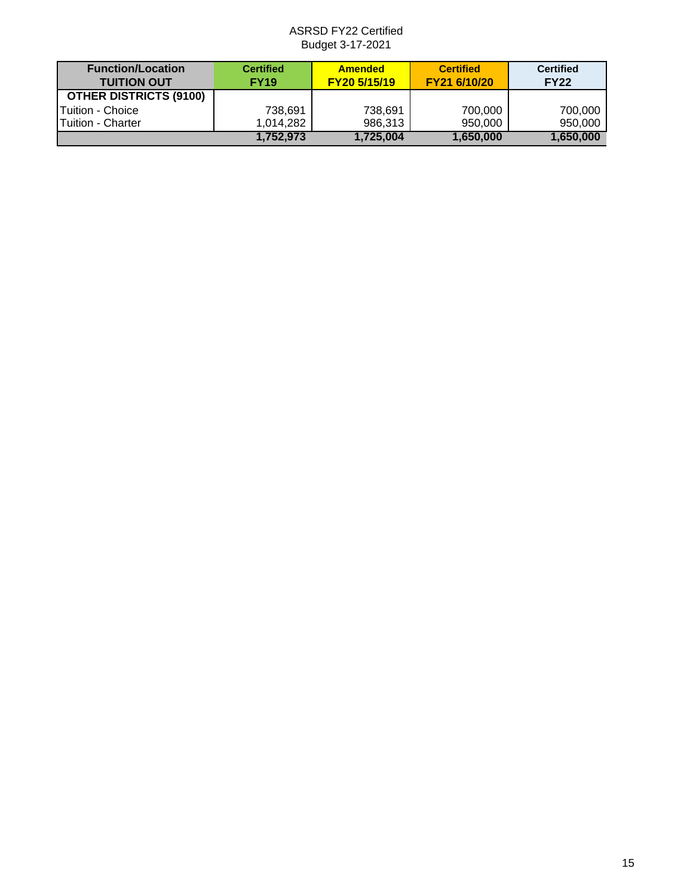| <b>Function/Location</b><br><b>TUITION OUT</b> | <b>Certified</b><br><b>FY19</b> | <b>Amended</b><br>FY20 5/15/19 | <b>Certified</b><br>FY21 6/10/20 | <b>Certified</b><br><b>FY22</b> |
|------------------------------------------------|---------------------------------|--------------------------------|----------------------------------|---------------------------------|
| <b>OTHER DISTRICTS (9100)</b>                  |                                 |                                |                                  |                                 |
| <b>Tuition - Choice</b>                        | 738,691                         | 738.691                        | 700,000                          | 700,000                         |
| <b>Tuition - Charter</b>                       | 1.014.282                       | 986,313                        | 950,000                          | 950,000                         |
|                                                | 1,752,973                       | 1.725.004                      | 1.650.000                        | 1.650.000                       |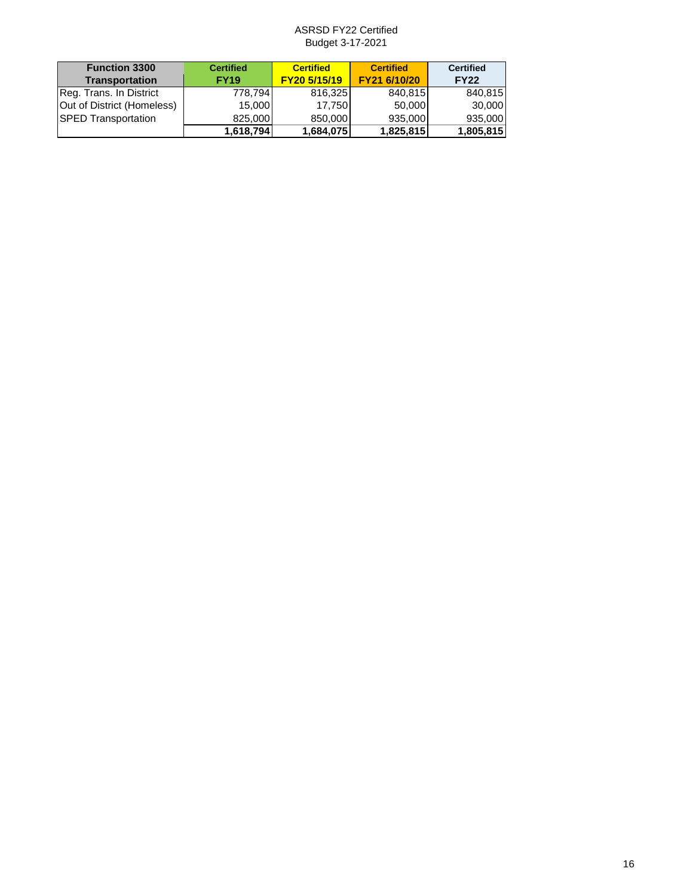| <b>Function 3300</b><br><b>Transportation</b> | <b>Certified</b><br><b>FY19</b> | <b>Certified</b><br>FY20 5/15/19 | <b>Certified</b><br>FY21 6/10/20 | <b>Certified</b><br><b>FY22</b> |
|-----------------------------------------------|---------------------------------|----------------------------------|----------------------------------|---------------------------------|
| Reg. Trans. In District                       | 778.794                         | 816,325                          | 840,815                          | 840,815                         |
| Out of District (Homeless)                    | 15.000                          | 17.750                           | 50,000                           | 30,000                          |
| <b>SPED Transportation</b>                    | 825,000                         | 850,000                          | 935,000                          | 935,000                         |
|                                               | 1,618,794                       | 1,684,075                        | 1,825,815                        | 1,805,815                       |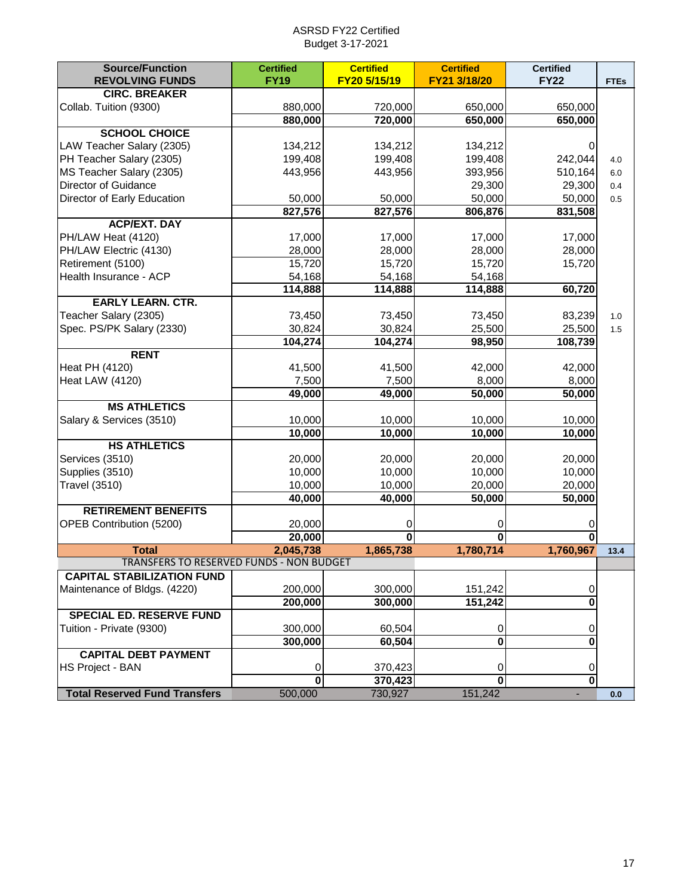| <b>CIRC. BREAKER</b><br>Collab. Tuition (9300)<br>880,000<br>720,000<br>650,000<br>650,000<br>880,000<br>720,000<br>650,000<br>650,000<br><b>SCHOOL CHOICE</b><br>LAW Teacher Salary (2305)<br>134,212<br>134,212<br>134,212<br>0<br>PH Teacher Salary (2305)<br>199,408<br>199,408<br>199,408<br>242,044<br>4.0<br>MS Teacher Salary (2305)<br>443,956<br>443,956<br>393,956<br>510,164<br>6.0<br>Director of Guidance<br>29,300<br>29,300<br>0.4<br>Director of Early Education<br>50,000<br>50,000<br>50,000<br>50,000<br>0.5<br>827,576<br>827,576<br>806,876<br>831,508<br><b>ACP/EXT. DAY</b><br>17,000<br>PH/LAW Heat (4120)<br>17,000<br>17,000<br>17,000<br>PH/LAW Electric (4130)<br>28,000<br>28,000<br>28,000<br>28,000<br>Retirement (5100)<br>15,720<br>15,720<br>15,720<br>15,720<br>Health Insurance - ACP<br>54,168<br>54,168<br>54,168<br>114,888<br>60,720<br>114,888<br>114,888<br><b>EARLY LEARN. CTR.</b><br>73,450<br>Teacher Salary (2305)<br>73,450<br>73,450<br>83,239<br>1.0<br>Spec. PS/PK Salary (2330)<br>30,824<br>30,824<br>25,500<br>25,500<br>1.5<br>104,274<br>104,274<br>98,950<br>108,739<br><b>RENT</b><br>41,500<br>41,500<br>42,000<br>42,000<br>Heat PH (4120)<br><b>Heat LAW (4120)</b><br>8,000<br>8,000<br>7,500<br>7,500<br>50,000<br>49,000<br>49,000<br>50,000<br><b>MS ATHLETICS</b><br>10,000<br>10,000<br>Salary & Services (3510)<br>10,000<br>10,000<br>10,000<br>10,000<br>10,000<br>10,000<br><b>HS ATHLETICS</b><br>20,000<br>Services (3510)<br>20,000<br>20,000<br>20,000<br>10,000<br>10,000<br>10,000<br>10,000<br>Supplies (3510)<br>20,000<br><b>Travel (3510)</b><br>10,000<br>10,000<br>20,000<br>40,000<br>40,000<br>50,000<br>50,000<br><b>RETIREMENT BENEFITS</b><br>OPEB Contribution (5200)<br>20,000<br>0<br>0<br>0<br>20,000<br>$\bf{0}$<br>$\bf{0}$<br>$\bf{0}$<br><b>Total</b><br>2,045,738<br>1,865,738<br>1,780,714<br>1,760,967<br>13.4<br>TRANSFERS TO RESERVED FUNDS - NON BUDGET<br><b>CAPITAL STABILIZATION FUND</b><br>Maintenance of Bldgs. (4220)<br>200,000<br>300,000<br>151,242<br>0<br>200,000<br>300,000<br>151,242<br>0<br>SPECIAL ED. RESERVE FUND<br>Tuition - Private (9300)<br>300,000<br>60,504<br>0<br>0<br>300,000<br>60,504<br>$\mathbf 0$<br>0<br><b>CAPITAL DEBT PAYMENT</b><br><b>HS Project - BAN</b><br>0<br>370,423<br>0<br>0<br>$\overline{\mathbf{0}}$<br>$\bf{0}$<br>370,423<br>0<br><b>Total Reserved Fund Transfers</b><br>500,000<br>151,242<br>730,927<br>0.0 | <b>Source/Function</b><br><b>REVOLVING FUNDS</b> | <b>Certified</b><br><b>FY19</b> | <b>Certified</b><br>FY20 5/15/19 | <b>Certified</b><br>FY21 3/18/20 | <b>Certified</b><br><b>FY22</b> | <b>FTEs</b> |
|----------------------------------------------------------------------------------------------------------------------------------------------------------------------------------------------------------------------------------------------------------------------------------------------------------------------------------------------------------------------------------------------------------------------------------------------------------------------------------------------------------------------------------------------------------------------------------------------------------------------------------------------------------------------------------------------------------------------------------------------------------------------------------------------------------------------------------------------------------------------------------------------------------------------------------------------------------------------------------------------------------------------------------------------------------------------------------------------------------------------------------------------------------------------------------------------------------------------------------------------------------------------------------------------------------------------------------------------------------------------------------------------------------------------------------------------------------------------------------------------------------------------------------------------------------------------------------------------------------------------------------------------------------------------------------------------------------------------------------------------------------------------------------------------------------------------------------------------------------------------------------------------------------------------------------------------------------------------------------------------------------------------------------------------------------------------------------------------------------------------------------------------------------------------------------------------------------------------------------------------------------------------------------------------------------------------------------------------------------------------------------------------------------------------------------------------------------------------------|--------------------------------------------------|---------------------------------|----------------------------------|----------------------------------|---------------------------------|-------------|
|                                                                                                                                                                                                                                                                                                                                                                                                                                                                                                                                                                                                                                                                                                                                                                                                                                                                                                                                                                                                                                                                                                                                                                                                                                                                                                                                                                                                                                                                                                                                                                                                                                                                                                                                                                                                                                                                                                                                                                                                                                                                                                                                                                                                                                                                                                                                                                                                                                                                            |                                                  |                                 |                                  |                                  |                                 |             |
|                                                                                                                                                                                                                                                                                                                                                                                                                                                                                                                                                                                                                                                                                                                                                                                                                                                                                                                                                                                                                                                                                                                                                                                                                                                                                                                                                                                                                                                                                                                                                                                                                                                                                                                                                                                                                                                                                                                                                                                                                                                                                                                                                                                                                                                                                                                                                                                                                                                                            |                                                  |                                 |                                  |                                  |                                 |             |
|                                                                                                                                                                                                                                                                                                                                                                                                                                                                                                                                                                                                                                                                                                                                                                                                                                                                                                                                                                                                                                                                                                                                                                                                                                                                                                                                                                                                                                                                                                                                                                                                                                                                                                                                                                                                                                                                                                                                                                                                                                                                                                                                                                                                                                                                                                                                                                                                                                                                            |                                                  |                                 |                                  |                                  |                                 |             |
|                                                                                                                                                                                                                                                                                                                                                                                                                                                                                                                                                                                                                                                                                                                                                                                                                                                                                                                                                                                                                                                                                                                                                                                                                                                                                                                                                                                                                                                                                                                                                                                                                                                                                                                                                                                                                                                                                                                                                                                                                                                                                                                                                                                                                                                                                                                                                                                                                                                                            |                                                  |                                 |                                  |                                  |                                 |             |
|                                                                                                                                                                                                                                                                                                                                                                                                                                                                                                                                                                                                                                                                                                                                                                                                                                                                                                                                                                                                                                                                                                                                                                                                                                                                                                                                                                                                                                                                                                                                                                                                                                                                                                                                                                                                                                                                                                                                                                                                                                                                                                                                                                                                                                                                                                                                                                                                                                                                            |                                                  |                                 |                                  |                                  |                                 |             |
|                                                                                                                                                                                                                                                                                                                                                                                                                                                                                                                                                                                                                                                                                                                                                                                                                                                                                                                                                                                                                                                                                                                                                                                                                                                                                                                                                                                                                                                                                                                                                                                                                                                                                                                                                                                                                                                                                                                                                                                                                                                                                                                                                                                                                                                                                                                                                                                                                                                                            |                                                  |                                 |                                  |                                  |                                 |             |
|                                                                                                                                                                                                                                                                                                                                                                                                                                                                                                                                                                                                                                                                                                                                                                                                                                                                                                                                                                                                                                                                                                                                                                                                                                                                                                                                                                                                                                                                                                                                                                                                                                                                                                                                                                                                                                                                                                                                                                                                                                                                                                                                                                                                                                                                                                                                                                                                                                                                            |                                                  |                                 |                                  |                                  |                                 |             |
|                                                                                                                                                                                                                                                                                                                                                                                                                                                                                                                                                                                                                                                                                                                                                                                                                                                                                                                                                                                                                                                                                                                                                                                                                                                                                                                                                                                                                                                                                                                                                                                                                                                                                                                                                                                                                                                                                                                                                                                                                                                                                                                                                                                                                                                                                                                                                                                                                                                                            |                                                  |                                 |                                  |                                  |                                 |             |
|                                                                                                                                                                                                                                                                                                                                                                                                                                                                                                                                                                                                                                                                                                                                                                                                                                                                                                                                                                                                                                                                                                                                                                                                                                                                                                                                                                                                                                                                                                                                                                                                                                                                                                                                                                                                                                                                                                                                                                                                                                                                                                                                                                                                                                                                                                                                                                                                                                                                            |                                                  |                                 |                                  |                                  |                                 |             |
|                                                                                                                                                                                                                                                                                                                                                                                                                                                                                                                                                                                                                                                                                                                                                                                                                                                                                                                                                                                                                                                                                                                                                                                                                                                                                                                                                                                                                                                                                                                                                                                                                                                                                                                                                                                                                                                                                                                                                                                                                                                                                                                                                                                                                                                                                                                                                                                                                                                                            |                                                  |                                 |                                  |                                  |                                 |             |
|                                                                                                                                                                                                                                                                                                                                                                                                                                                                                                                                                                                                                                                                                                                                                                                                                                                                                                                                                                                                                                                                                                                                                                                                                                                                                                                                                                                                                                                                                                                                                                                                                                                                                                                                                                                                                                                                                                                                                                                                                                                                                                                                                                                                                                                                                                                                                                                                                                                                            |                                                  |                                 |                                  |                                  |                                 |             |
|                                                                                                                                                                                                                                                                                                                                                                                                                                                                                                                                                                                                                                                                                                                                                                                                                                                                                                                                                                                                                                                                                                                                                                                                                                                                                                                                                                                                                                                                                                                                                                                                                                                                                                                                                                                                                                                                                                                                                                                                                                                                                                                                                                                                                                                                                                                                                                                                                                                                            |                                                  |                                 |                                  |                                  |                                 |             |
|                                                                                                                                                                                                                                                                                                                                                                                                                                                                                                                                                                                                                                                                                                                                                                                                                                                                                                                                                                                                                                                                                                                                                                                                                                                                                                                                                                                                                                                                                                                                                                                                                                                                                                                                                                                                                                                                                                                                                                                                                                                                                                                                                                                                                                                                                                                                                                                                                                                                            |                                                  |                                 |                                  |                                  |                                 |             |
|                                                                                                                                                                                                                                                                                                                                                                                                                                                                                                                                                                                                                                                                                                                                                                                                                                                                                                                                                                                                                                                                                                                                                                                                                                                                                                                                                                                                                                                                                                                                                                                                                                                                                                                                                                                                                                                                                                                                                                                                                                                                                                                                                                                                                                                                                                                                                                                                                                                                            |                                                  |                                 |                                  |                                  |                                 |             |
|                                                                                                                                                                                                                                                                                                                                                                                                                                                                                                                                                                                                                                                                                                                                                                                                                                                                                                                                                                                                                                                                                                                                                                                                                                                                                                                                                                                                                                                                                                                                                                                                                                                                                                                                                                                                                                                                                                                                                                                                                                                                                                                                                                                                                                                                                                                                                                                                                                                                            |                                                  |                                 |                                  |                                  |                                 |             |
|                                                                                                                                                                                                                                                                                                                                                                                                                                                                                                                                                                                                                                                                                                                                                                                                                                                                                                                                                                                                                                                                                                                                                                                                                                                                                                                                                                                                                                                                                                                                                                                                                                                                                                                                                                                                                                                                                                                                                                                                                                                                                                                                                                                                                                                                                                                                                                                                                                                                            |                                                  |                                 |                                  |                                  |                                 |             |
|                                                                                                                                                                                                                                                                                                                                                                                                                                                                                                                                                                                                                                                                                                                                                                                                                                                                                                                                                                                                                                                                                                                                                                                                                                                                                                                                                                                                                                                                                                                                                                                                                                                                                                                                                                                                                                                                                                                                                                                                                                                                                                                                                                                                                                                                                                                                                                                                                                                                            |                                                  |                                 |                                  |                                  |                                 |             |
|                                                                                                                                                                                                                                                                                                                                                                                                                                                                                                                                                                                                                                                                                                                                                                                                                                                                                                                                                                                                                                                                                                                                                                                                                                                                                                                                                                                                                                                                                                                                                                                                                                                                                                                                                                                                                                                                                                                                                                                                                                                                                                                                                                                                                                                                                                                                                                                                                                                                            |                                                  |                                 |                                  |                                  |                                 |             |
|                                                                                                                                                                                                                                                                                                                                                                                                                                                                                                                                                                                                                                                                                                                                                                                                                                                                                                                                                                                                                                                                                                                                                                                                                                                                                                                                                                                                                                                                                                                                                                                                                                                                                                                                                                                                                                                                                                                                                                                                                                                                                                                                                                                                                                                                                                                                                                                                                                                                            |                                                  |                                 |                                  |                                  |                                 |             |
|                                                                                                                                                                                                                                                                                                                                                                                                                                                                                                                                                                                                                                                                                                                                                                                                                                                                                                                                                                                                                                                                                                                                                                                                                                                                                                                                                                                                                                                                                                                                                                                                                                                                                                                                                                                                                                                                                                                                                                                                                                                                                                                                                                                                                                                                                                                                                                                                                                                                            |                                                  |                                 |                                  |                                  |                                 |             |
|                                                                                                                                                                                                                                                                                                                                                                                                                                                                                                                                                                                                                                                                                                                                                                                                                                                                                                                                                                                                                                                                                                                                                                                                                                                                                                                                                                                                                                                                                                                                                                                                                                                                                                                                                                                                                                                                                                                                                                                                                                                                                                                                                                                                                                                                                                                                                                                                                                                                            |                                                  |                                 |                                  |                                  |                                 |             |
|                                                                                                                                                                                                                                                                                                                                                                                                                                                                                                                                                                                                                                                                                                                                                                                                                                                                                                                                                                                                                                                                                                                                                                                                                                                                                                                                                                                                                                                                                                                                                                                                                                                                                                                                                                                                                                                                                                                                                                                                                                                                                                                                                                                                                                                                                                                                                                                                                                                                            |                                                  |                                 |                                  |                                  |                                 |             |
|                                                                                                                                                                                                                                                                                                                                                                                                                                                                                                                                                                                                                                                                                                                                                                                                                                                                                                                                                                                                                                                                                                                                                                                                                                                                                                                                                                                                                                                                                                                                                                                                                                                                                                                                                                                                                                                                                                                                                                                                                                                                                                                                                                                                                                                                                                                                                                                                                                                                            |                                                  |                                 |                                  |                                  |                                 |             |
|                                                                                                                                                                                                                                                                                                                                                                                                                                                                                                                                                                                                                                                                                                                                                                                                                                                                                                                                                                                                                                                                                                                                                                                                                                                                                                                                                                                                                                                                                                                                                                                                                                                                                                                                                                                                                                                                                                                                                                                                                                                                                                                                                                                                                                                                                                                                                                                                                                                                            |                                                  |                                 |                                  |                                  |                                 |             |
|                                                                                                                                                                                                                                                                                                                                                                                                                                                                                                                                                                                                                                                                                                                                                                                                                                                                                                                                                                                                                                                                                                                                                                                                                                                                                                                                                                                                                                                                                                                                                                                                                                                                                                                                                                                                                                                                                                                                                                                                                                                                                                                                                                                                                                                                                                                                                                                                                                                                            |                                                  |                                 |                                  |                                  |                                 |             |
|                                                                                                                                                                                                                                                                                                                                                                                                                                                                                                                                                                                                                                                                                                                                                                                                                                                                                                                                                                                                                                                                                                                                                                                                                                                                                                                                                                                                                                                                                                                                                                                                                                                                                                                                                                                                                                                                                                                                                                                                                                                                                                                                                                                                                                                                                                                                                                                                                                                                            |                                                  |                                 |                                  |                                  |                                 |             |
|                                                                                                                                                                                                                                                                                                                                                                                                                                                                                                                                                                                                                                                                                                                                                                                                                                                                                                                                                                                                                                                                                                                                                                                                                                                                                                                                                                                                                                                                                                                                                                                                                                                                                                                                                                                                                                                                                                                                                                                                                                                                                                                                                                                                                                                                                                                                                                                                                                                                            |                                                  |                                 |                                  |                                  |                                 |             |
|                                                                                                                                                                                                                                                                                                                                                                                                                                                                                                                                                                                                                                                                                                                                                                                                                                                                                                                                                                                                                                                                                                                                                                                                                                                                                                                                                                                                                                                                                                                                                                                                                                                                                                                                                                                                                                                                                                                                                                                                                                                                                                                                                                                                                                                                                                                                                                                                                                                                            |                                                  |                                 |                                  |                                  |                                 |             |
|                                                                                                                                                                                                                                                                                                                                                                                                                                                                                                                                                                                                                                                                                                                                                                                                                                                                                                                                                                                                                                                                                                                                                                                                                                                                                                                                                                                                                                                                                                                                                                                                                                                                                                                                                                                                                                                                                                                                                                                                                                                                                                                                                                                                                                                                                                                                                                                                                                                                            |                                                  |                                 |                                  |                                  |                                 |             |
|                                                                                                                                                                                                                                                                                                                                                                                                                                                                                                                                                                                                                                                                                                                                                                                                                                                                                                                                                                                                                                                                                                                                                                                                                                                                                                                                                                                                                                                                                                                                                                                                                                                                                                                                                                                                                                                                                                                                                                                                                                                                                                                                                                                                                                                                                                                                                                                                                                                                            |                                                  |                                 |                                  |                                  |                                 |             |
|                                                                                                                                                                                                                                                                                                                                                                                                                                                                                                                                                                                                                                                                                                                                                                                                                                                                                                                                                                                                                                                                                                                                                                                                                                                                                                                                                                                                                                                                                                                                                                                                                                                                                                                                                                                                                                                                                                                                                                                                                                                                                                                                                                                                                                                                                                                                                                                                                                                                            |                                                  |                                 |                                  |                                  |                                 |             |
|                                                                                                                                                                                                                                                                                                                                                                                                                                                                                                                                                                                                                                                                                                                                                                                                                                                                                                                                                                                                                                                                                                                                                                                                                                                                                                                                                                                                                                                                                                                                                                                                                                                                                                                                                                                                                                                                                                                                                                                                                                                                                                                                                                                                                                                                                                                                                                                                                                                                            |                                                  |                                 |                                  |                                  |                                 |             |
|                                                                                                                                                                                                                                                                                                                                                                                                                                                                                                                                                                                                                                                                                                                                                                                                                                                                                                                                                                                                                                                                                                                                                                                                                                                                                                                                                                                                                                                                                                                                                                                                                                                                                                                                                                                                                                                                                                                                                                                                                                                                                                                                                                                                                                                                                                                                                                                                                                                                            |                                                  |                                 |                                  |                                  |                                 |             |
|                                                                                                                                                                                                                                                                                                                                                                                                                                                                                                                                                                                                                                                                                                                                                                                                                                                                                                                                                                                                                                                                                                                                                                                                                                                                                                                                                                                                                                                                                                                                                                                                                                                                                                                                                                                                                                                                                                                                                                                                                                                                                                                                                                                                                                                                                                                                                                                                                                                                            |                                                  |                                 |                                  |                                  |                                 |             |
|                                                                                                                                                                                                                                                                                                                                                                                                                                                                                                                                                                                                                                                                                                                                                                                                                                                                                                                                                                                                                                                                                                                                                                                                                                                                                                                                                                                                                                                                                                                                                                                                                                                                                                                                                                                                                                                                                                                                                                                                                                                                                                                                                                                                                                                                                                                                                                                                                                                                            |                                                  |                                 |                                  |                                  |                                 |             |
|                                                                                                                                                                                                                                                                                                                                                                                                                                                                                                                                                                                                                                                                                                                                                                                                                                                                                                                                                                                                                                                                                                                                                                                                                                                                                                                                                                                                                                                                                                                                                                                                                                                                                                                                                                                                                                                                                                                                                                                                                                                                                                                                                                                                                                                                                                                                                                                                                                                                            |                                                  |                                 |                                  |                                  |                                 |             |
|                                                                                                                                                                                                                                                                                                                                                                                                                                                                                                                                                                                                                                                                                                                                                                                                                                                                                                                                                                                                                                                                                                                                                                                                                                                                                                                                                                                                                                                                                                                                                                                                                                                                                                                                                                                                                                                                                                                                                                                                                                                                                                                                                                                                                                                                                                                                                                                                                                                                            |                                                  |                                 |                                  |                                  |                                 |             |
|                                                                                                                                                                                                                                                                                                                                                                                                                                                                                                                                                                                                                                                                                                                                                                                                                                                                                                                                                                                                                                                                                                                                                                                                                                                                                                                                                                                                                                                                                                                                                                                                                                                                                                                                                                                                                                                                                                                                                                                                                                                                                                                                                                                                                                                                                                                                                                                                                                                                            |                                                  |                                 |                                  |                                  |                                 |             |
|                                                                                                                                                                                                                                                                                                                                                                                                                                                                                                                                                                                                                                                                                                                                                                                                                                                                                                                                                                                                                                                                                                                                                                                                                                                                                                                                                                                                                                                                                                                                                                                                                                                                                                                                                                                                                                                                                                                                                                                                                                                                                                                                                                                                                                                                                                                                                                                                                                                                            |                                                  |                                 |                                  |                                  |                                 |             |
|                                                                                                                                                                                                                                                                                                                                                                                                                                                                                                                                                                                                                                                                                                                                                                                                                                                                                                                                                                                                                                                                                                                                                                                                                                                                                                                                                                                                                                                                                                                                                                                                                                                                                                                                                                                                                                                                                                                                                                                                                                                                                                                                                                                                                                                                                                                                                                                                                                                                            |                                                  |                                 |                                  |                                  |                                 |             |
|                                                                                                                                                                                                                                                                                                                                                                                                                                                                                                                                                                                                                                                                                                                                                                                                                                                                                                                                                                                                                                                                                                                                                                                                                                                                                                                                                                                                                                                                                                                                                                                                                                                                                                                                                                                                                                                                                                                                                                                                                                                                                                                                                                                                                                                                                                                                                                                                                                                                            |                                                  |                                 |                                  |                                  |                                 |             |
|                                                                                                                                                                                                                                                                                                                                                                                                                                                                                                                                                                                                                                                                                                                                                                                                                                                                                                                                                                                                                                                                                                                                                                                                                                                                                                                                                                                                                                                                                                                                                                                                                                                                                                                                                                                                                                                                                                                                                                                                                                                                                                                                                                                                                                                                                                                                                                                                                                                                            |                                                  |                                 |                                  |                                  |                                 |             |
|                                                                                                                                                                                                                                                                                                                                                                                                                                                                                                                                                                                                                                                                                                                                                                                                                                                                                                                                                                                                                                                                                                                                                                                                                                                                                                                                                                                                                                                                                                                                                                                                                                                                                                                                                                                                                                                                                                                                                                                                                                                                                                                                                                                                                                                                                                                                                                                                                                                                            |                                                  |                                 |                                  |                                  |                                 |             |
|                                                                                                                                                                                                                                                                                                                                                                                                                                                                                                                                                                                                                                                                                                                                                                                                                                                                                                                                                                                                                                                                                                                                                                                                                                                                                                                                                                                                                                                                                                                                                                                                                                                                                                                                                                                                                                                                                                                                                                                                                                                                                                                                                                                                                                                                                                                                                                                                                                                                            |                                                  |                                 |                                  |                                  |                                 |             |
|                                                                                                                                                                                                                                                                                                                                                                                                                                                                                                                                                                                                                                                                                                                                                                                                                                                                                                                                                                                                                                                                                                                                                                                                                                                                                                                                                                                                                                                                                                                                                                                                                                                                                                                                                                                                                                                                                                                                                                                                                                                                                                                                                                                                                                                                                                                                                                                                                                                                            |                                                  |                                 |                                  |                                  |                                 |             |
|                                                                                                                                                                                                                                                                                                                                                                                                                                                                                                                                                                                                                                                                                                                                                                                                                                                                                                                                                                                                                                                                                                                                                                                                                                                                                                                                                                                                                                                                                                                                                                                                                                                                                                                                                                                                                                                                                                                                                                                                                                                                                                                                                                                                                                                                                                                                                                                                                                                                            |                                                  |                                 |                                  |                                  |                                 |             |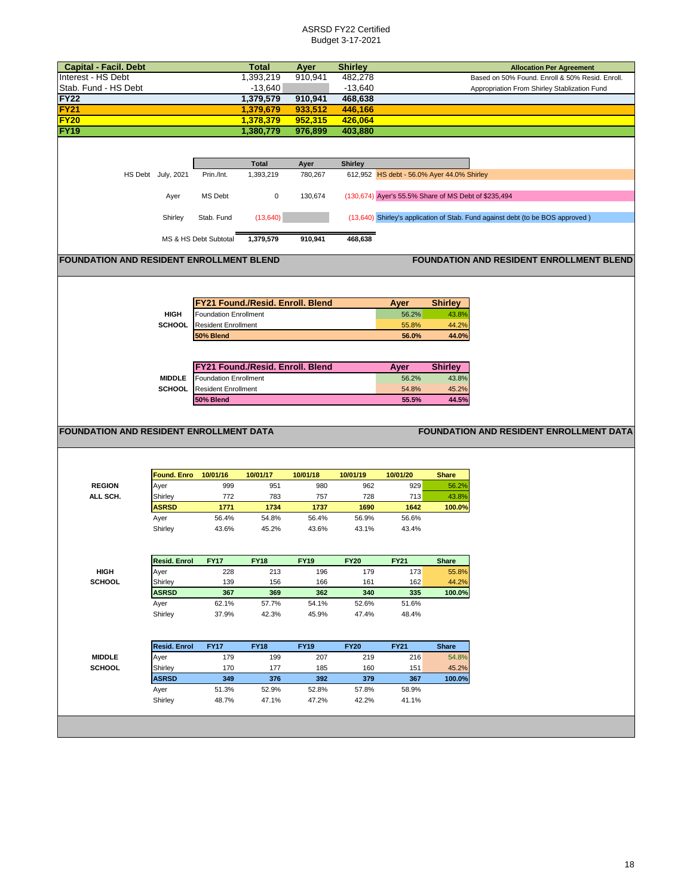| <b>Allocation Per Agreement</b><br>Interest - HS Debt<br>1,393,219<br>910,941<br>482,278<br>Based on 50% Found. Enroll & 50% Resid. Enroll.<br>$-13,640$<br>$-13,640$<br>Stab. Fund - HS Debt<br>Appropriation From Shirley Stablization Fund<br><b>FY22</b><br>1,379,579<br>910,941<br>468,638<br><b>FY21</b><br>1,379,679<br>933,512<br>446,166<br><b>FY20</b><br>1,378,379<br>952,315<br>426,064<br><b>FY19</b><br>976,899<br>1,380,779<br>403,880<br><b>Shirley</b><br><b>Total</b><br>Ayer<br>612,952 HS debt - 56.0% Ayer 44.0% Shirley<br>HS Debt July, 2021<br>Prin./Int.<br>1,393,219<br>780,267<br>(130,674) Ayer's 55.5% Share of MS Debt of \$235,494<br>MS Debt<br>$\mathbf 0$<br>130,674<br>Ayer<br>(13, 640)<br>Shirley<br>(13,640) Shirley's application of Stab. Fund against debt (to be BOS approved)<br>Stab. Fund<br>1,379,579<br>910,941<br>468,638<br>MS & HS Debt Subtotal<br><b>FOUNDATION AND RESIDENT ENROLLMENT BLEND</b><br><b>FOUNDATION AND RESIDENT ENROLLMENT BLEND</b><br>FY21 Found./Resid. Enroll. Blend<br>Ayer<br><b>Shirley</b><br><b>HIGH</b><br><b>Foundation Enrollment</b><br>43.8%<br>56.2%<br><b>SCHOOL</b><br><b>Resident Enrollment</b><br>55.8%<br>44.2%<br>50% Blend<br>56.0%<br>44.0%<br>FY21 Found./Resid. Enroll. Blend<br><b>Shirley</b><br>Ayer<br><b>MIDDLE</b><br>43.8%<br><b>Foundation Enrollment</b><br>56.2%<br><b>SCHOOL</b><br>54.8%<br>45.2%<br><b>Resident Enrollment</b><br>55.5%<br>44.5%<br>50% Blend<br><b>FOUNDATION AND RESIDENT ENROLLMENT DATA</b><br><b>FOUNDATION AND RESIDENT ENROLLMENT DATA</b><br><b>Found. Enro</b><br>10/01/16<br>10/01/17<br>10/01/18<br>10/01/19<br>10/01/20<br><b>Share</b><br><b>REGION</b><br>Ayer<br>951<br>980<br>962<br>929<br>56.2%<br>999<br>ALL SCH.<br>Shirley<br>772<br>783<br>757<br>728<br>713<br>43.8%<br><b>ASRSD</b><br>1771<br>1734<br>1737<br>1690<br>100.0%<br>1642<br>Ayer<br>56.4%<br>54.8%<br>56.4%<br>56.9%<br>56.6%<br>Shirley<br>43.6%<br>45.2%<br>43.6%<br>43.1%<br>43.4%<br><b>Resid. Enrol</b><br><b>FY17</b><br><b>FY18</b><br><b>FY19</b><br><b>FY20</b><br><b>FY21</b><br>Share<br><b>HIGH</b><br>55.8%<br>Ayer<br>228<br>213<br>196<br>179<br>173<br><b>SCHOOL</b><br>44.2%<br>Shirley<br>139<br>156<br>166<br>162<br>161<br><b>ASRSD</b><br>367<br>369<br>362<br>100.0%<br>340<br>335<br>62.1%<br>Ayer<br>57.7%<br>54.1%<br>52.6%<br>51.6%<br>Shirley<br>37.9%<br>42.3%<br>45.9%<br>47.4%<br>48.4%<br><b>FY17</b><br><b>FY18</b><br><b>FY19</b><br><b>FY20</b><br><b>FY21</b><br><b>Resid. Enrol</b><br><b>Share</b><br><b>MIDDLE</b><br>Ayer<br>179<br>199<br>207<br>219<br>216<br>54.8%<br><b>SCHOOL</b><br>Shirley<br>170<br>177<br>185<br>45.2%<br>160<br>151<br><b>ASRSD</b><br>349<br>376<br>392<br>379<br>100.0%<br>367<br>51.3%<br>52.9%<br>52.8%<br>57.8%<br>58.9%<br>Ayer<br>Shirley<br>48.7%<br>47.1%<br>47.2%<br>42.2%<br>41.1% | <b>Capital - Facil. Debt</b> |  | <b>Total</b> |      |                |  |  |
|--------------------------------------------------------------------------------------------------------------------------------------------------------------------------------------------------------------------------------------------------------------------------------------------------------------------------------------------------------------------------------------------------------------------------------------------------------------------------------------------------------------------------------------------------------------------------------------------------------------------------------------------------------------------------------------------------------------------------------------------------------------------------------------------------------------------------------------------------------------------------------------------------------------------------------------------------------------------------------------------------------------------------------------------------------------------------------------------------------------------------------------------------------------------------------------------------------------------------------------------------------------------------------------------------------------------------------------------------------------------------------------------------------------------------------------------------------------------------------------------------------------------------------------------------------------------------------------------------------------------------------------------------------------------------------------------------------------------------------------------------------------------------------------------------------------------------------------------------------------------------------------------------------------------------------------------------------------------------------------------------------------------------------------------------------------------------------------------------------------------------------------------------------------------------------------------------------------------------------------------------------------------------------------------------------------------------------------------------------------------------------------------------------------------------------------------------------------------------------------------------------------------------------------------------------------------------------------------------------------------------------------------------------------------------------------------------------------------------------------------------------------------------------------------------------------------------------------------------------------------------------|------------------------------|--|--------------|------|----------------|--|--|
|                                                                                                                                                                                                                                                                                                                                                                                                                                                                                                                                                                                                                                                                                                                                                                                                                                                                                                                                                                                                                                                                                                                                                                                                                                                                                                                                                                                                                                                                                                                                                                                                                                                                                                                                                                                                                                                                                                                                                                                                                                                                                                                                                                                                                                                                                                                                                                                                                                                                                                                                                                                                                                                                                                                                                                                                                                                                                |                              |  |              | Ayer | <b>Shirley</b> |  |  |
|                                                                                                                                                                                                                                                                                                                                                                                                                                                                                                                                                                                                                                                                                                                                                                                                                                                                                                                                                                                                                                                                                                                                                                                                                                                                                                                                                                                                                                                                                                                                                                                                                                                                                                                                                                                                                                                                                                                                                                                                                                                                                                                                                                                                                                                                                                                                                                                                                                                                                                                                                                                                                                                                                                                                                                                                                                                                                |                              |  |              |      |                |  |  |
|                                                                                                                                                                                                                                                                                                                                                                                                                                                                                                                                                                                                                                                                                                                                                                                                                                                                                                                                                                                                                                                                                                                                                                                                                                                                                                                                                                                                                                                                                                                                                                                                                                                                                                                                                                                                                                                                                                                                                                                                                                                                                                                                                                                                                                                                                                                                                                                                                                                                                                                                                                                                                                                                                                                                                                                                                                                                                |                              |  |              |      |                |  |  |
|                                                                                                                                                                                                                                                                                                                                                                                                                                                                                                                                                                                                                                                                                                                                                                                                                                                                                                                                                                                                                                                                                                                                                                                                                                                                                                                                                                                                                                                                                                                                                                                                                                                                                                                                                                                                                                                                                                                                                                                                                                                                                                                                                                                                                                                                                                                                                                                                                                                                                                                                                                                                                                                                                                                                                                                                                                                                                |                              |  |              |      |                |  |  |
|                                                                                                                                                                                                                                                                                                                                                                                                                                                                                                                                                                                                                                                                                                                                                                                                                                                                                                                                                                                                                                                                                                                                                                                                                                                                                                                                                                                                                                                                                                                                                                                                                                                                                                                                                                                                                                                                                                                                                                                                                                                                                                                                                                                                                                                                                                                                                                                                                                                                                                                                                                                                                                                                                                                                                                                                                                                                                |                              |  |              |      |                |  |  |
|                                                                                                                                                                                                                                                                                                                                                                                                                                                                                                                                                                                                                                                                                                                                                                                                                                                                                                                                                                                                                                                                                                                                                                                                                                                                                                                                                                                                                                                                                                                                                                                                                                                                                                                                                                                                                                                                                                                                                                                                                                                                                                                                                                                                                                                                                                                                                                                                                                                                                                                                                                                                                                                                                                                                                                                                                                                                                |                              |  |              |      |                |  |  |
|                                                                                                                                                                                                                                                                                                                                                                                                                                                                                                                                                                                                                                                                                                                                                                                                                                                                                                                                                                                                                                                                                                                                                                                                                                                                                                                                                                                                                                                                                                                                                                                                                                                                                                                                                                                                                                                                                                                                                                                                                                                                                                                                                                                                                                                                                                                                                                                                                                                                                                                                                                                                                                                                                                                                                                                                                                                                                |                              |  |              |      |                |  |  |
|                                                                                                                                                                                                                                                                                                                                                                                                                                                                                                                                                                                                                                                                                                                                                                                                                                                                                                                                                                                                                                                                                                                                                                                                                                                                                                                                                                                                                                                                                                                                                                                                                                                                                                                                                                                                                                                                                                                                                                                                                                                                                                                                                                                                                                                                                                                                                                                                                                                                                                                                                                                                                                                                                                                                                                                                                                                                                |                              |  |              |      |                |  |  |
|                                                                                                                                                                                                                                                                                                                                                                                                                                                                                                                                                                                                                                                                                                                                                                                                                                                                                                                                                                                                                                                                                                                                                                                                                                                                                                                                                                                                                                                                                                                                                                                                                                                                                                                                                                                                                                                                                                                                                                                                                                                                                                                                                                                                                                                                                                                                                                                                                                                                                                                                                                                                                                                                                                                                                                                                                                                                                |                              |  |              |      |                |  |  |
|                                                                                                                                                                                                                                                                                                                                                                                                                                                                                                                                                                                                                                                                                                                                                                                                                                                                                                                                                                                                                                                                                                                                                                                                                                                                                                                                                                                                                                                                                                                                                                                                                                                                                                                                                                                                                                                                                                                                                                                                                                                                                                                                                                                                                                                                                                                                                                                                                                                                                                                                                                                                                                                                                                                                                                                                                                                                                |                              |  |              |      |                |  |  |
|                                                                                                                                                                                                                                                                                                                                                                                                                                                                                                                                                                                                                                                                                                                                                                                                                                                                                                                                                                                                                                                                                                                                                                                                                                                                                                                                                                                                                                                                                                                                                                                                                                                                                                                                                                                                                                                                                                                                                                                                                                                                                                                                                                                                                                                                                                                                                                                                                                                                                                                                                                                                                                                                                                                                                                                                                                                                                |                              |  |              |      |                |  |  |
|                                                                                                                                                                                                                                                                                                                                                                                                                                                                                                                                                                                                                                                                                                                                                                                                                                                                                                                                                                                                                                                                                                                                                                                                                                                                                                                                                                                                                                                                                                                                                                                                                                                                                                                                                                                                                                                                                                                                                                                                                                                                                                                                                                                                                                                                                                                                                                                                                                                                                                                                                                                                                                                                                                                                                                                                                                                                                |                              |  |              |      |                |  |  |
|                                                                                                                                                                                                                                                                                                                                                                                                                                                                                                                                                                                                                                                                                                                                                                                                                                                                                                                                                                                                                                                                                                                                                                                                                                                                                                                                                                                                                                                                                                                                                                                                                                                                                                                                                                                                                                                                                                                                                                                                                                                                                                                                                                                                                                                                                                                                                                                                                                                                                                                                                                                                                                                                                                                                                                                                                                                                                |                              |  |              |      |                |  |  |
|                                                                                                                                                                                                                                                                                                                                                                                                                                                                                                                                                                                                                                                                                                                                                                                                                                                                                                                                                                                                                                                                                                                                                                                                                                                                                                                                                                                                                                                                                                                                                                                                                                                                                                                                                                                                                                                                                                                                                                                                                                                                                                                                                                                                                                                                                                                                                                                                                                                                                                                                                                                                                                                                                                                                                                                                                                                                                |                              |  |              |      |                |  |  |
|                                                                                                                                                                                                                                                                                                                                                                                                                                                                                                                                                                                                                                                                                                                                                                                                                                                                                                                                                                                                                                                                                                                                                                                                                                                                                                                                                                                                                                                                                                                                                                                                                                                                                                                                                                                                                                                                                                                                                                                                                                                                                                                                                                                                                                                                                                                                                                                                                                                                                                                                                                                                                                                                                                                                                                                                                                                                                |                              |  |              |      |                |  |  |
|                                                                                                                                                                                                                                                                                                                                                                                                                                                                                                                                                                                                                                                                                                                                                                                                                                                                                                                                                                                                                                                                                                                                                                                                                                                                                                                                                                                                                                                                                                                                                                                                                                                                                                                                                                                                                                                                                                                                                                                                                                                                                                                                                                                                                                                                                                                                                                                                                                                                                                                                                                                                                                                                                                                                                                                                                                                                                |                              |  |              |      |                |  |  |
|                                                                                                                                                                                                                                                                                                                                                                                                                                                                                                                                                                                                                                                                                                                                                                                                                                                                                                                                                                                                                                                                                                                                                                                                                                                                                                                                                                                                                                                                                                                                                                                                                                                                                                                                                                                                                                                                                                                                                                                                                                                                                                                                                                                                                                                                                                                                                                                                                                                                                                                                                                                                                                                                                                                                                                                                                                                                                |                              |  |              |      |                |  |  |
|                                                                                                                                                                                                                                                                                                                                                                                                                                                                                                                                                                                                                                                                                                                                                                                                                                                                                                                                                                                                                                                                                                                                                                                                                                                                                                                                                                                                                                                                                                                                                                                                                                                                                                                                                                                                                                                                                                                                                                                                                                                                                                                                                                                                                                                                                                                                                                                                                                                                                                                                                                                                                                                                                                                                                                                                                                                                                |                              |  |              |      |                |  |  |
|                                                                                                                                                                                                                                                                                                                                                                                                                                                                                                                                                                                                                                                                                                                                                                                                                                                                                                                                                                                                                                                                                                                                                                                                                                                                                                                                                                                                                                                                                                                                                                                                                                                                                                                                                                                                                                                                                                                                                                                                                                                                                                                                                                                                                                                                                                                                                                                                                                                                                                                                                                                                                                                                                                                                                                                                                                                                                |                              |  |              |      |                |  |  |
|                                                                                                                                                                                                                                                                                                                                                                                                                                                                                                                                                                                                                                                                                                                                                                                                                                                                                                                                                                                                                                                                                                                                                                                                                                                                                                                                                                                                                                                                                                                                                                                                                                                                                                                                                                                                                                                                                                                                                                                                                                                                                                                                                                                                                                                                                                                                                                                                                                                                                                                                                                                                                                                                                                                                                                                                                                                                                |                              |  |              |      |                |  |  |
|                                                                                                                                                                                                                                                                                                                                                                                                                                                                                                                                                                                                                                                                                                                                                                                                                                                                                                                                                                                                                                                                                                                                                                                                                                                                                                                                                                                                                                                                                                                                                                                                                                                                                                                                                                                                                                                                                                                                                                                                                                                                                                                                                                                                                                                                                                                                                                                                                                                                                                                                                                                                                                                                                                                                                                                                                                                                                |                              |  |              |      |                |  |  |
|                                                                                                                                                                                                                                                                                                                                                                                                                                                                                                                                                                                                                                                                                                                                                                                                                                                                                                                                                                                                                                                                                                                                                                                                                                                                                                                                                                                                                                                                                                                                                                                                                                                                                                                                                                                                                                                                                                                                                                                                                                                                                                                                                                                                                                                                                                                                                                                                                                                                                                                                                                                                                                                                                                                                                                                                                                                                                |                              |  |              |      |                |  |  |
|                                                                                                                                                                                                                                                                                                                                                                                                                                                                                                                                                                                                                                                                                                                                                                                                                                                                                                                                                                                                                                                                                                                                                                                                                                                                                                                                                                                                                                                                                                                                                                                                                                                                                                                                                                                                                                                                                                                                                                                                                                                                                                                                                                                                                                                                                                                                                                                                                                                                                                                                                                                                                                                                                                                                                                                                                                                                                |                              |  |              |      |                |  |  |
|                                                                                                                                                                                                                                                                                                                                                                                                                                                                                                                                                                                                                                                                                                                                                                                                                                                                                                                                                                                                                                                                                                                                                                                                                                                                                                                                                                                                                                                                                                                                                                                                                                                                                                                                                                                                                                                                                                                                                                                                                                                                                                                                                                                                                                                                                                                                                                                                                                                                                                                                                                                                                                                                                                                                                                                                                                                                                |                              |  |              |      |                |  |  |
|                                                                                                                                                                                                                                                                                                                                                                                                                                                                                                                                                                                                                                                                                                                                                                                                                                                                                                                                                                                                                                                                                                                                                                                                                                                                                                                                                                                                                                                                                                                                                                                                                                                                                                                                                                                                                                                                                                                                                                                                                                                                                                                                                                                                                                                                                                                                                                                                                                                                                                                                                                                                                                                                                                                                                                                                                                                                                |                              |  |              |      |                |  |  |
|                                                                                                                                                                                                                                                                                                                                                                                                                                                                                                                                                                                                                                                                                                                                                                                                                                                                                                                                                                                                                                                                                                                                                                                                                                                                                                                                                                                                                                                                                                                                                                                                                                                                                                                                                                                                                                                                                                                                                                                                                                                                                                                                                                                                                                                                                                                                                                                                                                                                                                                                                                                                                                                                                                                                                                                                                                                                                |                              |  |              |      |                |  |  |
|                                                                                                                                                                                                                                                                                                                                                                                                                                                                                                                                                                                                                                                                                                                                                                                                                                                                                                                                                                                                                                                                                                                                                                                                                                                                                                                                                                                                                                                                                                                                                                                                                                                                                                                                                                                                                                                                                                                                                                                                                                                                                                                                                                                                                                                                                                                                                                                                                                                                                                                                                                                                                                                                                                                                                                                                                                                                                |                              |  |              |      |                |  |  |
|                                                                                                                                                                                                                                                                                                                                                                                                                                                                                                                                                                                                                                                                                                                                                                                                                                                                                                                                                                                                                                                                                                                                                                                                                                                                                                                                                                                                                                                                                                                                                                                                                                                                                                                                                                                                                                                                                                                                                                                                                                                                                                                                                                                                                                                                                                                                                                                                                                                                                                                                                                                                                                                                                                                                                                                                                                                                                |                              |  |              |      |                |  |  |
|                                                                                                                                                                                                                                                                                                                                                                                                                                                                                                                                                                                                                                                                                                                                                                                                                                                                                                                                                                                                                                                                                                                                                                                                                                                                                                                                                                                                                                                                                                                                                                                                                                                                                                                                                                                                                                                                                                                                                                                                                                                                                                                                                                                                                                                                                                                                                                                                                                                                                                                                                                                                                                                                                                                                                                                                                                                                                |                              |  |              |      |                |  |  |
|                                                                                                                                                                                                                                                                                                                                                                                                                                                                                                                                                                                                                                                                                                                                                                                                                                                                                                                                                                                                                                                                                                                                                                                                                                                                                                                                                                                                                                                                                                                                                                                                                                                                                                                                                                                                                                                                                                                                                                                                                                                                                                                                                                                                                                                                                                                                                                                                                                                                                                                                                                                                                                                                                                                                                                                                                                                                                |                              |  |              |      |                |  |  |
|                                                                                                                                                                                                                                                                                                                                                                                                                                                                                                                                                                                                                                                                                                                                                                                                                                                                                                                                                                                                                                                                                                                                                                                                                                                                                                                                                                                                                                                                                                                                                                                                                                                                                                                                                                                                                                                                                                                                                                                                                                                                                                                                                                                                                                                                                                                                                                                                                                                                                                                                                                                                                                                                                                                                                                                                                                                                                |                              |  |              |      |                |  |  |
|                                                                                                                                                                                                                                                                                                                                                                                                                                                                                                                                                                                                                                                                                                                                                                                                                                                                                                                                                                                                                                                                                                                                                                                                                                                                                                                                                                                                                                                                                                                                                                                                                                                                                                                                                                                                                                                                                                                                                                                                                                                                                                                                                                                                                                                                                                                                                                                                                                                                                                                                                                                                                                                                                                                                                                                                                                                                                |                              |  |              |      |                |  |  |
|                                                                                                                                                                                                                                                                                                                                                                                                                                                                                                                                                                                                                                                                                                                                                                                                                                                                                                                                                                                                                                                                                                                                                                                                                                                                                                                                                                                                                                                                                                                                                                                                                                                                                                                                                                                                                                                                                                                                                                                                                                                                                                                                                                                                                                                                                                                                                                                                                                                                                                                                                                                                                                                                                                                                                                                                                                                                                |                              |  |              |      |                |  |  |
|                                                                                                                                                                                                                                                                                                                                                                                                                                                                                                                                                                                                                                                                                                                                                                                                                                                                                                                                                                                                                                                                                                                                                                                                                                                                                                                                                                                                                                                                                                                                                                                                                                                                                                                                                                                                                                                                                                                                                                                                                                                                                                                                                                                                                                                                                                                                                                                                                                                                                                                                                                                                                                                                                                                                                                                                                                                                                |                              |  |              |      |                |  |  |
|                                                                                                                                                                                                                                                                                                                                                                                                                                                                                                                                                                                                                                                                                                                                                                                                                                                                                                                                                                                                                                                                                                                                                                                                                                                                                                                                                                                                                                                                                                                                                                                                                                                                                                                                                                                                                                                                                                                                                                                                                                                                                                                                                                                                                                                                                                                                                                                                                                                                                                                                                                                                                                                                                                                                                                                                                                                                                |                              |  |              |      |                |  |  |
|                                                                                                                                                                                                                                                                                                                                                                                                                                                                                                                                                                                                                                                                                                                                                                                                                                                                                                                                                                                                                                                                                                                                                                                                                                                                                                                                                                                                                                                                                                                                                                                                                                                                                                                                                                                                                                                                                                                                                                                                                                                                                                                                                                                                                                                                                                                                                                                                                                                                                                                                                                                                                                                                                                                                                                                                                                                                                |                              |  |              |      |                |  |  |
|                                                                                                                                                                                                                                                                                                                                                                                                                                                                                                                                                                                                                                                                                                                                                                                                                                                                                                                                                                                                                                                                                                                                                                                                                                                                                                                                                                                                                                                                                                                                                                                                                                                                                                                                                                                                                                                                                                                                                                                                                                                                                                                                                                                                                                                                                                                                                                                                                                                                                                                                                                                                                                                                                                                                                                                                                                                                                |                              |  |              |      |                |  |  |
|                                                                                                                                                                                                                                                                                                                                                                                                                                                                                                                                                                                                                                                                                                                                                                                                                                                                                                                                                                                                                                                                                                                                                                                                                                                                                                                                                                                                                                                                                                                                                                                                                                                                                                                                                                                                                                                                                                                                                                                                                                                                                                                                                                                                                                                                                                                                                                                                                                                                                                                                                                                                                                                                                                                                                                                                                                                                                |                              |  |              |      |                |  |  |
|                                                                                                                                                                                                                                                                                                                                                                                                                                                                                                                                                                                                                                                                                                                                                                                                                                                                                                                                                                                                                                                                                                                                                                                                                                                                                                                                                                                                                                                                                                                                                                                                                                                                                                                                                                                                                                                                                                                                                                                                                                                                                                                                                                                                                                                                                                                                                                                                                                                                                                                                                                                                                                                                                                                                                                                                                                                                                |                              |  |              |      |                |  |  |
|                                                                                                                                                                                                                                                                                                                                                                                                                                                                                                                                                                                                                                                                                                                                                                                                                                                                                                                                                                                                                                                                                                                                                                                                                                                                                                                                                                                                                                                                                                                                                                                                                                                                                                                                                                                                                                                                                                                                                                                                                                                                                                                                                                                                                                                                                                                                                                                                                                                                                                                                                                                                                                                                                                                                                                                                                                                                                |                              |  |              |      |                |  |  |
|                                                                                                                                                                                                                                                                                                                                                                                                                                                                                                                                                                                                                                                                                                                                                                                                                                                                                                                                                                                                                                                                                                                                                                                                                                                                                                                                                                                                                                                                                                                                                                                                                                                                                                                                                                                                                                                                                                                                                                                                                                                                                                                                                                                                                                                                                                                                                                                                                                                                                                                                                                                                                                                                                                                                                                                                                                                                                |                              |  |              |      |                |  |  |
|                                                                                                                                                                                                                                                                                                                                                                                                                                                                                                                                                                                                                                                                                                                                                                                                                                                                                                                                                                                                                                                                                                                                                                                                                                                                                                                                                                                                                                                                                                                                                                                                                                                                                                                                                                                                                                                                                                                                                                                                                                                                                                                                                                                                                                                                                                                                                                                                                                                                                                                                                                                                                                                                                                                                                                                                                                                                                |                              |  |              |      |                |  |  |
|                                                                                                                                                                                                                                                                                                                                                                                                                                                                                                                                                                                                                                                                                                                                                                                                                                                                                                                                                                                                                                                                                                                                                                                                                                                                                                                                                                                                                                                                                                                                                                                                                                                                                                                                                                                                                                                                                                                                                                                                                                                                                                                                                                                                                                                                                                                                                                                                                                                                                                                                                                                                                                                                                                                                                                                                                                                                                |                              |  |              |      |                |  |  |
|                                                                                                                                                                                                                                                                                                                                                                                                                                                                                                                                                                                                                                                                                                                                                                                                                                                                                                                                                                                                                                                                                                                                                                                                                                                                                                                                                                                                                                                                                                                                                                                                                                                                                                                                                                                                                                                                                                                                                                                                                                                                                                                                                                                                                                                                                                                                                                                                                                                                                                                                                                                                                                                                                                                                                                                                                                                                                |                              |  |              |      |                |  |  |
|                                                                                                                                                                                                                                                                                                                                                                                                                                                                                                                                                                                                                                                                                                                                                                                                                                                                                                                                                                                                                                                                                                                                                                                                                                                                                                                                                                                                                                                                                                                                                                                                                                                                                                                                                                                                                                                                                                                                                                                                                                                                                                                                                                                                                                                                                                                                                                                                                                                                                                                                                                                                                                                                                                                                                                                                                                                                                |                              |  |              |      |                |  |  |
|                                                                                                                                                                                                                                                                                                                                                                                                                                                                                                                                                                                                                                                                                                                                                                                                                                                                                                                                                                                                                                                                                                                                                                                                                                                                                                                                                                                                                                                                                                                                                                                                                                                                                                                                                                                                                                                                                                                                                                                                                                                                                                                                                                                                                                                                                                                                                                                                                                                                                                                                                                                                                                                                                                                                                                                                                                                                                |                              |  |              |      |                |  |  |
|                                                                                                                                                                                                                                                                                                                                                                                                                                                                                                                                                                                                                                                                                                                                                                                                                                                                                                                                                                                                                                                                                                                                                                                                                                                                                                                                                                                                                                                                                                                                                                                                                                                                                                                                                                                                                                                                                                                                                                                                                                                                                                                                                                                                                                                                                                                                                                                                                                                                                                                                                                                                                                                                                                                                                                                                                                                                                |                              |  |              |      |                |  |  |
|                                                                                                                                                                                                                                                                                                                                                                                                                                                                                                                                                                                                                                                                                                                                                                                                                                                                                                                                                                                                                                                                                                                                                                                                                                                                                                                                                                                                                                                                                                                                                                                                                                                                                                                                                                                                                                                                                                                                                                                                                                                                                                                                                                                                                                                                                                                                                                                                                                                                                                                                                                                                                                                                                                                                                                                                                                                                                |                              |  |              |      |                |  |  |
|                                                                                                                                                                                                                                                                                                                                                                                                                                                                                                                                                                                                                                                                                                                                                                                                                                                                                                                                                                                                                                                                                                                                                                                                                                                                                                                                                                                                                                                                                                                                                                                                                                                                                                                                                                                                                                                                                                                                                                                                                                                                                                                                                                                                                                                                                                                                                                                                                                                                                                                                                                                                                                                                                                                                                                                                                                                                                |                              |  |              |      |                |  |  |
|                                                                                                                                                                                                                                                                                                                                                                                                                                                                                                                                                                                                                                                                                                                                                                                                                                                                                                                                                                                                                                                                                                                                                                                                                                                                                                                                                                                                                                                                                                                                                                                                                                                                                                                                                                                                                                                                                                                                                                                                                                                                                                                                                                                                                                                                                                                                                                                                                                                                                                                                                                                                                                                                                                                                                                                                                                                                                |                              |  |              |      |                |  |  |
|                                                                                                                                                                                                                                                                                                                                                                                                                                                                                                                                                                                                                                                                                                                                                                                                                                                                                                                                                                                                                                                                                                                                                                                                                                                                                                                                                                                                                                                                                                                                                                                                                                                                                                                                                                                                                                                                                                                                                                                                                                                                                                                                                                                                                                                                                                                                                                                                                                                                                                                                                                                                                                                                                                                                                                                                                                                                                |                              |  |              |      |                |  |  |
|                                                                                                                                                                                                                                                                                                                                                                                                                                                                                                                                                                                                                                                                                                                                                                                                                                                                                                                                                                                                                                                                                                                                                                                                                                                                                                                                                                                                                                                                                                                                                                                                                                                                                                                                                                                                                                                                                                                                                                                                                                                                                                                                                                                                                                                                                                                                                                                                                                                                                                                                                                                                                                                                                                                                                                                                                                                                                |                              |  |              |      |                |  |  |
|                                                                                                                                                                                                                                                                                                                                                                                                                                                                                                                                                                                                                                                                                                                                                                                                                                                                                                                                                                                                                                                                                                                                                                                                                                                                                                                                                                                                                                                                                                                                                                                                                                                                                                                                                                                                                                                                                                                                                                                                                                                                                                                                                                                                                                                                                                                                                                                                                                                                                                                                                                                                                                                                                                                                                                                                                                                                                |                              |  |              |      |                |  |  |
|                                                                                                                                                                                                                                                                                                                                                                                                                                                                                                                                                                                                                                                                                                                                                                                                                                                                                                                                                                                                                                                                                                                                                                                                                                                                                                                                                                                                                                                                                                                                                                                                                                                                                                                                                                                                                                                                                                                                                                                                                                                                                                                                                                                                                                                                                                                                                                                                                                                                                                                                                                                                                                                                                                                                                                                                                                                                                |                              |  |              |      |                |  |  |
|                                                                                                                                                                                                                                                                                                                                                                                                                                                                                                                                                                                                                                                                                                                                                                                                                                                                                                                                                                                                                                                                                                                                                                                                                                                                                                                                                                                                                                                                                                                                                                                                                                                                                                                                                                                                                                                                                                                                                                                                                                                                                                                                                                                                                                                                                                                                                                                                                                                                                                                                                                                                                                                                                                                                                                                                                                                                                |                              |  |              |      |                |  |  |
|                                                                                                                                                                                                                                                                                                                                                                                                                                                                                                                                                                                                                                                                                                                                                                                                                                                                                                                                                                                                                                                                                                                                                                                                                                                                                                                                                                                                                                                                                                                                                                                                                                                                                                                                                                                                                                                                                                                                                                                                                                                                                                                                                                                                                                                                                                                                                                                                                                                                                                                                                                                                                                                                                                                                                                                                                                                                                |                              |  |              |      |                |  |  |
|                                                                                                                                                                                                                                                                                                                                                                                                                                                                                                                                                                                                                                                                                                                                                                                                                                                                                                                                                                                                                                                                                                                                                                                                                                                                                                                                                                                                                                                                                                                                                                                                                                                                                                                                                                                                                                                                                                                                                                                                                                                                                                                                                                                                                                                                                                                                                                                                                                                                                                                                                                                                                                                                                                                                                                                                                                                                                |                              |  |              |      |                |  |  |
|                                                                                                                                                                                                                                                                                                                                                                                                                                                                                                                                                                                                                                                                                                                                                                                                                                                                                                                                                                                                                                                                                                                                                                                                                                                                                                                                                                                                                                                                                                                                                                                                                                                                                                                                                                                                                                                                                                                                                                                                                                                                                                                                                                                                                                                                                                                                                                                                                                                                                                                                                                                                                                                                                                                                                                                                                                                                                |                              |  |              |      |                |  |  |
|                                                                                                                                                                                                                                                                                                                                                                                                                                                                                                                                                                                                                                                                                                                                                                                                                                                                                                                                                                                                                                                                                                                                                                                                                                                                                                                                                                                                                                                                                                                                                                                                                                                                                                                                                                                                                                                                                                                                                                                                                                                                                                                                                                                                                                                                                                                                                                                                                                                                                                                                                                                                                                                                                                                                                                                                                                                                                |                              |  |              |      |                |  |  |
|                                                                                                                                                                                                                                                                                                                                                                                                                                                                                                                                                                                                                                                                                                                                                                                                                                                                                                                                                                                                                                                                                                                                                                                                                                                                                                                                                                                                                                                                                                                                                                                                                                                                                                                                                                                                                                                                                                                                                                                                                                                                                                                                                                                                                                                                                                                                                                                                                                                                                                                                                                                                                                                                                                                                                                                                                                                                                |                              |  |              |      |                |  |  |
|                                                                                                                                                                                                                                                                                                                                                                                                                                                                                                                                                                                                                                                                                                                                                                                                                                                                                                                                                                                                                                                                                                                                                                                                                                                                                                                                                                                                                                                                                                                                                                                                                                                                                                                                                                                                                                                                                                                                                                                                                                                                                                                                                                                                                                                                                                                                                                                                                                                                                                                                                                                                                                                                                                                                                                                                                                                                                |                              |  |              |      |                |  |  |
|                                                                                                                                                                                                                                                                                                                                                                                                                                                                                                                                                                                                                                                                                                                                                                                                                                                                                                                                                                                                                                                                                                                                                                                                                                                                                                                                                                                                                                                                                                                                                                                                                                                                                                                                                                                                                                                                                                                                                                                                                                                                                                                                                                                                                                                                                                                                                                                                                                                                                                                                                                                                                                                                                                                                                                                                                                                                                |                              |  |              |      |                |  |  |
|                                                                                                                                                                                                                                                                                                                                                                                                                                                                                                                                                                                                                                                                                                                                                                                                                                                                                                                                                                                                                                                                                                                                                                                                                                                                                                                                                                                                                                                                                                                                                                                                                                                                                                                                                                                                                                                                                                                                                                                                                                                                                                                                                                                                                                                                                                                                                                                                                                                                                                                                                                                                                                                                                                                                                                                                                                                                                |                              |  |              |      |                |  |  |
|                                                                                                                                                                                                                                                                                                                                                                                                                                                                                                                                                                                                                                                                                                                                                                                                                                                                                                                                                                                                                                                                                                                                                                                                                                                                                                                                                                                                                                                                                                                                                                                                                                                                                                                                                                                                                                                                                                                                                                                                                                                                                                                                                                                                                                                                                                                                                                                                                                                                                                                                                                                                                                                                                                                                                                                                                                                                                |                              |  |              |      |                |  |  |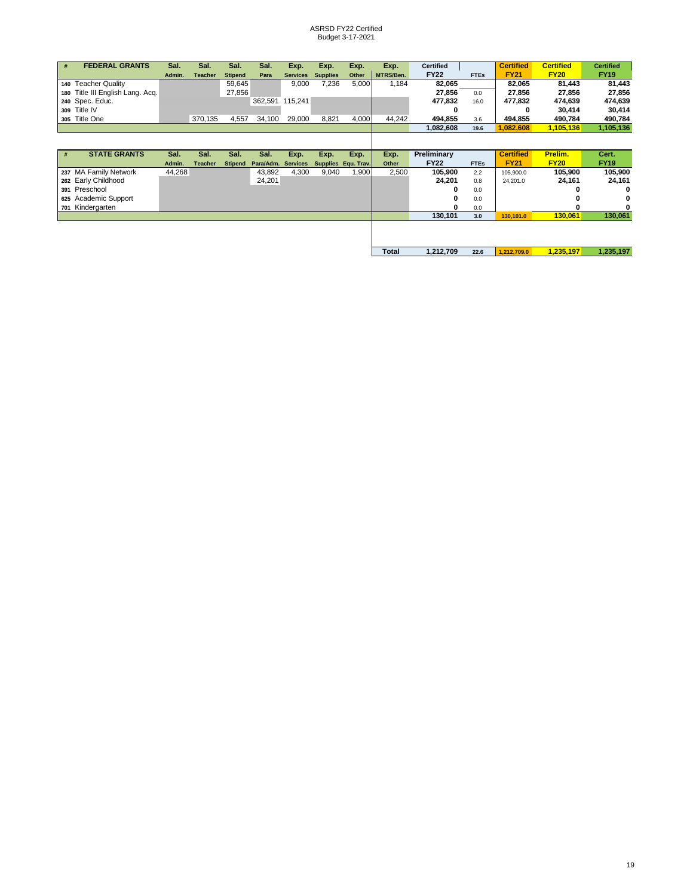| # | <b>FEDERAL GRANTS</b>            | Sal.   | Sal.           | Sal.           | Sal.      | Exp.            | Exp.                | Exp.  | Exp.      | <b>Certified</b> |             | <b>Certified</b> | <b>Certified</b> | <b>Certified</b> |
|---|----------------------------------|--------|----------------|----------------|-----------|-----------------|---------------------|-------|-----------|------------------|-------------|------------------|------------------|------------------|
|   |                                  | Admin. | <b>Teacher</b> | <b>Stipend</b> | Para      | <b>Services</b> | <b>Supplies</b>     | Other | MTRS/Ben. | <b>FY22</b>      | <b>FTEs</b> | <b>FY21</b>      | <b>FY20</b>      | <b>FY19</b>      |
|   | 140 Teacher Quality              |        |                | 59,645         |           | 9,000           | 7,236               | 5.000 | 1.184     | 82,065           |             | 82.065           | 81,443           | 81,443           |
|   | 180 Title III English Lang. Acq. |        |                | 27.856         |           |                 |                     |       |           | 27,856           | 0.0         | 27,856           | 27,856           | 27,856           |
|   | 240 Spec. Educ.                  |        |                |                | 362,591   | 115,241         |                     |       |           | 477,832          | 16.0        | 477,832          | 474,639          | 474,639          |
|   | 309 Title IV                     |        |                |                |           |                 |                     |       |           | 0                |             |                  | 30,414           | 30,414           |
|   | 305 Title One                    |        | 370,135        | 4,557          | 34,100    | 29,000          | 8,821               | 4,000 | 44,242    | 494,855          | 3.6         | 494,855          | 490,784          | 490,784          |
|   |                                  |        |                |                |           |                 |                     |       |           | 1,082,608        | 19.6        | 1,082,608        | 1,105,136        | 1,105,136        |
|   |                                  |        |                |                |           |                 |                     |       |           |                  |             |                  |                  |                  |
|   |                                  |        |                |                |           |                 |                     |       |           |                  |             |                  |                  |                  |
|   |                                  |        |                |                |           |                 |                     |       |           |                  |             |                  |                  |                  |
| # | <b>STATE GRANTS</b>              | Sal.   | Sal.           | Sal.           | Sal.      | Exp.            | Exp.                | Exp.  | Exp.      | Preliminary      |             | <b>Certified</b> | Prelim.          | Cert.            |
|   |                                  | Admin. | <b>Teacher</b> | <b>Stipend</b> | Para/Adm. | <b>Services</b> | Supplies Equ. Trav. |       | Other     | <b>FY22</b>      | <b>FTEs</b> | <b>FY21</b>      | <b>FY20</b>      | <b>FY19</b>      |
|   | 237 MA Family Network            | 44,268 |                |                | 43,892    | 4,300           | 9,040               | .900  | 2,500     | 105,900          | 2.2         | 105,900.0        | 105,900          | 105,900          |
|   | 262 Early Childhood              |        |                |                | 24,201    |                 |                     |       |           | 24,201           | 0.8         | 24,201.0         | 24,161           | 24,161           |
|   | 391 Preschool                    |        |                |                |           |                 |                     |       |           | o                | 0.0         |                  |                  |                  |
|   | 625 Academic Support             |        |                |                |           |                 |                     |       |           |                  | 0.0         |                  |                  |                  |
|   | 701 Kindergarten                 |        |                |                |           |                 |                     |       |           |                  | 0.0         |                  |                  |                  |
|   |                                  |        |                |                |           |                 |                     |       |           | 130,101          | 3.0         | 130,101.0        | 130,061          | 130,061          |
|   |                                  |        |                |                |           |                 |                     |       |           |                  |             |                  |                  |                  |

П

**Total 1,212,709 22.6 1,212,709.0 1,235,197 1,235,197**